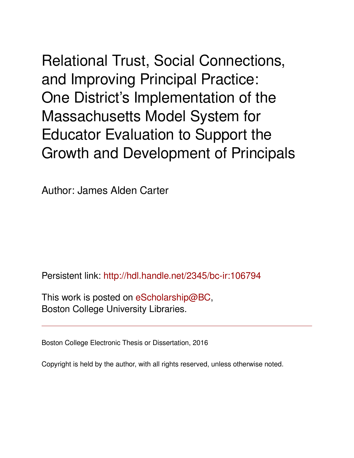Relational Trust, Social Connections, and Improving Principal Practice: One District's Implementation of the Massachusetts Model System for Educator Evaluation to Support the Growth and Development of Principals

Author: James Alden Carter

Persistent link: <http://hdl.handle.net/2345/bc-ir:106794>

This work is posted on [eScholarship@BC](http://escholarship.bc.edu), Boston College University Libraries.

Boston College Electronic Thesis or Dissertation, 2016

Copyright is held by the author, with all rights reserved, unless otherwise noted.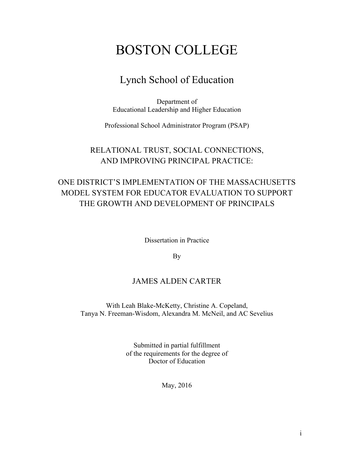# BOSTON COLLEGE

## Lynch School of Education

Department of Educational Leadership and Higher Education

Professional School Administrator Program (PSAP)

## RELATIONAL TRUST, SOCIAL CONNECTIONS, AND IMPROVING PRINCIPAL PRACTICE:

## ONE DISTRICT'S IMPLEMENTATION OF THE MASSACHUSETTS MODEL SYSTEM FOR EDUCATOR EVALUATION TO SUPPORT THE GROWTH AND DEVELOPMENT OF PRINCIPALS

Dissertation in Practice

By

## JAMES ALDEN CARTER

With Leah Blake-McKetty, Christine A. Copeland, Tanya N. Freeman-Wisdom, Alexandra M. McNeil, and AC Sevelius

> Submitted in partial fulfillment of the requirements for the degree of Doctor of Education

> > May, 2016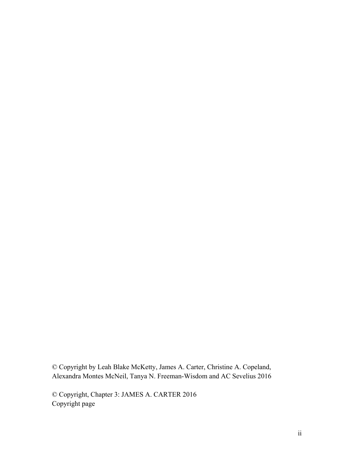© Copyright by Leah Blake McKetty, James A. Carter, Christine A. Copeland, Alexandra Montes McNeil, Tanya N. Freeman-Wisdom and AC Sevelius 2016

© Copyright, Chapter 3: JAMES A. CARTER 2016 Copyright page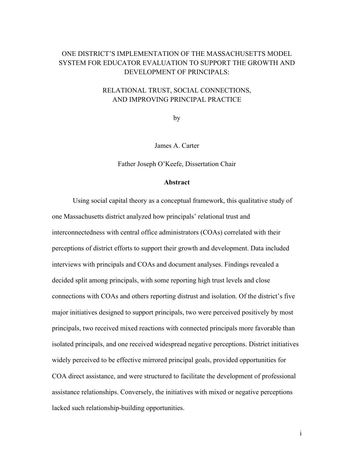### ONE DISTRICT'S IMPLEMENTATION OF THE MASSACHUSETTS MODEL SYSTEM FOR EDUCATOR EVALUATION TO SUPPORT THE GROWTH AND DEVELOPMENT OF PRINCIPALS:

### RELATIONAL TRUST, SOCIAL CONNECTIONS, AND IMPROVING PRINCIPAL PRACTICE

by

James A. Carter

Father Joseph O'Keefe, Dissertation Chair

#### **Abstract**

Using social capital theory as a conceptual framework, this qualitative study of one Massachusetts district analyzed how principals' relational trust and interconnectedness with central office administrators (COAs) correlated with their perceptions of district efforts to support their growth and development. Data included interviews with principals and COAs and document analyses. Findings revealed a decided split among principals, with some reporting high trust levels and close connections with COAs and others reporting distrust and isolation. Of the district's five major initiatives designed to support principals, two were perceived positively by most principals, two received mixed reactions with connected principals more favorable than isolated principals, and one received widespread negative perceptions. District initiatives widely perceived to be effective mirrored principal goals, provided opportunities for COA direct assistance, and were structured to facilitate the development of professional assistance relationships. Conversely, the initiatives with mixed or negative perceptions lacked such relationship-building opportunities.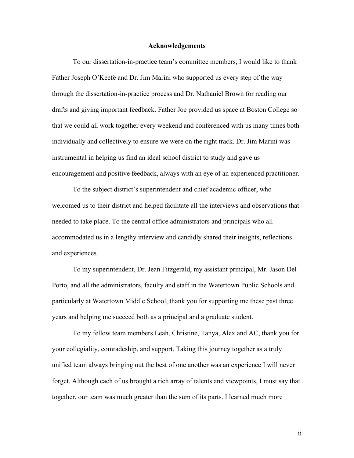#### **Acknowledgements**

To our dissertation-in-practice team's committee members, I would like to thank Father Joseph O'Keefe and Dr. Jim Marini who supported us every step of the way through the dissertation-in-practice process and Dr. Nathaniel Brown for reading our drafts and giving important feedback. Father Joe provided us space at Boston College so that we could all work together every weekend and conferenced with us many times both individually and collectively to ensure we were on the right track. Dr. Jim Marini was instrumental in helping us find an ideal school district to study and gave us encouragement and positive feedback, always with an eye of an experienced practitioner.

To the subject district's superintendent and chief academic officer, who welcomed us to their district and helped facilitate all the interviews and observations that needed to take place. To the central office administrators and principals who all accommodated us in a lengthy interview and candidly shared their insights, reflections and experiences.

To my superintendent, Dr. Jean Fitzgerald, my assistant principal, Mr. Jason Del Porto, and all the administrators, faculty and staff in the Watertown Public Schools and particularly at Watertown Middle School, thank you for supporting me these past three years and helping me succeed both as a principal and a graduate student.

To my fellow team members Leah, Christine, Tanya, Alex and AC, thank you for your collegiality, comradeship, and support. Taking this journey together as a truly unified team always bringing out the best of one another was an experience I will never forget. Although each of us brought a rich array of talents and viewpoints, I must say that together, our team was much greater than the sum of its parts. I learned much more

ii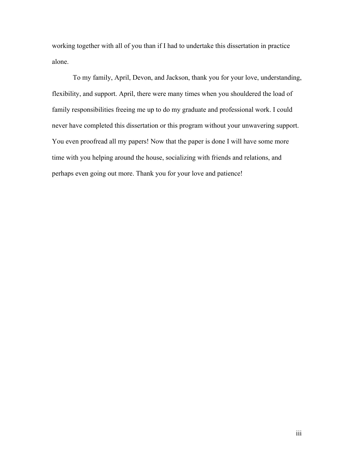working together with all of you than if I had to undertake this dissertation in practice alone.

To my family, April, Devon, and Jackson, thank you for your love, understanding, flexibility, and support. April, there were many times when you shouldered the load of family responsibilities freeing me up to do my graduate and professional work. I could never have completed this dissertation or this program without your unwavering support. You even proofread all my papers! Now that the paper is done I will have some more time with you helping around the house, socializing with friends and relations, and perhaps even going out more. Thank you for your love and patience!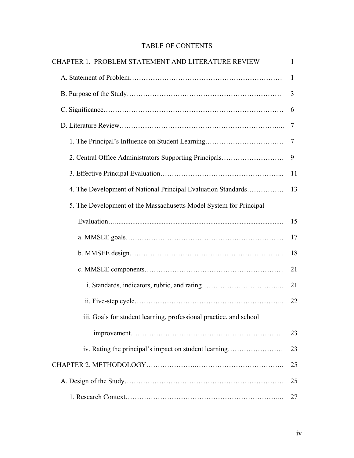## TABLE OF CONTENTS

| CHAPTER 1. PROBLEM STATEMENT AND LITERATURE REVIEW                 | 1  |
|--------------------------------------------------------------------|----|
|                                                                    | 1  |
|                                                                    | 3  |
|                                                                    | 6  |
|                                                                    | 7  |
| 1. The Principal's Influence on Student Learning                   | 7  |
| 2. Central Office Administrators Supporting Principals             | 9  |
|                                                                    | 11 |
| 4. The Development of National Principal Evaluation Standards      | 13 |
| 5. The Development of the Massachusetts Model System for Principal |    |
|                                                                    | 15 |
|                                                                    | 17 |
|                                                                    | 18 |
|                                                                    | 21 |
|                                                                    | 21 |
|                                                                    | 22 |
| iii. Goals for student learning, professional practice, and school |    |
|                                                                    | 23 |
| iv. Rating the principal's impact on student learning              | 23 |
|                                                                    | 25 |
|                                                                    | 25 |
|                                                                    | 27 |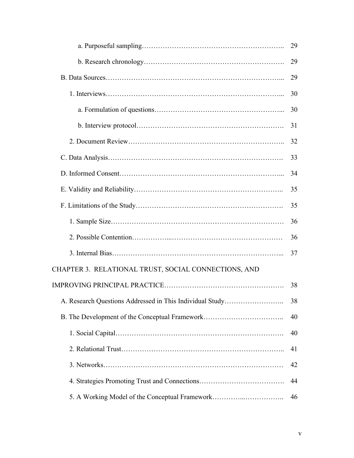|                                                          | 29 |
|----------------------------------------------------------|----|
|                                                          | 29 |
|                                                          | 29 |
|                                                          | 30 |
|                                                          | 30 |
|                                                          | 31 |
|                                                          | 32 |
|                                                          | 33 |
|                                                          | 34 |
|                                                          | 35 |
|                                                          | 35 |
|                                                          | 36 |
|                                                          | 36 |
|                                                          | 37 |
| CHAPTER 3. RELATIONAL TRUST, SOCIAL CONNECTIONS, AND     |    |
|                                                          | 38 |
| A. Research Questions Addressed in This Individual Study | 38 |
| B. The Development of the Conceptual Framework           | 40 |
|                                                          | 40 |
|                                                          | 41 |
|                                                          | 42 |
|                                                          | 44 |
| 5. A Working Model of the Conceptual Framework           | 46 |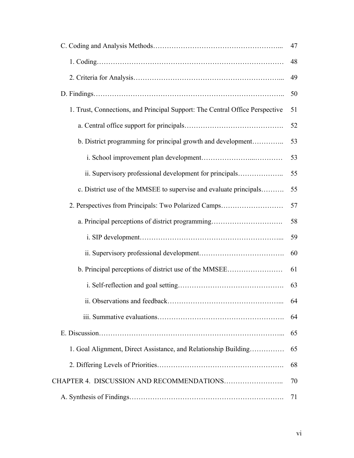|                                                                              | 47 |
|------------------------------------------------------------------------------|----|
|                                                                              | 48 |
|                                                                              | 49 |
|                                                                              | 50 |
| 1. Trust, Connections, and Principal Support: The Central Office Perspective | 51 |
|                                                                              | 52 |
| b. District programming for principal growth and development                 | 53 |
|                                                                              | 53 |
| ii. Supervisory professional development for principals                      | 55 |
| c. District use of the MMSEE to supervise and evaluate principals            | 55 |
| 2. Perspectives from Principals: Two Polarized Camps                         | 57 |
| a. Principal perceptions of district programming                             | 58 |
|                                                                              | 59 |
|                                                                              | 60 |
| b. Principal perceptions of district use of the MMSEE                        | 61 |
|                                                                              | 63 |
|                                                                              | 64 |
|                                                                              | 64 |
|                                                                              | 65 |
| 1. Goal Alignment, Direct Assistance, and Relationship Building              | 65 |
|                                                                              | 68 |
|                                                                              | 70 |
|                                                                              | 71 |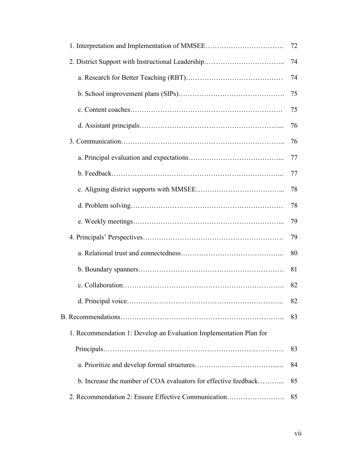|                                                                    | 72 |
|--------------------------------------------------------------------|----|
| 2. District Support with Instructional Leadership                  | 74 |
|                                                                    | 74 |
|                                                                    | 75 |
|                                                                    | 75 |
|                                                                    | 76 |
|                                                                    | 76 |
|                                                                    | 77 |
|                                                                    | 77 |
|                                                                    | 78 |
|                                                                    | 78 |
|                                                                    | 79 |
|                                                                    | 79 |
|                                                                    | 80 |
|                                                                    | 81 |
|                                                                    | 82 |
|                                                                    | 82 |
|                                                                    | 83 |
| 1. Recommendation 1: Develop an Evaluation Implementation Plan for |    |
|                                                                    | 83 |
|                                                                    | 84 |
| b. Increase the number of COA evaluators for effective feedback    | 85 |
| 2. Recommendation 2: Ensure Effective Communication                | 85 |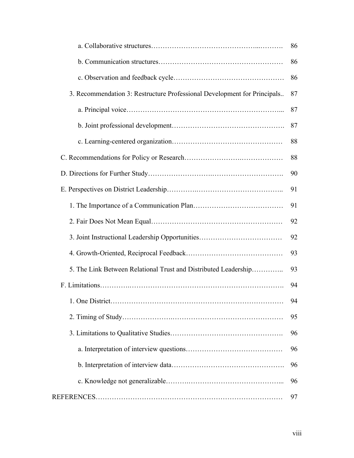|                                                                          | 86 |
|--------------------------------------------------------------------------|----|
|                                                                          | 86 |
|                                                                          | 86 |
| 3. Recommendation 3: Restructure Professional Development for Principals | 87 |
|                                                                          | 87 |
|                                                                          | 87 |
|                                                                          | 88 |
|                                                                          | 88 |
|                                                                          | 90 |
|                                                                          | 91 |
|                                                                          | 91 |
|                                                                          | 92 |
| 3. Joint Instructional Leadership Opportunities                          | 92 |
|                                                                          | 93 |
| 5. The Link Between Relational Trust and Distributed Leadership          | 93 |
|                                                                          | 94 |
|                                                                          | 94 |
|                                                                          | 95 |
|                                                                          | 96 |
|                                                                          | 96 |
|                                                                          | 96 |
|                                                                          | 96 |
|                                                                          | 97 |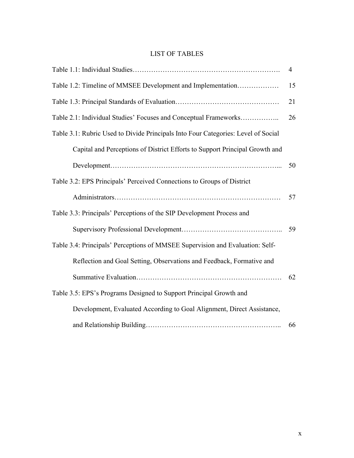### LIST OF TABLES

|                                                                                   | 4  |
|-----------------------------------------------------------------------------------|----|
| Table 1.2: Timeline of MMSEE Development and Implementation                       | 15 |
|                                                                                   | 21 |
| Table 2.1: Individual Studies' Focuses and Conceptual Frameworks                  | 26 |
| Table 3.1: Rubric Used to Divide Principals Into Four Categories: Level of Social |    |
| Capital and Perceptions of District Efforts to Support Principal Growth and       |    |
|                                                                                   | 50 |
| Table 3.2: EPS Principals' Perceived Connections to Groups of District            |    |
|                                                                                   | 57 |
| Table 3.3: Principals' Perceptions of the SIP Development Process and             |    |
|                                                                                   | 59 |
| Table 3.4: Principals' Perceptions of MMSEE Supervision and Evaluation: Self-     |    |
| Reflection and Goal Setting, Observations and Feedback, Formative and             |    |
|                                                                                   | 62 |
| Table 3.5: EPS's Programs Designed to Support Principal Growth and                |    |
| Development, Evaluated According to Goal Alignment, Direct Assistance,            |    |
|                                                                                   | 66 |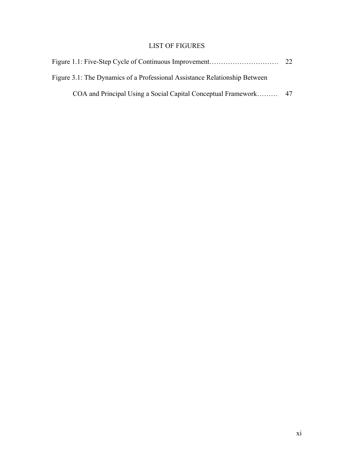## LIST OF FIGURES

| Figure 3.1: The Dynamics of a Professional Assistance Relationship Between |  |
|----------------------------------------------------------------------------|--|
|                                                                            |  |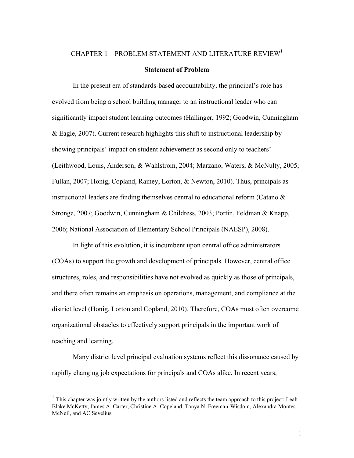#### CHAPTER  $1$  – PROBLEM STATEMENT AND LITERATURE REVIEW<sup>1</sup>

#### **Statement of Problem**

In the present era of standards-based accountability, the principal's role has evolved from being a school building manager to an instructional leader who can significantly impact student learning outcomes (Hallinger, 1992; Goodwin, Cunningham & Eagle, 2007). Current research highlights this shift to instructional leadership by showing principals' impact on student achievement as second only to teachers' (Leithwood, Louis, Anderson, & Wahlstrom, 2004; Marzano, Waters, & McNulty, 2005; Fullan, 2007; Honig, Copland, Rainey, Lorton, & Newton, 2010). Thus, principals as instructional leaders are finding themselves central to educational reform (Catano & Stronge, 2007; Goodwin, Cunningham & Childress, 2003; Portin, Feldman & Knapp, 2006; National Association of Elementary School Principals (NAESP), 2008).

In light of this evolution, it is incumbent upon central office administrators (COAs) to support the growth and development of principals. However, central office structures, roles, and responsibilities have not evolved as quickly as those of principals, and there often remains an emphasis on operations, management, and compliance at the district level (Honig, Lorton and Copland, 2010). Therefore, COAs must often overcome organizational obstacles to effectively support principals in the important work of teaching and learning.

Many district level principal evaluation systems reflect this dissonance caused by rapidly changing job expectations for principals and COAs alike. In recent years,

 <sup>1</sup> This chapter was jointly written by the authors listed and reflects the team approach to this project: Leah Blake McKetty, James A. Carter, Christine A. Copeland, Tanya N. Freeman-Wisdom, Alexandra Montes McNeil, and AC Sevelius.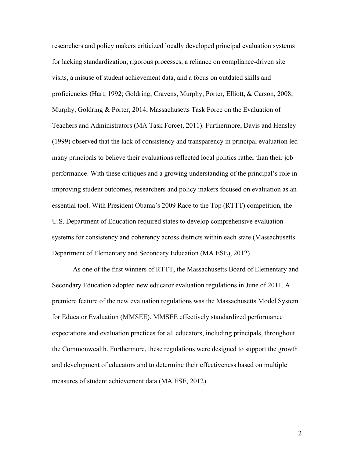researchers and policy makers criticized locally developed principal evaluation systems for lacking standardization, rigorous processes, a reliance on compliance-driven site visits, a misuse of student achievement data, and a focus on outdated skills and proficiencies (Hart, 1992; Goldring, Cravens, Murphy, Porter, Elliott, & Carson, 2008; Murphy, Goldring & Porter, 2014; Massachusetts Task Force on the Evaluation of Teachers and Administrators (MA Task Force), 2011). Furthermore, Davis and Hensley (1999) observed that the lack of consistency and transparency in principal evaluation led many principals to believe their evaluations reflected local politics rather than their job performance. With these critiques and a growing understanding of the principal's role in improving student outcomes, researchers and policy makers focused on evaluation as an essential tool. With President Obama's 2009 Race to the Top (RTTT) competition, the U.S. Department of Education required states to develop comprehensive evaluation systems for consistency and coherency across districts within each state (Massachusetts Department of Elementary and Secondary Education (MA ESE), 2012).

As one of the first winners of RTTT, the Massachusetts Board of Elementary and Secondary Education adopted new educator evaluation regulations in June of 2011. A premiere feature of the new evaluation regulations was the Massachusetts Model System for Educator Evaluation (MMSEE). MMSEE effectively standardized performance expectations and evaluation practices for all educators, including principals, throughout the Commonwealth. Furthermore, these regulations were designed to support the growth and development of educators and to determine their effectiveness based on multiple measures of student achievement data (MA ESE, 2012).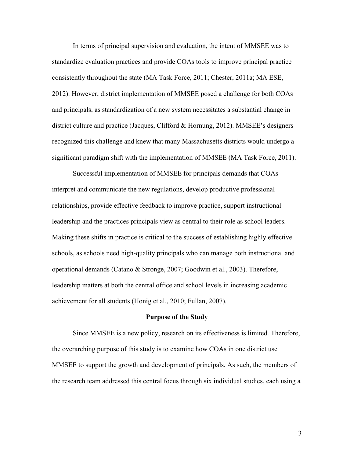In terms of principal supervision and evaluation, the intent of MMSEE was to standardize evaluation practices and provide COAs tools to improve principal practice consistently throughout the state (MA Task Force, 2011; Chester, 2011a; MA ESE, 2012). However, district implementation of MMSEE posed a challenge for both COAs and principals, as standardization of a new system necessitates a substantial change in district culture and practice (Jacques, Clifford & Hornung, 2012). MMSEE's designers recognized this challenge and knew that many Massachusetts districts would undergo a significant paradigm shift with the implementation of MMSEE (MA Task Force, 2011).

Successful implementation of MMSEE for principals demands that COAs interpret and communicate the new regulations, develop productive professional relationships, provide effective feedback to improve practice, support instructional leadership and the practices principals view as central to their role as school leaders. Making these shifts in practice is critical to the success of establishing highly effective schools, as schools need high-quality principals who can manage both instructional and operational demands (Catano & Stronge, 2007; Goodwin et al., 2003). Therefore, leadership matters at both the central office and school levels in increasing academic achievement for all students (Honig et al., 2010; Fullan, 2007).

#### **Purpose of the Study**

Since MMSEE is a new policy, research on its effectiveness is limited. Therefore, the overarching purpose of this study is to examine how COAs in one district use MMSEE to support the growth and development of principals. As such, the members of the research team addressed this central focus through six individual studies, each using a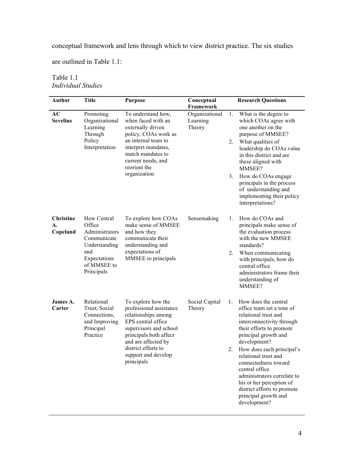conceptual framework and lens through which to view district practice. The six studies

are outlined in Table 1.1:

| <b>Author</b>                      | <b>Title</b>                                                                                                                | <b>Purpose</b>                                                                                                                                                                                                                    | Conceptual<br>Framework              | <b>Research Questions</b>                                                                                                                                                                                                                                                                                                                                                                                               |
|------------------------------------|-----------------------------------------------------------------------------------------------------------------------------|-----------------------------------------------------------------------------------------------------------------------------------------------------------------------------------------------------------------------------------|--------------------------------------|-------------------------------------------------------------------------------------------------------------------------------------------------------------------------------------------------------------------------------------------------------------------------------------------------------------------------------------------------------------------------------------------------------------------------|
| AC<br><b>Sevelius</b>              | Promoting<br>Organizational<br>Learning<br>Through<br>Policy<br>Interpretation                                              | To understand how,<br>when faced with an<br>externally driven<br>policy, COAs work as<br>an internal team to<br>interpret mandates,<br>match mandates to<br>current needs, and<br>reorient the<br>organization                    | Organizational<br>Learning<br>Theory | What is the degree to<br>1.<br>which COAs agree with<br>one another on the<br>purpose of MMSEE?<br>What qualities of<br>2.<br>leadership do COAs value<br>in this district and are<br>these aligned with<br>MMSEE?<br>3.<br>How do COAs engage<br>principals in the process<br>of understanding and<br>implementing their policy<br>interpretations?                                                                    |
| <b>Christine</b><br>А.<br>Copeland | How Central<br>Office<br>Administrators<br>Communicate<br>Understanding<br>and<br>Expectations<br>of MMSEE to<br>Principals | To explore how COAs<br>make sense of MMSEE<br>and how they<br>communicate their<br>understanding and<br>expectations of<br>MMSEE to principals                                                                                    | Sensemaking                          | How do COAs and<br>$1_{-}$<br>principals make sense of<br>the evaluation process<br>with the new MMSEE<br>standards?<br>When communicating<br>2.<br>with principals, how do<br>central office<br>administrators frame their<br>understanding of<br>MMSEE?                                                                                                                                                               |
| James A.<br>Carter                 | Relational<br>Trust, Social<br>Connections,<br>and Improving<br>Principal<br>Practice                                       | To explore how the<br>professional assistance<br>relationships among<br>EPS central office<br>supervisors and school<br>principals both affect<br>and are affected by<br>district efforts to<br>support and develop<br>principals | Social Capital<br>Theory             | How does the central<br>1.<br>office team set a tone of<br>relational trust and<br>interconnectivity through<br>their efforts to promote<br>principal growth and<br>development?<br>2.<br>How does each principal's<br>relational trust and<br>connectedness toward<br>central office<br>administrators correlate to<br>his or her perception of<br>district efforts to promote<br>principal growth and<br>development? |

Table 1.1 *Individual Studies*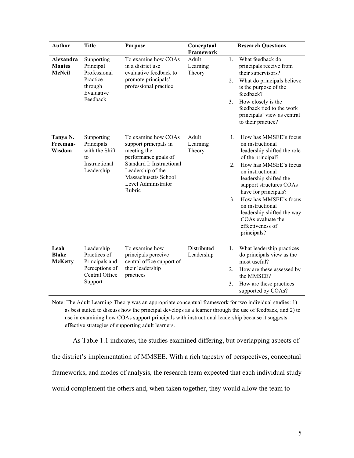| <b>Author</b>                               | <b>Title</b>                                                                                | <b>Purpose</b>                                                                                                                                                                                 | Conceptual<br><b>Framework</b>   | <b>Research Questions</b>                                                                                                                                                                                                                                                                                                                                                                          |
|---------------------------------------------|---------------------------------------------------------------------------------------------|------------------------------------------------------------------------------------------------------------------------------------------------------------------------------------------------|----------------------------------|----------------------------------------------------------------------------------------------------------------------------------------------------------------------------------------------------------------------------------------------------------------------------------------------------------------------------------------------------------------------------------------------------|
| Alexandra<br><b>Montes</b><br><b>McNeil</b> | Supporting<br>Principal<br>Professional<br>Practice<br>through<br>Evaluative<br>Feedback    | To examine how COAs<br>in a district use<br>evaluative feedback to<br>promote principals'<br>professional practice                                                                             | Adult<br>Learning<br>Theory      | $\mathbf{1}$ .<br>What feedback do<br>principals receive from<br>their supervisors?<br>What do principals believe<br>2.<br>is the purpose of the<br>feedback?<br>How closely is the<br>3 <sub>1</sub><br>feedback tied to the work<br>principals' view as central<br>to their practice?                                                                                                            |
| Tanya N.<br>Freeman-<br>Wisdom              | Supporting<br>Principals<br>with the Shift<br>to<br>Instructional<br>Leadership             | To examine how COAs<br>support principals in<br>meeting the<br>performance goals of<br>Standard I: Instructional<br>Leadership of the<br>Massachusetts School<br>Level Administrator<br>Rubric | Adult<br>Learning<br>Theory      | How has MMSEE's focus<br>$\mathbf{1}$ .<br>on instructional<br>leadership shifted the role<br>of the principal?<br>How has MMSEE's focus<br>$2_{-}$<br>on instructional<br>leadership shifted the<br>support structures COAs<br>have for principals?<br>How has MMSEE's focus<br>$3_{-}$<br>on instructional<br>leadership shifted the way<br>COAs evaluate the<br>effectiveness of<br>principals? |
| Leah<br><b>Blake</b><br><b>McKetty</b>      | Leadership<br>Practices of<br>Principals and<br>Perceptions of<br>Central Office<br>Support | To examine how<br>principals perceive<br>central office support of<br>their leadership<br>practices                                                                                            | <b>Distributed</b><br>Leadership | What leadership practices<br>1.<br>do principals view as the<br>most useful?<br>2.<br>How are these assessed by<br>the MMSEE?<br>How are these practices<br>3 <sub>1</sub><br>supported by COAs?                                                                                                                                                                                                   |

Note: The Adult Learning Theory was an appropriate conceptual framework for two individual studies: 1) as best suited to discuss how the principal develops as a learner through the use of feedback, and 2) to use in examining how COAs support principals with instructional leadership because it suggests effective strategies of supporting adult learners.

As Table 1.1 indicates, the studies examined differing, but overlapping aspects of the district's implementation of MMSEE. With a rich tapestry of perspectives, conceptual frameworks, and modes of analysis, the research team expected that each individual study would complement the others and, when taken together, they would allow the team to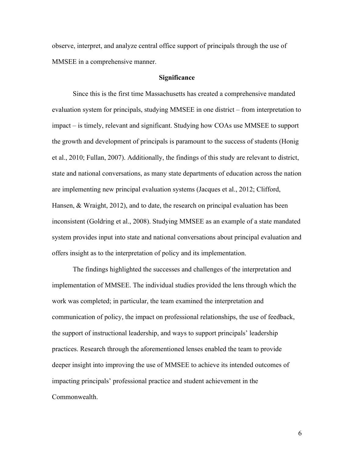observe, interpret, and analyze central office support of principals through the use of MMSEE in a comprehensive manner.

#### **Significance**

Since this is the first time Massachusetts has created a comprehensive mandated evaluation system for principals, studying MMSEE in one district – from interpretation to impact – is timely, relevant and significant. Studying how COAs use MMSEE to support the growth and development of principals is paramount to the success of students (Honig et al., 2010; Fullan, 2007). Additionally, the findings of this study are relevant to district, state and national conversations, as many state departments of education across the nation are implementing new principal evaluation systems (Jacques et al., 2012; Clifford, Hansen, & Wraight, 2012), and to date, the research on principal evaluation has been inconsistent (Goldring et al., 2008). Studying MMSEE as an example of a state mandated system provides input into state and national conversations about principal evaluation and offers insight as to the interpretation of policy and its implementation.

The findings highlighted the successes and challenges of the interpretation and implementation of MMSEE. The individual studies provided the lens through which the work was completed; in particular, the team examined the interpretation and communication of policy, the impact on professional relationships, the use of feedback, the support of instructional leadership, and ways to support principals' leadership practices. Research through the aforementioned lenses enabled the team to provide deeper insight into improving the use of MMSEE to achieve its intended outcomes of impacting principals' professional practice and student achievement in the Commonwealth.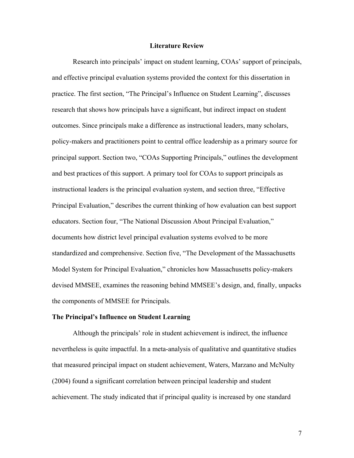#### **Literature Review**

Research into principals' impact on student learning, COAs' support of principals, and effective principal evaluation systems provided the context for this dissertation in practice. The first section, "The Principal's Influence on Student Learning", discusses research that shows how principals have a significant, but indirect impact on student outcomes. Since principals make a difference as instructional leaders, many scholars, policy-makers and practitioners point to central office leadership as a primary source for principal support. Section two, "COAs Supporting Principals," outlines the development and best practices of this support. A primary tool for COAs to support principals as instructional leaders is the principal evaluation system, and section three, "Effective Principal Evaluation," describes the current thinking of how evaluation can best support educators. Section four, "The National Discussion About Principal Evaluation," documents how district level principal evaluation systems evolved to be more standardized and comprehensive. Section five, "The Development of the Massachusetts Model System for Principal Evaluation," chronicles how Massachusetts policy-makers devised MMSEE, examines the reasoning behind MMSEE's design, and, finally, unpacks the components of MMSEE for Principals.

#### **The Principal's Influence on Student Learning**

Although the principals' role in student achievement is indirect, the influence nevertheless is quite impactful. In a meta-analysis of qualitative and quantitative studies that measured principal impact on student achievement, Waters, Marzano and McNulty (2004) found a significant correlation between principal leadership and student achievement. The study indicated that if principal quality is increased by one standard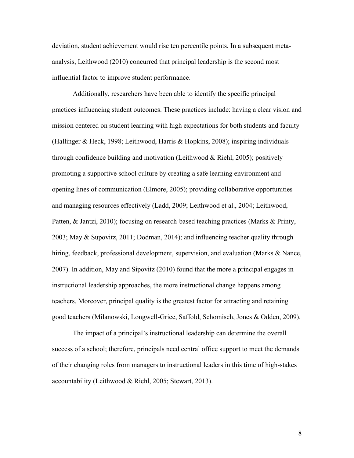deviation, student achievement would rise ten percentile points. In a subsequent metaanalysis, Leithwood (2010) concurred that principal leadership is the second most influential factor to improve student performance.

Additionally, researchers have been able to identify the specific principal practices influencing student outcomes. These practices include: having a clear vision and mission centered on student learning with high expectations for both students and faculty (Hallinger & Heck, 1998; Leithwood, Harris & Hopkins, 2008); inspiring individuals through confidence building and motivation (Leithwood  $&$  Riehl, 2005); positively promoting a supportive school culture by creating a safe learning environment and opening lines of communication (Elmore, 2005); providing collaborative opportunities and managing resources effectively (Ladd, 2009; Leithwood et al., 2004; Leithwood, Patten, & Jantzi, 2010); focusing on research-based teaching practices (Marks & Printy, 2003; May & Supovitz, 2011; Dodman, 2014); and influencing teacher quality through hiring, feedback, professional development, supervision, and evaluation (Marks & Nance, 2007). In addition, May and Sipovitz (2010) found that the more a principal engages in instructional leadership approaches, the more instructional change happens among teachers. Moreover, principal quality is the greatest factor for attracting and retaining good teachers (Milanowski, Longwell-Grice, Saffold, Schomisch, Jones & Odden, 2009).

The impact of a principal's instructional leadership can determine the overall success of a school; therefore, principals need central office support to meet the demands of their changing roles from managers to instructional leaders in this time of high-stakes accountability (Leithwood & Riehl, 2005; Stewart, 2013).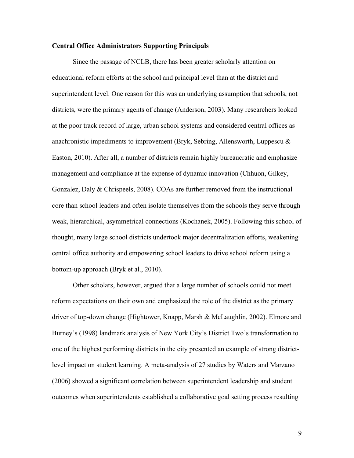#### **Central Office Administrators Supporting Principals**

Since the passage of NCLB, there has been greater scholarly attention on educational reform efforts at the school and principal level than at the district and superintendent level. One reason for this was an underlying assumption that schools, not districts, were the primary agents of change (Anderson, 2003). Many researchers looked at the poor track record of large, urban school systems and considered central offices as anachronistic impediments to improvement (Bryk, Sebring, Allensworth, Luppescu  $\&$ Easton, 2010). After all, a number of districts remain highly bureaucratic and emphasize management and compliance at the expense of dynamic innovation (Chhuon, Gilkey, Gonzalez, Daly & Chrispeels, 2008). COAs are further removed from the instructional core than school leaders and often isolate themselves from the schools they serve through weak, hierarchical, asymmetrical connections (Kochanek, 2005). Following this school of thought, many large school districts undertook major decentralization efforts, weakening central office authority and empowering school leaders to drive school reform using a bottom-up approach (Bryk et al., 2010).

Other scholars, however, argued that a large number of schools could not meet reform expectations on their own and emphasized the role of the district as the primary driver of top-down change (Hightower, Knapp, Marsh & McLaughlin, 2002). Elmore and Burney's (1998) landmark analysis of New York City's District Two's transformation to one of the highest performing districts in the city presented an example of strong districtlevel impact on student learning. A meta-analysis of 27 studies by Waters and Marzano (2006) showed a significant correlation between superintendent leadership and student outcomes when superintendents established a collaborative goal setting process resulting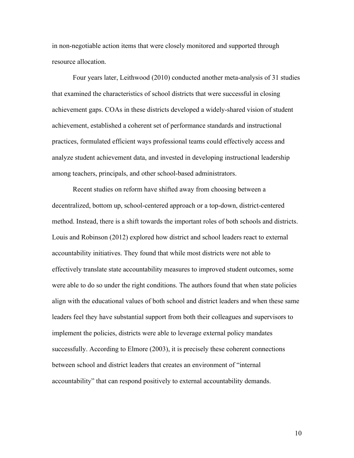in non-negotiable action items that were closely monitored and supported through resource allocation.

Four years later, Leithwood (2010) conducted another meta-analysis of 31 studies that examined the characteristics of school districts that were successful in closing achievement gaps. COAs in these districts developed a widely-shared vision of student achievement, established a coherent set of performance standards and instructional practices, formulated efficient ways professional teams could effectively access and analyze student achievement data, and invested in developing instructional leadership among teachers, principals, and other school-based administrators.

Recent studies on reform have shifted away from choosing between a decentralized, bottom up, school-centered approach or a top-down, district-centered method. Instead, there is a shift towards the important roles of both schools and districts. Louis and Robinson (2012) explored how district and school leaders react to external accountability initiatives. They found that while most districts were not able to effectively translate state accountability measures to improved student outcomes, some were able to do so under the right conditions. The authors found that when state policies align with the educational values of both school and district leaders and when these same leaders feel they have substantial support from both their colleagues and supervisors to implement the policies, districts were able to leverage external policy mandates successfully. According to Elmore (2003), it is precisely these coherent connections between school and district leaders that creates an environment of "internal accountability" that can respond positively to external accountability demands.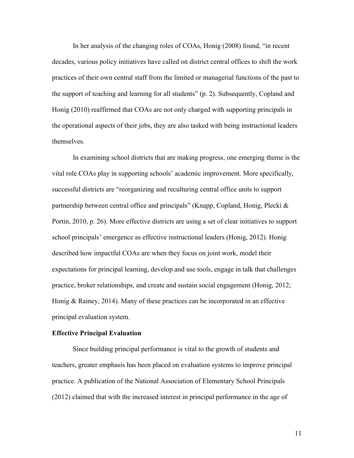In her analysis of the changing roles of COAs, Honig (2008) found, "in recent decades, various policy initiatives have called on district central offices to shift the work practices of their own central staff from the limited or managerial functions of the past to the support of teaching and learning for all students" (p. 2). Subsequently, Copland and Honig (2010) reaffirmed that COAs are not only charged with supporting principals in the operational aspects of their jobs, they are also tasked with being instructional leaders themselves.

In examining school districts that are making progress, one emerging theme is the vital role COAs play in supporting schools' academic improvement. More specifically, successful districts are "reorganizing and reculturing central office units to support partnership between central office and principals" (Knapp, Copland, Honig, Plecki & Portin, 2010, p. 26). More effective districts are using a set of clear initiatives to support school principals' emergence as effective instructional leaders (Honig, 2012). Honig described how impactful COAs are when they focus on joint work, model their expectations for principal learning, develop and use tools, engage in talk that challenges practice, broker relationships, and create and sustain social engagement (Honig, 2012; Honig & Rainey, 2014). Many of these practices can be incorporated in an effective principal evaluation system.

#### **Effective Principal Evaluation**

Since building principal performance is vital to the growth of students and teachers, greater emphasis has been placed on evaluation systems to improve principal practice. A publication of the National Association of Elementary School Principals (2012) claimed that with the increased interest in principal performance in the age of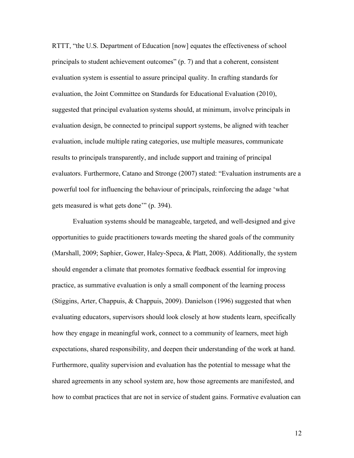RTTT, "the U.S. Department of Education [now] equates the effectiveness of school principals to student achievement outcomes" (p. 7) and that a coherent, consistent evaluation system is essential to assure principal quality. In crafting standards for evaluation, the Joint Committee on Standards for Educational Evaluation (2010), suggested that principal evaluation systems should, at minimum, involve principals in evaluation design, be connected to principal support systems, be aligned with teacher evaluation, include multiple rating categories, use multiple measures, communicate results to principals transparently, and include support and training of principal evaluators. Furthermore, Catano and Stronge (2007) stated: "Evaluation instruments are a powerful tool for influencing the behaviour of principals, reinforcing the adage 'what gets measured is what gets done'" (p. 394).

Evaluation systems should be manageable, targeted, and well-designed and give opportunities to guide practitioners towards meeting the shared goals of the community (Marshall, 2009; Saphier, Gower, Haley-Speca, & Platt, 2008). Additionally, the system should engender a climate that promotes formative feedback essential for improving practice, as summative evaluation is only a small component of the learning process (Stiggins, Arter, Chappuis, & Chappuis, 2009). Danielson (1996) suggested that when evaluating educators, supervisors should look closely at how students learn, specifically how they engage in meaningful work, connect to a community of learners, meet high expectations, shared responsibility, and deepen their understanding of the work at hand. Furthermore, quality supervision and evaluation has the potential to message what the shared agreements in any school system are, how those agreements are manifested, and how to combat practices that are not in service of student gains. Formative evaluation can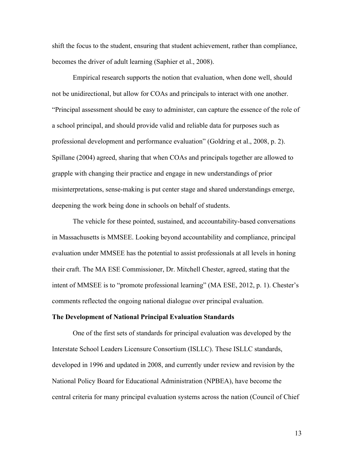shift the focus to the student, ensuring that student achievement, rather than compliance, becomes the driver of adult learning (Saphier et al., 2008).

Empirical research supports the notion that evaluation, when done well, should not be unidirectional, but allow for COAs and principals to interact with one another. "Principal assessment should be easy to administer, can capture the essence of the role of a school principal, and should provide valid and reliable data for purposes such as professional development and performance evaluation" (Goldring et al., 2008, p. 2). Spillane (2004) agreed, sharing that when COAs and principals together are allowed to grapple with changing their practice and engage in new understandings of prior misinterpretations, sense-making is put center stage and shared understandings emerge, deepening the work being done in schools on behalf of students.

The vehicle for these pointed, sustained, and accountability-based conversations in Massachusetts is MMSEE. Looking beyond accountability and compliance, principal evaluation under MMSEE has the potential to assist professionals at all levels in honing their craft. The MA ESE Commissioner, Dr. Mitchell Chester, agreed, stating that the intent of MMSEE is to "promote professional learning" (MA ESE, 2012, p. 1). Chester's comments reflected the ongoing national dialogue over principal evaluation.

#### **The Development of National Principal Evaluation Standards**

One of the first sets of standards for principal evaluation was developed by the Interstate School Leaders Licensure Consortium (ISLLC). These ISLLC standards, developed in 1996 and updated in 2008, and currently under review and revision by the National Policy Board for Educational Administration (NPBEA), have become the central criteria for many principal evaluation systems across the nation (Council of Chief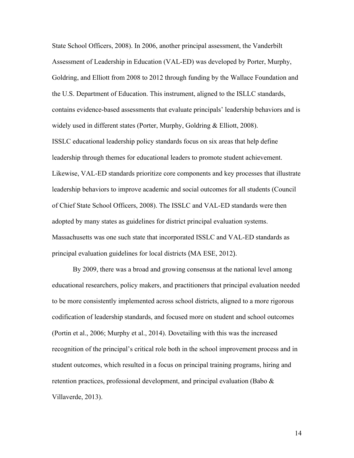State School Officers, 2008). In 2006, another principal assessment, the Vanderbilt Assessment of Leadership in Education (VAL-ED) was developed by Porter, Murphy, Goldring, and Elliott from 2008 to 2012 through funding by the Wallace Foundation and the U.S. Department of Education. This instrument, aligned to the ISLLC standards, contains evidence-based assessments that evaluate principals' leadership behaviors and is widely used in different states (Porter, Murphy, Goldring & Elliott, 2008). ISSLC educational leadership policy standards focus on six areas that help define leadership through themes for educational leaders to promote student achievement. Likewise, VAL-ED standards prioritize core components and key processes that illustrate leadership behaviors to improve academic and social outcomes for all students (Council of Chief State School Officers, 2008). The ISSLC and VAL-ED standards were then adopted by many states as guidelines for district principal evaluation systems. Massachusetts was one such state that incorporated ISSLC and VAL-ED standards as principal evaluation guidelines for local districts (MA ESE, 2012).

By 2009, there was a broad and growing consensus at the national level among educational researchers, policy makers, and practitioners that principal evaluation needed to be more consistently implemented across school districts, aligned to a more rigorous codification of leadership standards, and focused more on student and school outcomes (Portin et al., 2006; Murphy et al., 2014). Dovetailing with this was the increased recognition of the principal's critical role both in the school improvement process and in student outcomes, which resulted in a focus on principal training programs, hiring and retention practices, professional development, and principal evaluation (Babo  $\&$ Villaverde, 2013).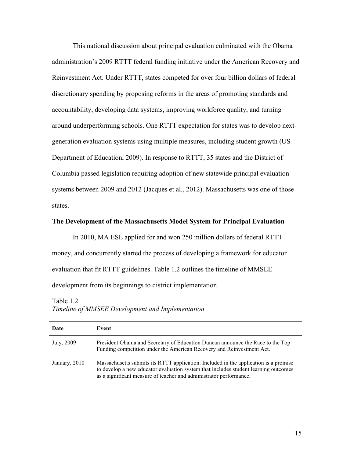This national discussion about principal evaluation culminated with the Obama administration's 2009 RTTT federal funding initiative under the American Recovery and Reinvestment Act. Under RTTT, states competed for over four billion dollars of federal discretionary spending by proposing reforms in the areas of promoting standards and accountability, developing data systems, improving workforce quality, and turning around underperforming schools. One RTTT expectation for states was to develop nextgeneration evaluation systems using multiple measures, including student growth (US Department of Education, 2009). In response to RTTT, 35 states and the District of Columbia passed legislation requiring adoption of new statewide principal evaluation systems between 2009 and 2012 (Jacques et al., 2012). Massachusetts was one of those states.

#### **The Development of the Massachusetts Model System for Principal Evaluation**

In 2010, MA ESE applied for and won 250 million dollars of federal RTTT money, and concurrently started the process of developing a framework for educator evaluation that fit RTTT guidelines. Table 1.2 outlines the timeline of MMSEE development from its beginnings to district implementation.

Table 1.2 *Timeline of MMSEE Development and Implementation*

| Date          | Event                                                                                                                                                                                                                                             |
|---------------|---------------------------------------------------------------------------------------------------------------------------------------------------------------------------------------------------------------------------------------------------|
| July, 2009    | President Obama and Secretary of Education Duncan announce the Race to the Top<br>Funding competition under the American Recovery and Reinvestment Act.                                                                                           |
| January, 2010 | Massachusetts submits its RTTT application. Included in the application is a promise<br>to develop a new educator evaluation system that includes student learning outcomes<br>as a significant measure of teacher and administrator performance. |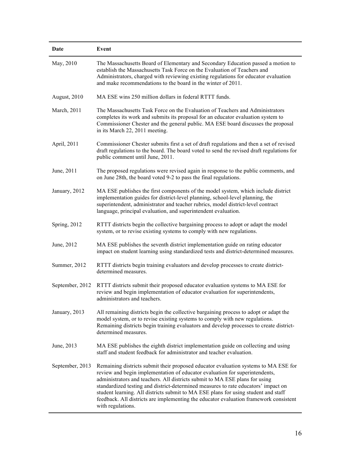| Date            | Event                                                                                                                                                                                                                                                                                                                                                                                                                                                                                                                                       |
|-----------------|---------------------------------------------------------------------------------------------------------------------------------------------------------------------------------------------------------------------------------------------------------------------------------------------------------------------------------------------------------------------------------------------------------------------------------------------------------------------------------------------------------------------------------------------|
| May, 2010       | The Massachusetts Board of Elementary and Secondary Education passed a motion to<br>establish the Massachusetts Task Force on the Evaluation of Teachers and<br>Administrators, charged with reviewing existing regulations for educator evaluation<br>and make recommendations to the board in the winter of 2011.                                                                                                                                                                                                                         |
| August, 2010    | MA ESE wins 250 million dollars in federal RTTT funds.                                                                                                                                                                                                                                                                                                                                                                                                                                                                                      |
| March, 2011     | The Massachusetts Task Force on the Evaluation of Teachers and Administrators<br>completes its work and submits its proposal for an educator evaluation system to<br>Commissioner Chester and the general public. MA ESE board discusses the proposal<br>in its March 22, 2011 meeting.                                                                                                                                                                                                                                                     |
| April, 2011     | Commissioner Chester submits first a set of draft regulations and then a set of revised<br>draft regulations to the board. The board voted to send the revised draft regulations for<br>public comment until June, 2011.                                                                                                                                                                                                                                                                                                                    |
| June, 2011      | The proposed regulations were revised again in response to the public comments, and<br>on June 28th, the board voted 9-2 to pass the final regulations.                                                                                                                                                                                                                                                                                                                                                                                     |
| January, 2012   | MA ESE publishes the first components of the model system, which include district<br>implementation guides for district-level planning, school-level planning, the<br>superintendent, administrator and teacher rubrics, model district-level contract<br>language, principal evaluation, and superintendent evaluation.                                                                                                                                                                                                                    |
| Spring, 2012    | RTTT districts begin the collective bargaining process to adopt or adapt the model<br>system, or to revise existing systems to comply with new regulations.                                                                                                                                                                                                                                                                                                                                                                                 |
| June, 2012      | MA ESE publishes the seventh district implementation guide on rating educator<br>impact on student learning using standardized tests and district-determined measures.                                                                                                                                                                                                                                                                                                                                                                      |
| Summer, 2012    | RTTT districts begin training evaluators and develop processes to create district-<br>determined measures.                                                                                                                                                                                                                                                                                                                                                                                                                                  |
| September, 2012 | RTTT districts submit their proposed educator evaluation systems to MA ESE for<br>review and begin implementation of educator evaluation for superintendents,<br>administrators and teachers.                                                                                                                                                                                                                                                                                                                                               |
| January, 2013   | All remaining districts begin the collective bargaining process to adopt or adapt the<br>model system, or to revise existing systems to comply with new regulations.<br>Remaining districts begin training evaluators and develop processes to create district-<br>determined measures.                                                                                                                                                                                                                                                     |
| June, 2013      | MA ESE publishes the eighth district implementation guide on collecting and using<br>staff and student feedback for administrator and teacher evaluation.                                                                                                                                                                                                                                                                                                                                                                                   |
| September, 2013 | Remaining districts submit their proposed educator evaluation systems to MA ESE for<br>review and begin implementation of educator evaluation for superintendents,<br>administrators and teachers. All districts submit to MA ESE plans for using<br>standardized testing and district-determined measures to rate educators' impact on<br>student learning. All districts submit to MA ESE plans for using student and staff<br>feedback. All districts are implementing the educator evaluation framework consistent<br>with regulations. |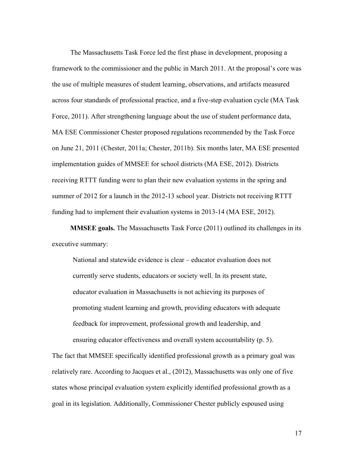The Massachusetts Task Force led the first phase in development, proposing a framework to the commissioner and the public in March 2011. At the proposal's core was the use of multiple measures of student learning, observations, and artifacts measured across four standards of professional practice, and a five-step evaluation cycle (MA Task Force, 2011). After strengthening language about the use of student performance data, MA ESE Commissioner Chester proposed regulations recommended by the Task Force on June 21, 2011 (Chester, 2011a; Chester, 2011b). Six months later, MA ESE presented implementation guides of MMSEE for school districts (MA ESE, 2012). Districts receiving RTTT funding were to plan their new evaluation systems in the spring and summer of 2012 for a launch in the 2012-13 school year. Districts not receiving RTTT funding had to implement their evaluation systems in 2013-14 (MA ESE, 2012).

**MMSEE goals.** The Massachusetts Task Force (2011) outlined its challenges in its executive summary:

National and statewide evidence is clear – educator evaluation does not currently serve students, educators or society well. In its present state, educator evaluation in Massachusetts is not achieving its purposes of promoting student learning and growth, providing educators with adequate feedback for improvement, professional growth and leadership, and ensuring educator effectiveness and overall system accountability (p. 5).

The fact that MMSEE specifically identified professional growth as a primary goal was relatively rare. According to Jacques et al., (2012), Massachusetts was only one of five states whose principal evaluation system explicitly identified professional growth as a goal in its legislation. Additionally, Commissioner Chester publicly espoused using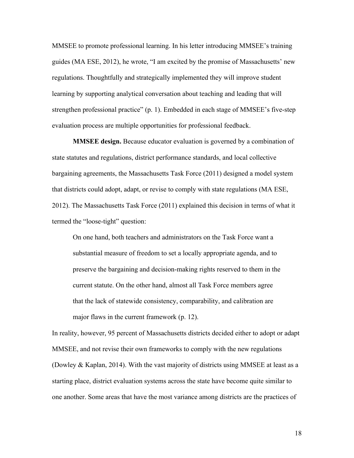MMSEE to promote professional learning. In his letter introducing MMSEE's training guides (MA ESE, 2012), he wrote, "I am excited by the promise of Massachusetts' new regulations. Thoughtfully and strategically implemented they will improve student learning by supporting analytical conversation about teaching and leading that will strengthen professional practice" (p. 1). Embedded in each stage of MMSEE's five-step evaluation process are multiple opportunities for professional feedback.

**MMSEE design.** Because educator evaluation is governed by a combination of state statutes and regulations, district performance standards, and local collective bargaining agreements, the Massachusetts Task Force (2011) designed a model system that districts could adopt, adapt, or revise to comply with state regulations (MA ESE, 2012). The Massachusetts Task Force (2011) explained this decision in terms of what it termed the "loose-tight" question:

On one hand, both teachers and administrators on the Task Force want a substantial measure of freedom to set a locally appropriate agenda, and to preserve the bargaining and decision-making rights reserved to them in the current statute. On the other hand, almost all Task Force members agree that the lack of statewide consistency, comparability, and calibration are major flaws in the current framework (p. 12).

In reality, however, 95 percent of Massachusetts districts decided either to adopt or adapt MMSEE, and not revise their own frameworks to comply with the new regulations (Dowley & Kaplan, 2014). With the vast majority of districts using MMSEE at least as a starting place, district evaluation systems across the state have become quite similar to one another. Some areas that have the most variance among districts are the practices of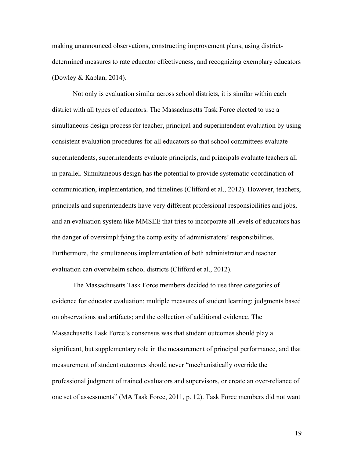making unannounced observations, constructing improvement plans, using districtdetermined measures to rate educator effectiveness, and recognizing exemplary educators (Dowley & Kaplan, 2014).

Not only is evaluation similar across school districts, it is similar within each district with all types of educators. The Massachusetts Task Force elected to use a simultaneous design process for teacher, principal and superintendent evaluation by using consistent evaluation procedures for all educators so that school committees evaluate superintendents, superintendents evaluate principals, and principals evaluate teachers all in parallel. Simultaneous design has the potential to provide systematic coordination of communication, implementation, and timelines (Clifford et al., 2012). However, teachers, principals and superintendents have very different professional responsibilities and jobs, and an evaluation system like MMSEE that tries to incorporate all levels of educators has the danger of oversimplifying the complexity of administrators' responsibilities. Furthermore, the simultaneous implementation of both administrator and teacher evaluation can overwhelm school districts (Clifford et al., 2012).

The Massachusetts Task Force members decided to use three categories of evidence for educator evaluation: multiple measures of student learning; judgments based on observations and artifacts; and the collection of additional evidence. The Massachusetts Task Force's consensus was that student outcomes should play a significant, but supplementary role in the measurement of principal performance, and that measurement of student outcomes should never "mechanistically override the professional judgment of trained evaluators and supervisors, or create an over-reliance of one set of assessments" (MA Task Force, 2011, p. 12). Task Force members did not want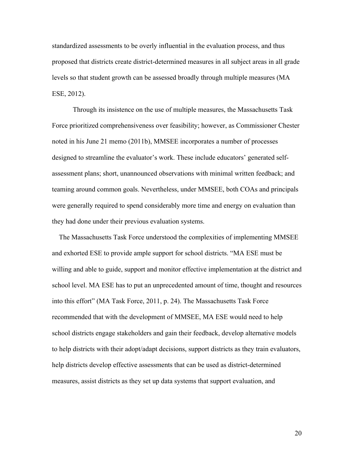standardized assessments to be overly influential in the evaluation process, and thus proposed that districts create district-determined measures in all subject areas in all grade levels so that student growth can be assessed broadly through multiple measures (MA ESE, 2012).

Through its insistence on the use of multiple measures, the Massachusetts Task Force prioritized comprehensiveness over feasibility; however, as Commissioner Chester noted in his June 21 memo (2011b), MMSEE incorporates a number of processes designed to streamline the evaluator's work. These include educators' generated selfassessment plans; short, unannounced observations with minimal written feedback; and teaming around common goals. Nevertheless, under MMSEE, both COAs and principals were generally required to spend considerably more time and energy on evaluation than they had done under their previous evaluation systems.

 The Massachusetts Task Force understood the complexities of implementing MMSEE and exhorted ESE to provide ample support for school districts. "MA ESE must be willing and able to guide, support and monitor effective implementation at the district and school level. MA ESE has to put an unprecedented amount of time, thought and resources into this effort" (MA Task Force, 2011, p. 24). The Massachusetts Task Force recommended that with the development of MMSEE, MA ESE would need to help school districts engage stakeholders and gain their feedback, develop alternative models to help districts with their adopt/adapt decisions, support districts as they train evaluators, help districts develop effective assessments that can be used as district-determined measures, assist districts as they set up data systems that support evaluation, and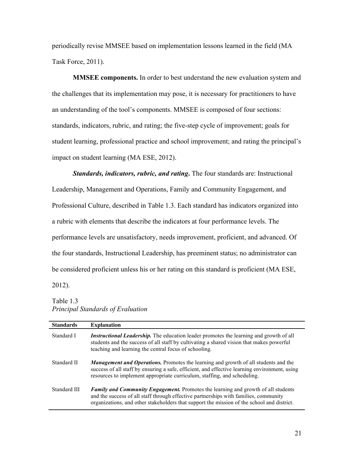periodically revise MMSEE based on implementation lessons learned in the field (MA Task Force, 2011).

**MMSEE components.** In order to best understand the new evaluation system and the challenges that its implementation may pose, it is necessary for practitioners to have an understanding of the tool's components. MMSEE is composed of four sections: standards, indicators, rubric, and rating; the five-step cycle of improvement; goals for student learning, professional practice and school improvement; and rating the principal's impact on student learning (MA ESE, 2012).

*Standards, indicators, rubric, and rating***.** The four standards are: Instructional Leadership, Management and Operations, Family and Community Engagement, and Professional Culture, described in Table 1.3. Each standard has indicators organized into a rubric with elements that describe the indicators at four performance levels. The performance levels are unsatisfactory, needs improvement, proficient, and advanced. Of the four standards, Instructional Leadership, has preeminent status; no administrator can be considered proficient unless his or her rating on this standard is proficient (MA ESE,

Table 1.3

2012).

## *Principal Standards of Evaluation*

| <b>Standards</b> | <b>Explanation</b>                                                                                                                                                                                                                                                      |
|------------------|-------------------------------------------------------------------------------------------------------------------------------------------------------------------------------------------------------------------------------------------------------------------------|
| Standard I       | <i>Instructional Leadership.</i> The education leader promotes the learning and growth of all<br>students and the success of all staff by cultivating a shared vision that makes powerful<br>teaching and learning the central focus of schooling.                      |
| Standard II      | <b>Management and Operations.</b> Promotes the learning and growth of all students and the<br>success of all staff by ensuring a safe, efficient, and effective learning environment, using<br>resources to implement appropriate curriculum, staffing, and scheduling. |
| Standard III     | Family and Community Engagement. Promotes the learning and growth of all students<br>and the success of all staff through effective partnerships with families, community<br>organizations, and other stakeholders that support the mission of the school and district. |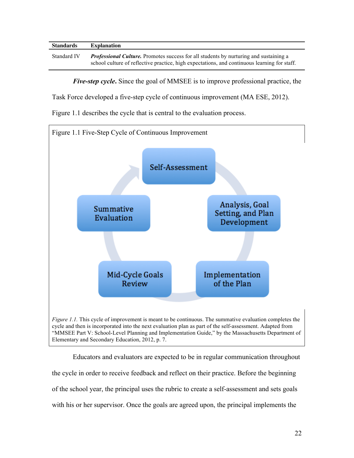| <b>Standards</b> | <b>Explanation</b>                                                                                                                                                                                  |
|------------------|-----------------------------------------------------------------------------------------------------------------------------------------------------------------------------------------------------|
| Standard IV      | <b><i>Professional Culture.</i></b> Promotes success for all students by nurturing and sustaining a<br>school culture of reflective practice, high expectations, and continuous learning for staff. |
|                  |                                                                                                                                                                                                     |

*Five-step cycle***.** Since the goal of MMSEE is to improve professional practice, the

Task Force developed a five-step cycle of continuous improvement (MA ESE, 2012).

Figure 1.1 describes the cycle that is central to the evaluation process.



Educators and evaluators are expected to be in regular communication throughout the cycle in order to receive feedback and reflect on their practice. Before the beginning of the school year, the principal uses the rubric to create a self-assessment and sets goals with his or her supervisor. Once the goals are agreed upon, the principal implements the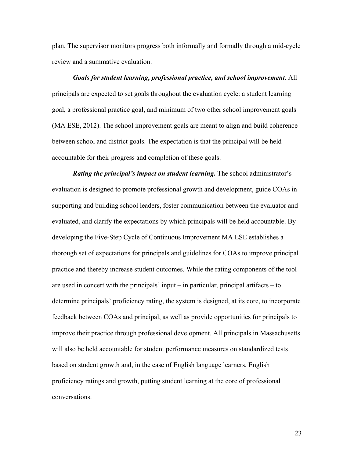plan. The supervisor monitors progress both informally and formally through a mid-cycle review and a summative evaluation.

# *Goals for student learning, professional practice, and school improvement*. All principals are expected to set goals throughout the evaluation cycle: a student learning goal, a professional practice goal, and minimum of two other school improvement goals (MA ESE, 2012). The school improvement goals are meant to align and build coherence between school and district goals. The expectation is that the principal will be held accountable for their progress and completion of these goals.

*Rating the principal's impact on student learning.* The school administrator's evaluation is designed to promote professional growth and development, guide COAs in supporting and building school leaders, foster communication between the evaluator and evaluated, and clarify the expectations by which principals will be held accountable. By developing the Five-Step Cycle of Continuous Improvement MA ESE establishes a thorough set of expectations for principals and guidelines for COAs to improve principal practice and thereby increase student outcomes. While the rating components of the tool are used in concert with the principals' input – in particular, principal artifacts – to determine principals' proficiency rating, the system is designed, at its core, to incorporate feedback between COAs and principal, as well as provide opportunities for principals to improve their practice through professional development. All principals in Massachusetts will also be held accountable for student performance measures on standardized tests based on student growth and, in the case of English language learners, English proficiency ratings and growth, putting student learning at the core of professional conversations.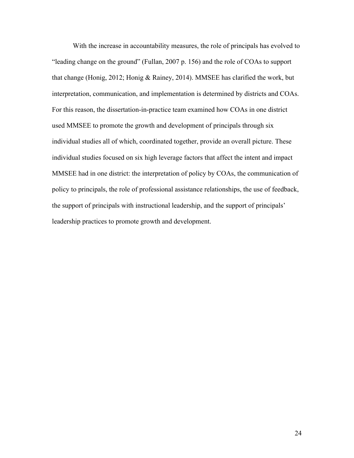With the increase in accountability measures, the role of principals has evolved to "leading change on the ground" (Fullan, 2007 p. 156) and the role of COAs to support that change (Honig, 2012; Honig & Rainey, 2014). MMSEE has clarified the work, but interpretation, communication, and implementation is determined by districts and COAs. For this reason, the dissertation-in-practice team examined how COAs in one district used MMSEE to promote the growth and development of principals through six individual studies all of which, coordinated together, provide an overall picture. These individual studies focused on six high leverage factors that affect the intent and impact MMSEE had in one district: the interpretation of policy by COAs, the communication of policy to principals, the role of professional assistance relationships, the use of feedback, the support of principals with instructional leadership, and the support of principals' leadership practices to promote growth and development.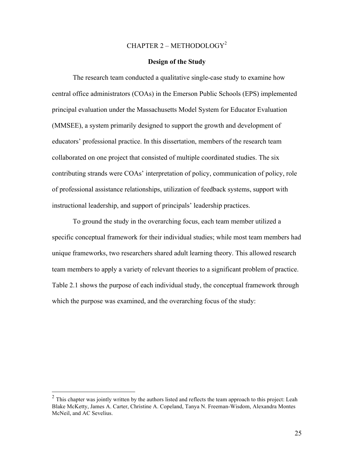# CHAPTER 2 – METHODOLOGY<sup>2</sup>

# **Design of the Study**

The research team conducted a qualitative single-case study to examine how central office administrators (COAs) in the Emerson Public Schools (EPS) implemented principal evaluation under the Massachusetts Model System for Educator Evaluation (MMSEE), a system primarily designed to support the growth and development of educators' professional practice. In this dissertation, members of the research team collaborated on one project that consisted of multiple coordinated studies. The six contributing strands were COAs' interpretation of policy, communication of policy, role of professional assistance relationships, utilization of feedback systems, support with instructional leadership, and support of principals' leadership practices.

To ground the study in the overarching focus, each team member utilized a specific conceptual framework for their individual studies; while most team members had unique frameworks, two researchers shared adult learning theory. This allowed research team members to apply a variety of relevant theories to a significant problem of practice. Table 2.1 shows the purpose of each individual study, the conceptual framework through which the purpose was examined, and the overarching focus of the study:

<sup>&</sup>lt;sup>2</sup> This chapter was jointly written by the authors listed and reflects the team approach to this project: Leah Blake McKetty, James A. Carter, Christine A. Copeland, Tanya N. Freeman-Wisdom, Alexandra Montes McNeil, and AC Sevelius.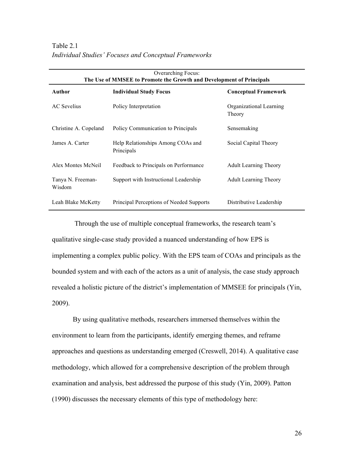| <b>Overarching Focus:</b><br>The Use of MMSEE to Promote the Growth and Development of Principals |                                                 |                                   |  |  |
|---------------------------------------------------------------------------------------------------|-------------------------------------------------|-----------------------------------|--|--|
| <b>Author</b>                                                                                     | <b>Individual Study Focus</b>                   | <b>Conceptual Framework</b>       |  |  |
| <b>AC</b> Sevelius                                                                                | Policy Interpretation                           | Organizational Learning<br>Theory |  |  |
| Christine A. Copeland                                                                             | Policy Communication to Principals              | Sensemaking                       |  |  |
| James A. Carter                                                                                   | Help Relationships Among COAs and<br>Principals | Social Capital Theory             |  |  |
| Alex Montes McNeil                                                                                | Feedback to Principals on Performance           | <b>Adult Learning Theory</b>      |  |  |
| Tanya N. Freeman-<br>Wisdom                                                                       | Support with Instructional Leadership           | <b>Adult Learning Theory</b>      |  |  |
| Leah Blake McKetty                                                                                | Principal Perceptions of Needed Supports        | Distributive Leadership           |  |  |

Through the use of multiple conceptual frameworks, the research team's qualitative single-case study provided a nuanced understanding of how EPS is implementing a complex public policy. With the EPS team of COAs and principals as the bounded system and with each of the actors as a unit of analysis, the case study approach revealed a holistic picture of the district's implementation of MMSEE for principals (Yin, 2009).

By using qualitative methods, researchers immersed themselves within the environment to learn from the participants, identify emerging themes, and reframe approaches and questions as understanding emerged (Creswell, 2014). A qualitative case methodology, which allowed for a comprehensive description of the problem through examination and analysis, best addressed the purpose of this study (Yin, 2009). Patton (1990) discusses the necessary elements of this type of methodology here: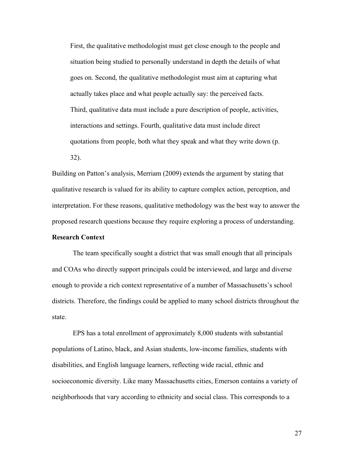First, the qualitative methodologist must get close enough to the people and situation being studied to personally understand in depth the details of what goes on. Second, the qualitative methodologist must aim at capturing what actually takes place and what people actually say: the perceived facts. Third, qualitative data must include a pure description of people, activities, interactions and settings. Fourth, qualitative data must include direct quotations from people, both what they speak and what they write down (p. 32).

Building on Patton's analysis, Merriam (2009) extends the argument by stating that qualitative research is valued for its ability to capture complex action, perception, and interpretation. For these reasons, qualitative methodology was the best way to answer the proposed research questions because they require exploring a process of understanding.

# **Research Context**

The team specifically sought a district that was small enough that all principals and COAs who directly support principals could be interviewed, and large and diverse enough to provide a rich context representative of a number of Massachusetts's school districts. Therefore, the findings could be applied to many school districts throughout the state.

EPS has a total enrollment of approximately 8,000 students with substantial populations of Latino, black, and Asian students, low-income families, students with disabilities, and English language learners, reflecting wide racial, ethnic and socioeconomic diversity. Like many Massachusetts cities, Emerson contains a variety of neighborhoods that vary according to ethnicity and social class. This corresponds to a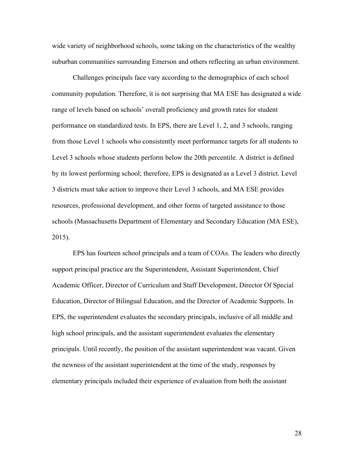wide variety of neighborhood schools, some taking on the characteristics of the wealthy suburban communities surrounding Emerson and others reflecting an urban environment.

Challenges principals face vary according to the demographics of each school community population. Therefore, it is not surprising that MA ESE has designated a wide range of levels based on schools' overall proficiency and growth rates for student performance on standardized tests. In EPS, there are Level 1, 2, and 3 schools, ranging from those Level 1 schools who consistently meet performance targets for all students to Level 3 schools whose students perform below the 20th percentile. A district is defined by its lowest performing school; therefore, EPS is designated as a Level 3 district. Level 3 districts must take action to improve their Level 3 schools, and MA ESE provides resources, professional development, and other forms of targeted assistance to those schools (Massachusetts Department of Elementary and Secondary Education (MA ESE), 2015).

EPS has fourteen school principals and a team of COAs. The leaders who directly support principal practice are the Superintendent, Assistant Superintendent, Chief Academic Officer, Director of Curriculum and Staff Development, Director Of Special Education, Director of Bilingual Education, and the Director of Academic Supports. In EPS, the superintendent evaluates the secondary principals, inclusive of all middle and high school principals, and the assistant superintendent evaluates the elementary principals. Until recently, the position of the assistant superintendent was vacant. Given the newness of the assistant superintendent at the time of the study, responses by elementary principals included their experience of evaluation from both the assistant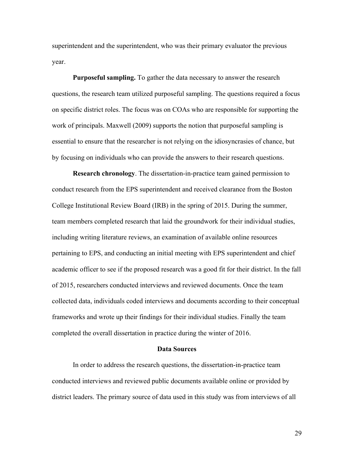superintendent and the superintendent, who was their primary evaluator the previous year.

**Purposeful sampling.** To gather the data necessary to answer the research questions, the research team utilized purposeful sampling. The questions required a focus on specific district roles. The focus was on COAs who are responsible for supporting the work of principals. Maxwell (2009) supports the notion that purposeful sampling is essential to ensure that the researcher is not relying on the idiosyncrasies of chance, but by focusing on individuals who can provide the answers to their research questions.

**Research chronology**. The dissertation-in-practice team gained permission to conduct research from the EPS superintendent and received clearance from the Boston College Institutional Review Board (IRB) in the spring of 2015. During the summer, team members completed research that laid the groundwork for their individual studies, including writing literature reviews, an examination of available online resources pertaining to EPS, and conducting an initial meeting with EPS superintendent and chief academic officer to see if the proposed research was a good fit for their district. In the fall of 2015, researchers conducted interviews and reviewed documents. Once the team collected data, individuals coded interviews and documents according to their conceptual frameworks and wrote up their findings for their individual studies. Finally the team completed the overall dissertation in practice during the winter of 2016.

#### **Data Sources**

In order to address the research questions, the dissertation-in-practice team conducted interviews and reviewed public documents available online or provided by district leaders. The primary source of data used in this study was from interviews of all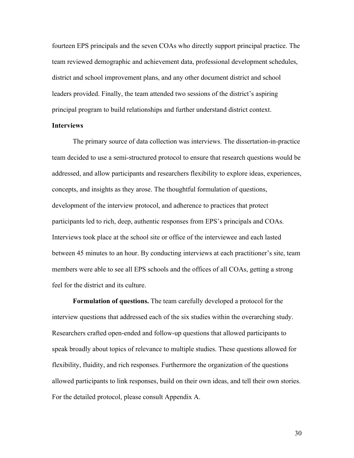fourteen EPS principals and the seven COAs who directly support principal practice. The team reviewed demographic and achievement data, professional development schedules, district and school improvement plans, and any other document district and school leaders provided. Finally, the team attended two sessions of the district's aspiring principal program to build relationships and further understand district context.

#### **Interviews**

The primary source of data collection was interviews. The dissertation-in-practice team decided to use a semi-structured protocol to ensure that research questions would be addressed, and allow participants and researchers flexibility to explore ideas, experiences, concepts, and insights as they arose. The thoughtful formulation of questions, development of the interview protocol, and adherence to practices that protect participants led to rich, deep, authentic responses from EPS's principals and COAs. Interviews took place at the school site or office of the interviewee and each lasted between 45 minutes to an hour. By conducting interviews at each practitioner's site, team members were able to see all EPS schools and the offices of all COAs, getting a strong feel for the district and its culture.

**Formulation of questions.** The team carefully developed a protocol for the interview questions that addressed each of the six studies within the overarching study. Researchers crafted open-ended and follow-up questions that allowed participants to speak broadly about topics of relevance to multiple studies. These questions allowed for flexibility, fluidity, and rich responses. Furthermore the organization of the questions allowed participants to link responses, build on their own ideas, and tell their own stories. For the detailed protocol, please consult Appendix A.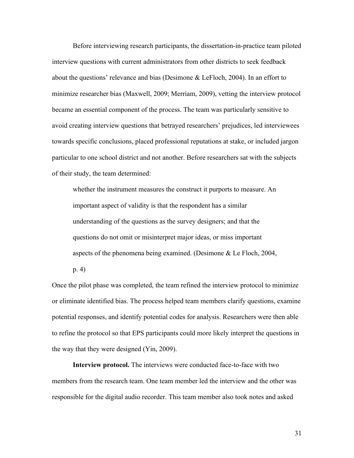Before interviewing research participants, the dissertation-in-practice team piloted interview questions with current administrators from other districts to seek feedback about the questions' relevance and bias (Desimone & LeFloch, 2004). In an effort to minimize researcher bias (Maxwell, 2009; Merriam, 2009), vetting the interview protocol became an essential component of the process. The team was particularly sensitive to avoid creating interview questions that betrayed researchers' prejudices, led interviewees towards specific conclusions, placed professional reputations at stake, or included jargon particular to one school district and not another. Before researchers sat with the subjects of their study, the team determined:

whether the instrument measures the construct it purports to measure. An important aspect of validity is that the respondent has a similar understanding of the questions as the survey designers; and that the questions do not omit or misinterpret major ideas, or miss important aspects of the phenomena being examined. (Desimone & Le Floch, 2004,

p. 4)

Once the pilot phase was completed, the team refined the interview protocol to minimize or eliminate identified bias. The process helped team members clarify questions, examine potential responses, and identify potential codes for analysis. Researchers were then able to refine the protocol so that EPS participants could more likely interpret the questions in the way that they were designed (Yin, 2009).

**Interview protocol.** The interviews were conducted face-to-face with two members from the research team. One team member led the interview and the other was responsible for the digital audio recorder. This team member also took notes and asked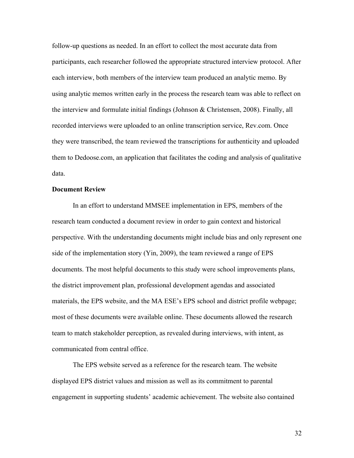follow-up questions as needed. In an effort to collect the most accurate data from participants, each researcher followed the appropriate structured interview protocol. After each interview, both members of the interview team produced an analytic memo. By using analytic memos written early in the process the research team was able to reflect on the interview and formulate initial findings (Johnson & Christensen, 2008). Finally, all recorded interviews were uploaded to an online transcription service, Rev.com. Once they were transcribed, the team reviewed the transcriptions for authenticity and uploaded them to Dedoose.com, an application that facilitates the coding and analysis of qualitative data.

# **Document Review**

In an effort to understand MMSEE implementation in EPS, members of the research team conducted a document review in order to gain context and historical perspective. With the understanding documents might include bias and only represent one side of the implementation story (Yin, 2009), the team reviewed a range of EPS documents. The most helpful documents to this study were school improvements plans, the district improvement plan, professional development agendas and associated materials, the EPS website, and the MA ESE's EPS school and district profile webpage; most of these documents were available online. These documents allowed the research team to match stakeholder perception, as revealed during interviews, with intent, as communicated from central office.

The EPS website served as a reference for the research team. The website displayed EPS district values and mission as well as its commitment to parental engagement in supporting students' academic achievement. The website also contained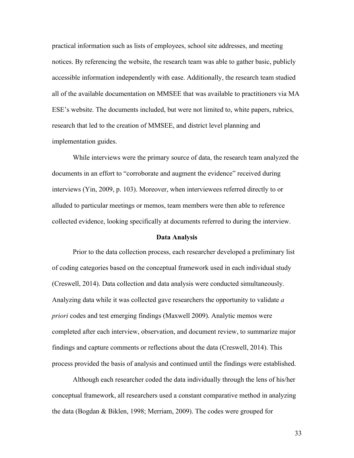practical information such as lists of employees, school site addresses, and meeting notices. By referencing the website, the research team was able to gather basic, publicly accessible information independently with ease. Additionally, the research team studied all of the available documentation on MMSEE that was available to practitioners via MA ESE's website. The documents included, but were not limited to, white papers, rubrics, research that led to the creation of MMSEE, and district level planning and implementation guides.

While interviews were the primary source of data, the research team analyzed the documents in an effort to "corroborate and augment the evidence" received during interviews (Yin, 2009, p. 103). Moreover, when interviewees referred directly to or alluded to particular meetings or memos, team members were then able to reference collected evidence, looking specifically at documents referred to during the interview.

# **Data Analysis**

Prior to the data collection process, each researcher developed a preliminary list of coding categories based on the conceptual framework used in each individual study (Creswell, 2014). Data collection and data analysis were conducted simultaneously. Analyzing data while it was collected gave researchers the opportunity to validate *a priori* codes and test emerging findings (Maxwell 2009). Analytic memos were completed after each interview, observation, and document review, to summarize major findings and capture comments or reflections about the data (Creswell, 2014). This process provided the basis of analysis and continued until the findings were established.

Although each researcher coded the data individually through the lens of his/her conceptual framework, all researchers used a constant comparative method in analyzing the data (Bogdan & Biklen, 1998; Merriam, 2009). The codes were grouped for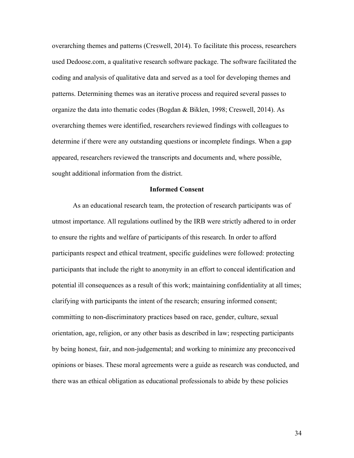overarching themes and patterns (Creswell, 2014). To facilitate this process, researchers used Dedoose.com, a qualitative research software package. The software facilitated the coding and analysis of qualitative data and served as a tool for developing themes and patterns. Determining themes was an iterative process and required several passes to organize the data into thematic codes (Bogdan & Biklen, 1998; Creswell, 2014). As overarching themes were identified, researchers reviewed findings with colleagues to determine if there were any outstanding questions or incomplete findings. When a gap appeared, researchers reviewed the transcripts and documents and, where possible, sought additional information from the district.

# **Informed Consent**

As an educational research team, the protection of research participants was of utmost importance. All regulations outlined by the IRB were strictly adhered to in order to ensure the rights and welfare of participants of this research. In order to afford participants respect and ethical treatment, specific guidelines were followed: protecting participants that include the right to anonymity in an effort to conceal identification and potential ill consequences as a result of this work; maintaining confidentiality at all times; clarifying with participants the intent of the research; ensuring informed consent; committing to non-discriminatory practices based on race, gender, culture, sexual orientation, age, religion, or any other basis as described in law; respecting participants by being honest, fair, and non-judgemental; and working to minimize any preconceived opinions or biases. These moral agreements were a guide as research was conducted, and there was an ethical obligation as educational professionals to abide by these policies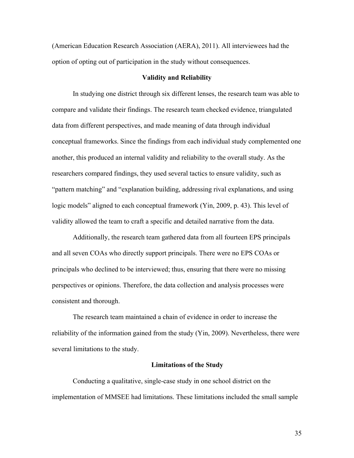(American Education Research Association (AERA), 2011). All interviewees had the option of opting out of participation in the study without consequences.

# **Validity and Reliability**

In studying one district through six different lenses, the research team was able to compare and validate their findings. The research team checked evidence, triangulated data from different perspectives, and made meaning of data through individual conceptual frameworks. Since the findings from each individual study complemented one another, this produced an internal validity and reliability to the overall study. As the researchers compared findings, they used several tactics to ensure validity, such as "pattern matching" and "explanation building, addressing rival explanations, and using logic models" aligned to each conceptual framework (Yin, 2009, p. 43). This level of validity allowed the team to craft a specific and detailed narrative from the data.

Additionally, the research team gathered data from all fourteen EPS principals and all seven COAs who directly support principals. There were no EPS COAs or principals who declined to be interviewed; thus, ensuring that there were no missing perspectives or opinions. Therefore, the data collection and analysis processes were consistent and thorough.

The research team maintained a chain of evidence in order to increase the reliability of the information gained from the study (Yin, 2009). Nevertheless, there were several limitations to the study.

#### **Limitations of the Study**

Conducting a qualitative, single-case study in one school district on the implementation of MMSEE had limitations. These limitations included the small sample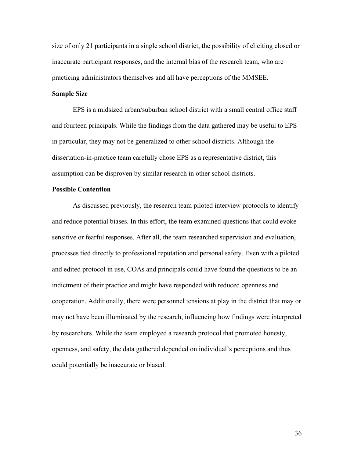size of only 21 participants in a single school district, the possibility of eliciting closed or inaccurate participant responses, and the internal bias of the research team, who are practicing administrators themselves and all have perceptions of the MMSEE.

# **Sample Size**

EPS is a midsized urban/suburban school district with a small central office staff and fourteen principals. While the findings from the data gathered may be useful to EPS in particular, they may not be generalized to other school districts. Although the dissertation-in-practice team carefully chose EPS as a representative district, this assumption can be disproven by similar research in other school districts.

# **Possible Contention**

As discussed previously, the research team piloted interview protocols to identify and reduce potential biases. In this effort, the team examined questions that could evoke sensitive or fearful responses. After all, the team researched supervision and evaluation, processes tied directly to professional reputation and personal safety. Even with a piloted and edited protocol in use, COAs and principals could have found the questions to be an indictment of their practice and might have responded with reduced openness and cooperation. Additionally, there were personnel tensions at play in the district that may or may not have been illuminated by the research, influencing how findings were interpreted by researchers. While the team employed a research protocol that promoted honesty, openness, and safety, the data gathered depended on individual's perceptions and thus could potentially be inaccurate or biased.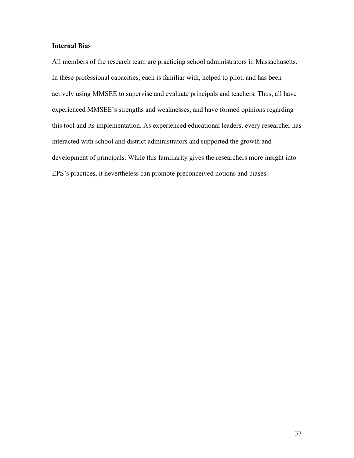# **Internal Bias**

All members of the research team are practicing school administrators in Massachusetts. In these professional capacities, each is familiar with, helped to pilot, and has been actively using MMSEE to supervise and evaluate principals and teachers. Thus, all have experienced MMSEE's strengths and weaknesses, and have formed opinions regarding this tool and its implementation. As experienced educational leaders, every researcher has interacted with school and district administrators and supported the growth and development of principals. While this familiarity gives the researchers more insight into EPS's practices, it nevertheless can promote preconceived notions and biases.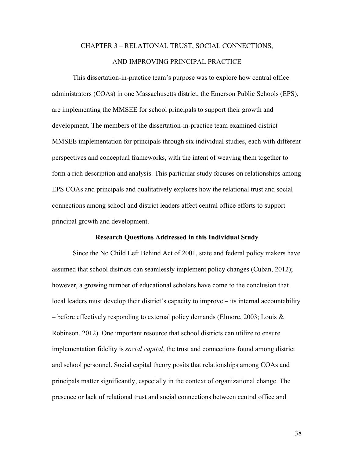# CHAPTER 3 – RELATIONAL TRUST, SOCIAL CONNECTIONS, AND IMPROVING PRINCIPAL PRACTICE

This dissertation-in-practice team's purpose was to explore how central office administrators (COAs) in one Massachusetts district, the Emerson Public Schools (EPS), are implementing the MMSEE for school principals to support their growth and development. The members of the dissertation-in-practice team examined district MMSEE implementation for principals through six individual studies, each with different perspectives and conceptual frameworks, with the intent of weaving them together to form a rich description and analysis. This particular study focuses on relationships among EPS COAs and principals and qualitatively explores how the relational trust and social connections among school and district leaders affect central office efforts to support principal growth and development.

# **Research Questions Addressed in this Individual Study**

Since the No Child Left Behind Act of 2001, state and federal policy makers have assumed that school districts can seamlessly implement policy changes (Cuban, 2012); however, a growing number of educational scholars have come to the conclusion that local leaders must develop their district's capacity to improve – its internal accountability – before effectively responding to external policy demands (Elmore, 2003; Louis  $\&$ Robinson, 2012). One important resource that school districts can utilize to ensure implementation fidelity is *social capital*, the trust and connections found among district and school personnel. Social capital theory posits that relationships among COAs and principals matter significantly, especially in the context of organizational change. The presence or lack of relational trust and social connections between central office and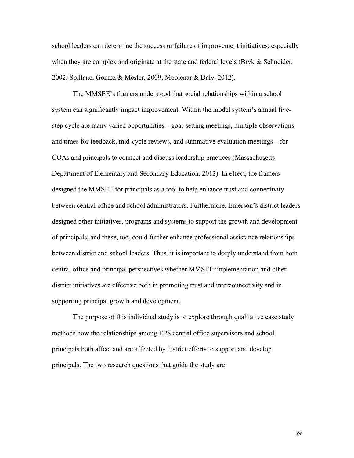school leaders can determine the success or failure of improvement initiatives, especially when they are complex and originate at the state and federal levels (Bryk & Schneider, 2002; Spillane, Gomez & Mesler, 2009; Moolenar & Daly, 2012).

The MMSEE's framers understood that social relationships within a school system can significantly impact improvement. Within the model system's annual fivestep cycle are many varied opportunities – goal-setting meetings, multiple observations and times for feedback, mid-cycle reviews, and summative evaluation meetings – for COAs and principals to connect and discuss leadership practices (Massachusetts Department of Elementary and Secondary Education, 2012). In effect, the framers designed the MMSEE for principals as a tool to help enhance trust and connectivity between central office and school administrators. Furthermore, Emerson's district leaders designed other initiatives, programs and systems to support the growth and development of principals, and these, too, could further enhance professional assistance relationships between district and school leaders. Thus, it is important to deeply understand from both central office and principal perspectives whether MMSEE implementation and other district initiatives are effective both in promoting trust and interconnectivity and in supporting principal growth and development.

The purpose of this individual study is to explore through qualitative case study methods how the relationships among EPS central office supervisors and school principals both affect and are affected by district efforts to support and develop principals. The two research questions that guide the study are: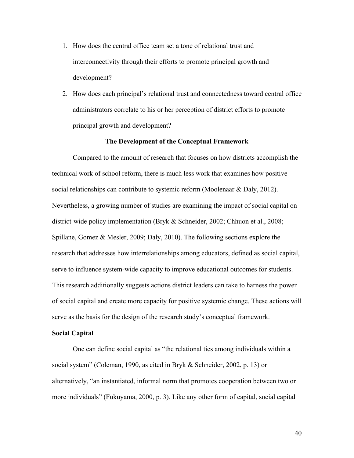- 1. How does the central office team set a tone of relational trust and interconnectivity through their efforts to promote principal growth and development?
- 2. How does each principal's relational trust and connectedness toward central office administrators correlate to his or her perception of district efforts to promote principal growth and development?

# **The Development of the Conceptual Framework**

Compared to the amount of research that focuses on how districts accomplish the technical work of school reform, there is much less work that examines how positive social relationships can contribute to systemic reform (Moolenaar & Daly, 2012). Nevertheless, a growing number of studies are examining the impact of social capital on district-wide policy implementation (Bryk & Schneider, 2002; Chhuon et al., 2008; Spillane, Gomez & Mesler, 2009; Daly, 2010). The following sections explore the research that addresses how interrelationships among educators, defined as social capital, serve to influence system-wide capacity to improve educational outcomes for students. This research additionally suggests actions district leaders can take to harness the power of social capital and create more capacity for positive systemic change. These actions will serve as the basis for the design of the research study's conceptual framework.

#### **Social Capital**

One can define social capital as "the relational ties among individuals within a social system" (Coleman, 1990, as cited in Bryk & Schneider, 2002, p. 13) or alternatively, "an instantiated, informal norm that promotes cooperation between two or more individuals" (Fukuyama, 2000, p. 3). Like any other form of capital, social capital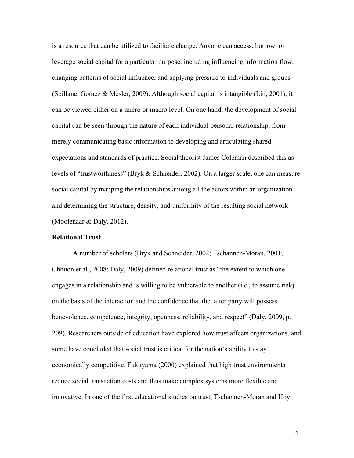is a resource that can be utilized to facilitate change. Anyone can access, borrow, or leverage social capital for a particular purpose, including influencing information flow, changing patterns of social influence, and applying pressure to individuals and groups (Spillane, Gomez & Mesler, 2009). Although social capital is intangible (Lin, 2001), it can be viewed either on a micro or macro level. On one hand, the development of social capital can be seen through the nature of each individual personal relationship, from merely communicating basic information to developing and articulating shared expectations and standards of practice. Social theorist James Coleman described this as levels of "trustworthiness" (Bryk & Schneider, 2002). On a larger scale, one can measure social capital by mapping the relationships among all the actors within an organization and determining the structure, density, and uniformity of the resulting social network (Moolenaar & Daly, 2012).

# **Relational Trust**

A number of scholars (Bryk and Schneider, 2002; Tschannen-Moran, 2001; Chhuon et al., 2008; Daly, 2009) defined relational trust as "the extent to which one engages in a relationship and is willing to be vulnerable to another (i.e., to assume risk) on the basis of the interaction and the confidence that the latter party will possess benevolence, competence, integrity, openness, reliability, and respect" (Daly, 2009, p. 209). Researchers outside of education have explored how trust affects organizations, and some have concluded that social trust is critical for the nation's ability to stay economically competitive. Fukuyama (2000) explained that high trust environments reduce social transaction costs and thus make complex systems more flexible and innovative. In one of the first educational studies on trust, Tschannen-Moran and Hoy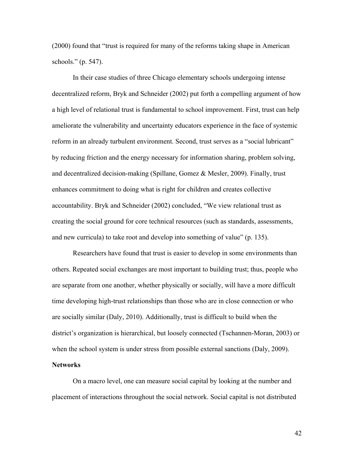(2000) found that "trust is required for many of the reforms taking shape in American schools." (p. 547).

In their case studies of three Chicago elementary schools undergoing intense decentralized reform, Bryk and Schneider (2002) put forth a compelling argument of how a high level of relational trust is fundamental to school improvement. First, trust can help ameliorate the vulnerability and uncertainty educators experience in the face of systemic reform in an already turbulent environment. Second, trust serves as a "social lubricant" by reducing friction and the energy necessary for information sharing, problem solving, and decentralized decision-making (Spillane, Gomez & Mesler, 2009). Finally, trust enhances commitment to doing what is right for children and creates collective accountability. Bryk and Schneider (2002) concluded, "We view relational trust as creating the social ground for core technical resources (such as standards, assessments, and new curricula) to take root and develop into something of value" (p. 135).

Researchers have found that trust is easier to develop in some environments than others. Repeated social exchanges are most important to building trust; thus, people who are separate from one another, whether physically or socially, will have a more difficult time developing high-trust relationships than those who are in close connection or who are socially similar (Daly, 2010). Additionally, trust is difficult to build when the district's organization is hierarchical, but loosely connected (Tschannen-Moran, 2003) or when the school system is under stress from possible external sanctions (Daly, 2009).

# **Networks**

On a macro level, one can measure social capital by looking at the number and placement of interactions throughout the social network. Social capital is not distributed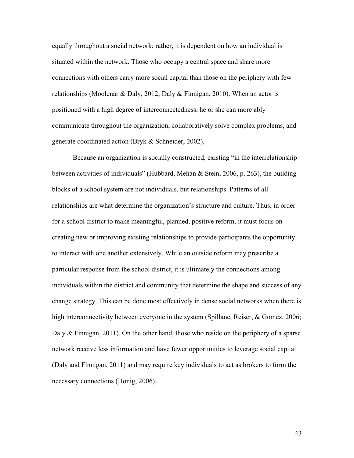equally throughout a social network; rather, it is dependent on how an individual is situated within the network. Those who occupy a central space and share more connections with others carry more social capital than those on the periphery with few relationships (Moolenar & Daly, 2012; Daly & Finnigan, 2010). When an actor is positioned with a high degree of interconnectedness, he or she can more ably communicate throughout the organization, collaboratively solve complex problems, and generate coordinated action (Bryk & Schneider, 2002).

Because an organization is socially constructed, existing "in the interrelationship between activities of individuals" (Hubbard, Mehan & Stein, 2006, p. 263), the building blocks of a school system are not individuals, but relationships. Patterns of all relationships are what determine the organization's structure and culture. Thus, in order for a school district to make meaningful, planned, positive reform, it must focus on creating new or improving existing relationships to provide participants the opportunity to interact with one another extensively. While an outside reform may prescribe a particular response from the school district, it is ultimately the connections among individuals within the district and community that determine the shape and success of any change strategy. This can be done most effectively in dense social networks when there is high interconnectivity between everyone in the system (Spillane, Reiser, & Gomez, 2006; Daly & Finnigan, 2011). On the other hand, those who reside on the periphery of a sparse network receive less information and have fewer opportunities to leverage social capital (Daly and Finnigan, 2011) and may require key individuals to act as brokers to form the necessary connections (Honig, 2006).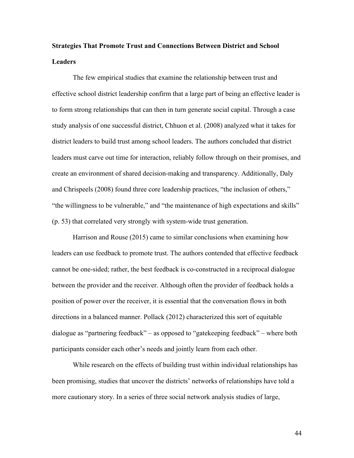# **Strategies That Promote Trust and Connections Between District and School Leaders**

The few empirical studies that examine the relationship between trust and effective school district leadership confirm that a large part of being an effective leader is to form strong relationships that can then in turn generate social capital. Through a case study analysis of one successful district, Chhuon et al. (2008) analyzed what it takes for district leaders to build trust among school leaders. The authors concluded that district leaders must carve out time for interaction, reliably follow through on their promises, and create an environment of shared decision-making and transparency. Additionally, Daly and Chrispeels (2008) found three core leadership practices, "the inclusion of others," "the willingness to be vulnerable," and "the maintenance of high expectations and skills" (p. 53) that correlated very strongly with system-wide trust generation.

Harrison and Rouse (2015) came to similar conclusions when examining how leaders can use feedback to promote trust. The authors contended that effective feedback cannot be one-sided; rather, the best feedback is co-constructed in a reciprocal dialogue between the provider and the receiver. Although often the provider of feedback holds a position of power over the receiver, it is essential that the conversation flows in both directions in a balanced manner. Pollack (2012) characterized this sort of equitable dialogue as "partnering feedback" – as opposed to "gatekeeping feedback" – where both participants consider each other's needs and jointly learn from each other.

While research on the effects of building trust within individual relationships has been promising, studies that uncover the districts' networks of relationships have told a more cautionary story. In a series of three social network analysis studies of large,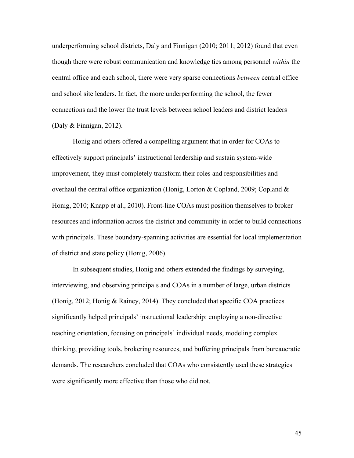underperforming school districts, Daly and Finnigan (2010; 2011; 2012) found that even though there were robust communication and knowledge ties among personnel *within* the central office and each school, there were very sparse connections *between* central office and school site leaders. In fact, the more underperforming the school, the fewer connections and the lower the trust levels between school leaders and district leaders (Daly & Finnigan, 2012).

Honig and others offered a compelling argument that in order for COAs to effectively support principals' instructional leadership and sustain system-wide improvement, they must completely transform their roles and responsibilities and overhaul the central office organization (Honig, Lorton & Copland, 2009; Copland & Honig, 2010; Knapp et al., 2010). Front-line COAs must position themselves to broker resources and information across the district and community in order to build connections with principals. These boundary-spanning activities are essential for local implementation of district and state policy (Honig, 2006).

In subsequent studies, Honig and others extended the findings by surveying, interviewing, and observing principals and COAs in a number of large, urban districts (Honig, 2012; Honig & Rainey, 2014). They concluded that specific COA practices significantly helped principals' instructional leadership: employing a non-directive teaching orientation, focusing on principals' individual needs, modeling complex thinking, providing tools, brokering resources, and buffering principals from bureaucratic demands. The researchers concluded that COAs who consistently used these strategies were significantly more effective than those who did not.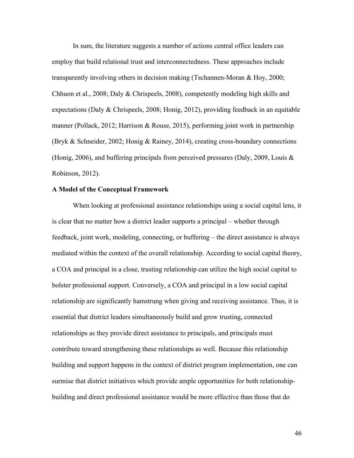In sum, the literature suggests a number of actions central office leaders can employ that build relational trust and interconnectedness. These approaches include transparently involving others in decision making (Tschannen-Moran & Hoy, 2000; Chhuon et al., 2008; Daly & Chrispeels, 2008), competently modeling high skills and expectations (Daly & Chrispeels, 2008; Honig, 2012), providing feedback in an equitable manner (Pollack, 2012; Harrison & Rouse, 2015), performing joint work in partnership (Bryk & Schneider, 2002; Honig & Rainey, 2014), creating cross-boundary connections (Honig, 2006), and buffering principals from perceived pressures (Daly, 2009, Louis & Robinson, 2012).

# **A Model of the Conceptual Framework**

When looking at professional assistance relationships using a social capital lens, it is clear that no matter how a district leader supports a principal – whether through feedback, joint work, modeling, connecting, or buffering – the direct assistance is always mediated within the context of the overall relationship. According to social capital theory, a COA and principal in a close, trusting relationship can utilize the high social capital to bolster professional support. Conversely, a COA and principal in a low social capital relationship are significantly hamstrung when giving and receiving assistance. Thus, it is essential that district leaders simultaneously build and grow trusting, connected relationships as they provide direct assistance to principals, and principals must contribute toward strengthening these relationships as well. Because this relationship building and support happens in the context of district program implementation, one can surmise that district initiatives which provide ample opportunities for both relationshipbuilding and direct professional assistance would be more effective than those that do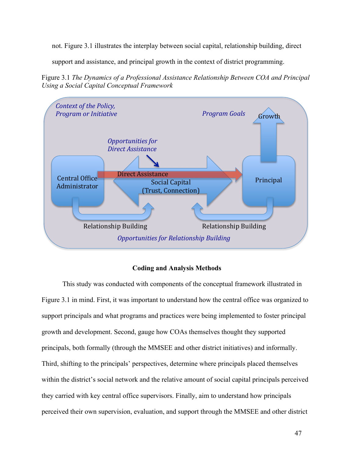not. Figure 3.1 illustrates the interplay between social capital, relationship building, direct

support and assistance, and principal growth in the context of district programming.

Figure 3.1 *The Dynamics of a Professional Assistance Relationship Between COA and Principal Using a Social Capital Conceptual Framework*



# **Coding and Analysis Methods**

This study was conducted with components of the conceptual framework illustrated in Figure 3.1 in mind. First, it was important to understand how the central office was organized to support principals and what programs and practices were being implemented to foster principal growth and development. Second, gauge how COAs themselves thought they supported principals, both formally (through the MMSEE and other district initiatives) and informally. Third, shifting to the principals' perspectives, determine where principals placed themselves within the district's social network and the relative amount of social capital principals perceived they carried with key central office supervisors. Finally, aim to understand how principals perceived their own supervision, evaluation, and support through the MMSEE and other district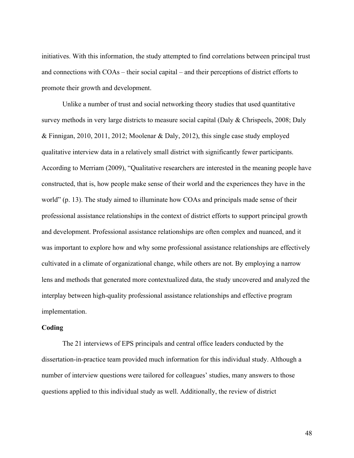initiatives. With this information, the study attempted to find correlations between principal trust and connections with COAs – their social capital – and their perceptions of district efforts to promote their growth and development.

Unlike a number of trust and social networking theory studies that used quantitative survey methods in very large districts to measure social capital (Daly & Chrispeels, 2008; Daly & Finnigan, 2010, 2011, 2012; Moolenar & Daly, 2012), this single case study employed qualitative interview data in a relatively small district with significantly fewer participants. According to Merriam (2009), "Qualitative researchers are interested in the meaning people have constructed, that is, how people make sense of their world and the experiences they have in the world" (p. 13). The study aimed to illuminate how COAs and principals made sense of their professional assistance relationships in the context of district efforts to support principal growth and development. Professional assistance relationships are often complex and nuanced, and it was important to explore how and why some professional assistance relationships are effectively cultivated in a climate of organizational change, while others are not. By employing a narrow lens and methods that generated more contextualized data, the study uncovered and analyzed the interplay between high-quality professional assistance relationships and effective program implementation.

# **Coding**

The 21 interviews of EPS principals and central office leaders conducted by the dissertation-in-practice team provided much information for this individual study. Although a number of interview questions were tailored for colleagues' studies, many answers to those questions applied to this individual study as well. Additionally, the review of district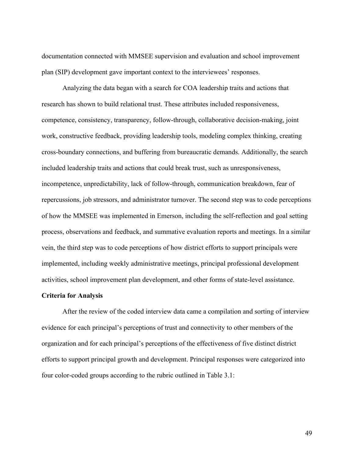documentation connected with MMSEE supervision and evaluation and school improvement plan (SIP) development gave important context to the interviewees' responses.

Analyzing the data began with a search for COA leadership traits and actions that research has shown to build relational trust. These attributes included responsiveness, competence, consistency, transparency, follow-through, collaborative decision-making, joint work, constructive feedback, providing leadership tools, modeling complex thinking, creating cross-boundary connections, and buffering from bureaucratic demands. Additionally, the search included leadership traits and actions that could break trust, such as unresponsiveness, incompetence, unpredictability, lack of follow-through, communication breakdown, fear of repercussions, job stressors, and administrator turnover. The second step was to code perceptions of how the MMSEE was implemented in Emerson, including the self-reflection and goal setting process, observations and feedback, and summative evaluation reports and meetings. In a similar vein, the third step was to code perceptions of how district efforts to support principals were implemented, including weekly administrative meetings, principal professional development activities, school improvement plan development, and other forms of state-level assistance.

# **Criteria for Analysis**

After the review of the coded interview data came a compilation and sorting of interview evidence for each principal's perceptions of trust and connectivity to other members of the organization and for each principal's perceptions of the effectiveness of five distinct district efforts to support principal growth and development. Principal responses were categorized into four color-coded groups according to the rubric outlined in Table 3.1: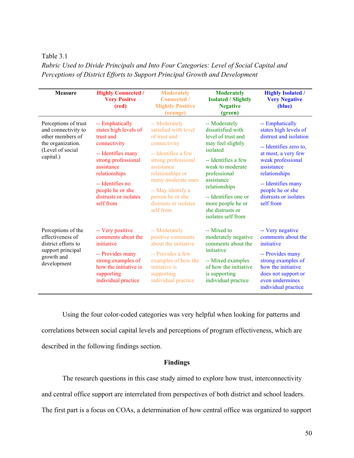# Table 3.1

*Rubric Used to Divide Principals and Into Four Categories: Level of Social Capital and Perceptions of District Efforts to Support Principal Growth and Development*

| <b>Measure</b>                                                                                                        | <b>Highly Connected /</b><br><b>Very Positve</b><br>(red)                                                                                                                                                                       | <b>Moderately</b><br><b>Connected</b> /<br><b>Slightly Positive</b><br>(orange)                                                                                                                                                                            | <b>Moderately</b><br><b>Isolated / Slightly</b><br><b>Negative</b><br>(green)                                                                                                                                                                                              | <b>Highly Isolated /</b><br><b>Very Negative</b><br>(blue)                                                                                                                                                                                              |
|-----------------------------------------------------------------------------------------------------------------------|---------------------------------------------------------------------------------------------------------------------------------------------------------------------------------------------------------------------------------|------------------------------------------------------------------------------------------------------------------------------------------------------------------------------------------------------------------------------------------------------------|----------------------------------------------------------------------------------------------------------------------------------------------------------------------------------------------------------------------------------------------------------------------------|---------------------------------------------------------------------------------------------------------------------------------------------------------------------------------------------------------------------------------------------------------|
| Perceptions of trust<br>and connectivity to<br>other members of<br>the organization.<br>(Level of social<br>capital.) | -- Emphatically<br>states high levels of<br>trust and<br>connectivity<br>-- Identifies many<br>strong professional<br>assistance<br>relationships<br>-- Identifies no<br>people he or she<br>distrusts or isolates<br>self from | -- Moderately<br>satisfied with level<br>of trust and<br>connectivity<br>-- Identifies a few<br>strong professional<br>assistance<br>relationships or<br>many moderate ones<br>-- May identify a<br>person he or she<br>distrusts or isolates<br>self from | -- Moderately<br>dissatisfied with<br>level of trust and<br>may feel slightly<br>isolated<br>-- Identifies a few<br>weak to moderate<br>professional<br>assistance<br>relationships<br>-- Identifies one or<br>more people he or<br>she distrusts or<br>isolates self from | -- Emphatically<br>states high levels of<br>distrust and isolation<br>-- Identifies zero to,<br>at most, a very few<br>weak professional<br>assistance<br>relationships<br>-- Identifies many<br>people he or she<br>distrusts or isolates<br>self from |
| Perceptions of the<br>effectiveness of<br>district efforts to<br>support principal<br>growth and<br>development       | -- Very positive<br>comments about the<br>initiative<br>-- Provides many<br>strong examples of<br>how the initiative is<br>supporting<br>individual practice                                                                    | -- Moderately<br>positive comments<br>about the initiative<br>-- Provides a few<br>examples of how the<br>initiative is<br>supporting<br>individual practice                                                                                               | -- Mixed to<br>moderately negative<br>comments about the<br>initiative<br>-- Mixed examples<br>of how the initiative<br>is supporting<br>individual practice                                                                                                               | -- Very negative<br>comments about the<br>initiative<br>-- Provides many<br>strong examples of<br>how the initiative<br>does not support or<br>even undermines<br>individual practice                                                                   |

Using the four color-coded categories was very helpful when looking for patterns and correlations between social capital levels and perceptions of program effectiveness, which are described in the following findings section.

# **Findings**

The research questions in this case study aimed to explore how trust, interconnectivity

and central office support are interrelated from perspectives of both district and school leaders.

The first part is a focus on COAs, a determination of how central office was organized to support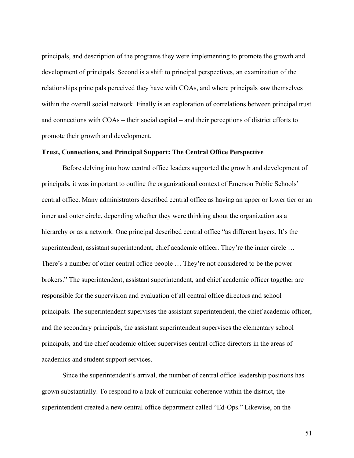principals, and description of the programs they were implementing to promote the growth and development of principals. Second is a shift to principal perspectives, an examination of the relationships principals perceived they have with COAs, and where principals saw themselves within the overall social network. Finally is an exploration of correlations between principal trust and connections with COAs – their social capital – and their perceptions of district efforts to promote their growth and development.

### **Trust, Connections, and Principal Support: The Central Office Perspective**

Before delving into how central office leaders supported the growth and development of principals, it was important to outline the organizational context of Emerson Public Schools' central office. Many administrators described central office as having an upper or lower tier or an inner and outer circle, depending whether they were thinking about the organization as a hierarchy or as a network. One principal described central office "as different layers. It's the superintendent, assistant superintendent, chief academic officer. They're the inner circle ... There's a number of other central office people … They're not considered to be the power brokers." The superintendent, assistant superintendent, and chief academic officer together are responsible for the supervision and evaluation of all central office directors and school principals. The superintendent supervises the assistant superintendent, the chief academic officer, and the secondary principals, the assistant superintendent supervises the elementary school principals, and the chief academic officer supervises central office directors in the areas of academics and student support services.

Since the superintendent's arrival, the number of central office leadership positions has grown substantially. To respond to a lack of curricular coherence within the district, the superintendent created a new central office department called "Ed-Ops." Likewise, on the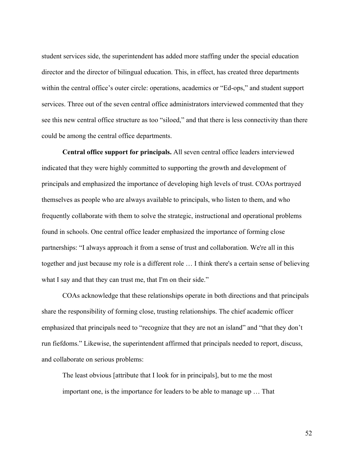student services side, the superintendent has added more staffing under the special education director and the director of bilingual education. This, in effect, has created three departments within the central office's outer circle: operations, academics or "Ed-ops," and student support services. Three out of the seven central office administrators interviewed commented that they see this new central office structure as too "siloed," and that there is less connectivity than there could be among the central office departments.

**Central office support for principals.** All seven central office leaders interviewed indicated that they were highly committed to supporting the growth and development of principals and emphasized the importance of developing high levels of trust. COAs portrayed themselves as people who are always available to principals, who listen to them, and who frequently collaborate with them to solve the strategic, instructional and operational problems found in schools. One central office leader emphasized the importance of forming close partnerships: "I always approach it from a sense of trust and collaboration. We're all in this together and just because my role is a different role … I think there's a certain sense of believing what I say and that they can trust me, that I'm on their side."

COAs acknowledge that these relationships operate in both directions and that principals share the responsibility of forming close, trusting relationships. The chief academic officer emphasized that principals need to "recognize that they are not an island" and "that they don't run fiefdoms." Likewise, the superintendent affirmed that principals needed to report, discuss, and collaborate on serious problems:

The least obvious [attribute that I look for in principals], but to me the most important one, is the importance for leaders to be able to manage up … That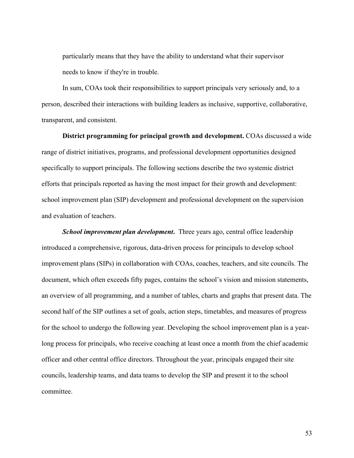particularly means that they have the ability to understand what their supervisor needs to know if they're in trouble.

In sum, COAs took their responsibilities to support principals very seriously and, to a person, described their interactions with building leaders as inclusive, supportive, collaborative, transparent, and consistent.

**District programming for principal growth and development.** COAs discussed a wide range of district initiatives, programs, and professional development opportunities designed specifically to support principals. The following sections describe the two systemic district efforts that principals reported as having the most impact for their growth and development: school improvement plan (SIP) development and professional development on the supervision and evaluation of teachers.

**School improvement plan development.** Three years ago, central office leadership introduced a comprehensive, rigorous, data-driven process for principals to develop school improvement plans (SIPs) in collaboration with COAs, coaches, teachers, and site councils. The document, which often exceeds fifty pages, contains the school's vision and mission statements, an overview of all programming, and a number of tables, charts and graphs that present data. The second half of the SIP outlines a set of goals, action steps, timetables, and measures of progress for the school to undergo the following year. Developing the school improvement plan is a yearlong process for principals, who receive coaching at least once a month from the chief academic officer and other central office directors. Throughout the year, principals engaged their site councils, leadership teams, and data teams to develop the SIP and present it to the school committee.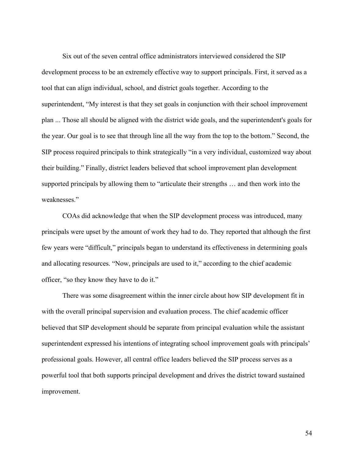Six out of the seven central office administrators interviewed considered the SIP development process to be an extremely effective way to support principals. First, it served as a tool that can align individual, school, and district goals together. According to the superintendent, "My interest is that they set goals in conjunction with their school improvement plan ... Those all should be aligned with the district wide goals, and the superintendent's goals for the year. Our goal is to see that through line all the way from the top to the bottom." Second, the SIP process required principals to think strategically "in a very individual, customized way about their building." Finally, district leaders believed that school improvement plan development supported principals by allowing them to "articulate their strengths … and then work into the weaknesses."

COAs did acknowledge that when the SIP development process was introduced, many principals were upset by the amount of work they had to do. They reported that although the first few years were "difficult," principals began to understand its effectiveness in determining goals and allocating resources. "Now, principals are used to it," according to the chief academic officer, "so they know they have to do it."

There was some disagreement within the inner circle about how SIP development fit in with the overall principal supervision and evaluation process. The chief academic officer believed that SIP development should be separate from principal evaluation while the assistant superintendent expressed his intentions of integrating school improvement goals with principals' professional goals. However, all central office leaders believed the SIP process serves as a powerful tool that both supports principal development and drives the district toward sustained improvement.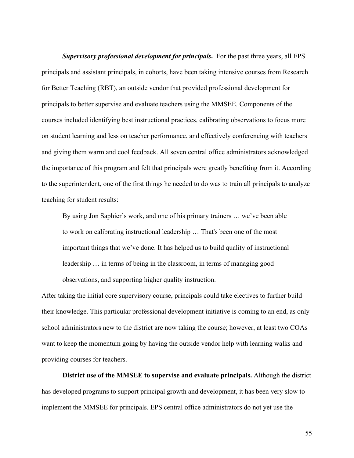*Supervisory professional development for principals***.** For the past three years, all EPS principals and assistant principals, in cohorts, have been taking intensive courses from Research for Better Teaching (RBT), an outside vendor that provided professional development for principals to better supervise and evaluate teachers using the MMSEE. Components of the courses included identifying best instructional practices, calibrating observations to focus more on student learning and less on teacher performance, and effectively conferencing with teachers and giving them warm and cool feedback. All seven central office administrators acknowledged the importance of this program and felt that principals were greatly benefiting from it. According to the superintendent, one of the first things he needed to do was to train all principals to analyze teaching for student results:

By using Jon Saphier's work, and one of his primary trainers … we've been able to work on calibrating instructional leadership … That's been one of the most important things that we've done. It has helped us to build quality of instructional leadership … in terms of being in the classroom, in terms of managing good observations, and supporting higher quality instruction.

After taking the initial core supervisory course, principals could take electives to further build their knowledge. This particular professional development initiative is coming to an end, as only school administrators new to the district are now taking the course; however, at least two COAs want to keep the momentum going by having the outside vendor help with learning walks and providing courses for teachers.

**District use of the MMSEE to supervise and evaluate principals.** Although the district has developed programs to support principal growth and development, it has been very slow to implement the MMSEE for principals. EPS central office administrators do not yet use the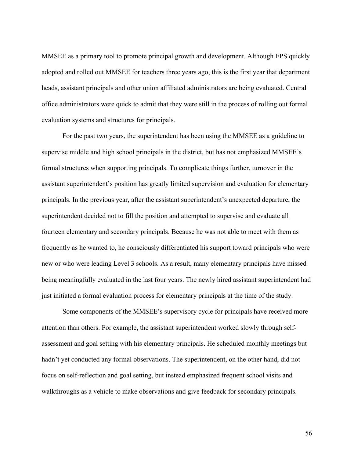MMSEE as a primary tool to promote principal growth and development. Although EPS quickly adopted and rolled out MMSEE for teachers three years ago, this is the first year that department heads, assistant principals and other union affiliated administrators are being evaluated. Central office administrators were quick to admit that they were still in the process of rolling out formal evaluation systems and structures for principals.

For the past two years, the superintendent has been using the MMSEE as a guideline to supervise middle and high school principals in the district, but has not emphasized MMSEE's formal structures when supporting principals. To complicate things further, turnover in the assistant superintendent's position has greatly limited supervision and evaluation for elementary principals. In the previous year, after the assistant superintendent's unexpected departure, the superintendent decided not to fill the position and attempted to supervise and evaluate all fourteen elementary and secondary principals. Because he was not able to meet with them as frequently as he wanted to, he consciously differentiated his support toward principals who were new or who were leading Level 3 schools. As a result, many elementary principals have missed being meaningfully evaluated in the last four years. The newly hired assistant superintendent had just initiated a formal evaluation process for elementary principals at the time of the study.

Some components of the MMSEE's supervisory cycle for principals have received more attention than others. For example, the assistant superintendent worked slowly through selfassessment and goal setting with his elementary principals. He scheduled monthly meetings but hadn't yet conducted any formal observations. The superintendent, on the other hand, did not focus on self-reflection and goal setting, but instead emphasized frequent school visits and walkthroughs as a vehicle to make observations and give feedback for secondary principals.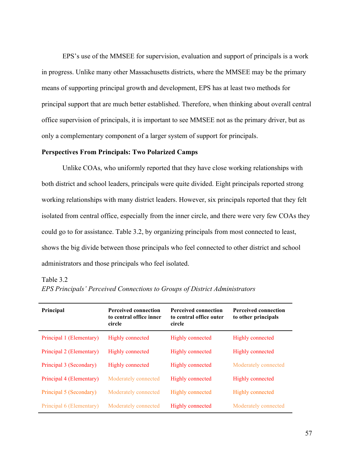EPS's use of the MMSEE for supervision, evaluation and support of principals is a work in progress. Unlike many other Massachusetts districts, where the MMSEE may be the primary means of supporting principal growth and development, EPS has at least two methods for principal support that are much better established. Therefore, when thinking about overall central office supervision of principals, it is important to see MMSEE not as the primary driver, but as only a complementary component of a larger system of support for principals.

# **Perspectives From Principals: Two Polarized Camps**

Unlike COAs, who uniformly reported that they have close working relationships with both district and school leaders, principals were quite divided. Eight principals reported strong working relationships with many district leaders. However, six principals reported that they felt isolated from central office, especially from the inner circle, and there were very few COAs they could go to for assistance. Table 3.2, by organizing principals from most connected to least, shows the big divide between those principals who feel connected to other district and school administrators and those principals who feel isolated.

#### Table 3.2

| Principal                | <b>Perceived connection</b><br>to central office inner<br>circle | <b>Perceived connection</b><br>to central office outer<br>circle | <b>Perceived connection</b><br>to other principals |
|--------------------------|------------------------------------------------------------------|------------------------------------------------------------------|----------------------------------------------------|
| Principal 1 (Elementary) | Highly connected                                                 | Highly connected                                                 | Highly connected                                   |
| Principal 2 (Elementary) | Highly connected                                                 | Highly connected                                                 | Highly connected                                   |
| Principal 3 (Secondary)  | Highly connected                                                 | Highly connected                                                 | Moderately connected                               |
| Principal 4 (Elementary) | Moderately connected                                             | Highly connected                                                 | Highly connected                                   |
| Principal 5 (Secondary)  | Moderately connected                                             | Highly connected                                                 | <b>Highly connected</b>                            |
| Principal 6 (Elementary) | Moderately connected                                             | Highly connected                                                 | Moderately connected                               |

*EPS Principals' Perceived Connections to Groups of District Administrators*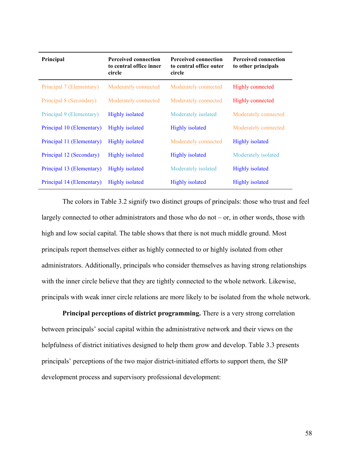| Principal                 | <b>Perceived connection</b><br>to central office inner<br>circle | <b>Perceived connection</b><br>to central office outer<br>circle | <b>Perceived connection</b><br>to other principals |
|---------------------------|------------------------------------------------------------------|------------------------------------------------------------------|----------------------------------------------------|
| Principal 7 (Elementary)  | Moderately connected                                             | Moderately connected                                             | Highly connected                                   |
| Principal 8 (Secondary)   | Moderately connected                                             | Moderately connected                                             | Highly connected                                   |
| Principal 9 (Elementary)  | <b>Highly</b> isolated                                           | Moderately isolated                                              | Moderately connected                               |
| Principal 10 (Elementary) | <b>Highly isolated</b>                                           | <b>Highly</b> isolated                                           | Moderately connected                               |
| Principal 11 (Elementary) | Highly isolated                                                  | Moderately connected                                             | Highly isolated                                    |
| Principal 12 (Secondary)  | <b>Highly isolated</b>                                           | <b>Highly</b> isolated                                           | Moderately isolated                                |
| Principal 13 (Elementary) | <b>Highly isolated</b>                                           | Moderately isolated                                              | Highly isolated                                    |
| Principal 14 (Elementary) | <b>Highly isolated</b>                                           | <b>Highly</b> isolated                                           | <b>Highly</b> isolated                             |

The colors in Table 3.2 signify two distinct groups of principals: those who trust and feel largely connected to other administrators and those who do not – or, in other words, those with high and low social capital. The table shows that there is not much middle ground. Most principals report themselves either as highly connected to or highly isolated from other administrators. Additionally, principals who consider themselves as having strong relationships with the inner circle believe that they are tightly connected to the whole network. Likewise, principals with weak inner circle relations are more likely to be isolated from the whole network.

**Principal perceptions of district programming.** There is a very strong correlation between principals' social capital within the administrative network and their views on the helpfulness of district initiatives designed to help them grow and develop. Table 3.3 presents principals' perceptions of the two major district-initiated efforts to support them, the SIP development process and supervisory professional development: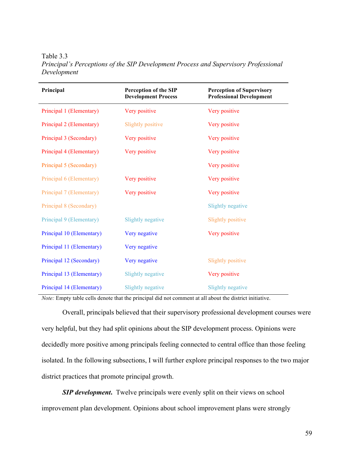Table 3.3 *Principal's Perceptions of the SIP Development Process and Supervisory Professional Development*

| Principal                 | <b>Perception of the SIP</b><br><b>Development Process</b> | <b>Perception of Supervisory</b><br><b>Professional Development</b> |
|---------------------------|------------------------------------------------------------|---------------------------------------------------------------------|
| Principal 1 (Elementary)  | Very positive                                              | Very positive                                                       |
| Principal 2 (Elementary)  | Slightly positive                                          | Very positive                                                       |
| Principal 3 (Secondary)   | Very positive                                              | Very positive                                                       |
| Principal 4 (Elementary)  | Very positive                                              | Very positive                                                       |
| Principal 5 (Secondary)   |                                                            | Very positive                                                       |
| Principal 6 (Elementary)  | Very positive                                              | Very positive                                                       |
| Principal 7 (Elementary)  | Very positive                                              | Very positive                                                       |
| Principal 8 (Secondary)   |                                                            | <b>Slightly negative</b>                                            |
| Principal 9 (Elementary)  | Slightly negative                                          | Slightly positive                                                   |
| Principal 10 (Elementary) | Very negative                                              | Very positive                                                       |
| Principal 11 (Elementary) | Very negative                                              |                                                                     |
| Principal 12 (Secondary)  | Very negative                                              | Slightly positive                                                   |
| Principal 13 (Elementary) | Slightly negative                                          | Very positive                                                       |
| Principal 14 (Elementary) | Slightly negative                                          | <b>Slightly negative</b>                                            |

*Note:* Empty table cells denote that the principal did not comment at all about the district initiative.

Overall, principals believed that their supervisory professional development courses were very helpful, but they had split opinions about the SIP development process. Opinions were decidedly more positive among principals feeling connected to central office than those feeling isolated. In the following subsections, I will further explore principal responses to the two major district practices that promote principal growth.

**SIP development.** Twelve principals were evenly split on their views on school improvement plan development. Opinions about school improvement plans were strongly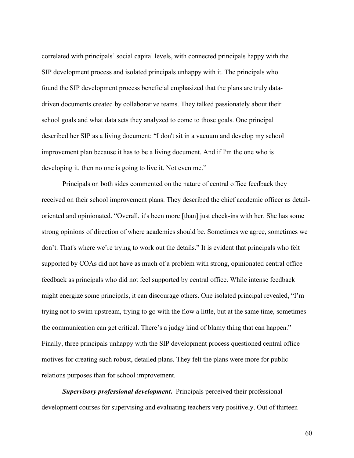correlated with principals' social capital levels, with connected principals happy with the SIP development process and isolated principals unhappy with it. The principals who found the SIP development process beneficial emphasized that the plans are truly datadriven documents created by collaborative teams. They talked passionately about their school goals and what data sets they analyzed to come to those goals. One principal described her SIP as a living document: "I don't sit in a vacuum and develop my school improvement plan because it has to be a living document. And if I'm the one who is developing it, then no one is going to live it. Not even me."

Principals on both sides commented on the nature of central office feedback they received on their school improvement plans. They described the chief academic officer as detailoriented and opinionated. "Overall, it's been more [than] just check-ins with her. She has some strong opinions of direction of where academics should be. Sometimes we agree, sometimes we don't. That's where we're trying to work out the details." It is evident that principals who felt supported by COAs did not have as much of a problem with strong, opinionated central office feedback as principals who did not feel supported by central office. While intense feedback might energize some principals, it can discourage others. One isolated principal revealed, "I'm trying not to swim upstream, trying to go with the flow a little, but at the same time, sometimes the communication can get critical. There's a judgy kind of blamy thing that can happen." Finally, three principals unhappy with the SIP development process questioned central office motives for creating such robust, detailed plans. They felt the plans were more for public relations purposes than for school improvement.

*Supervisory professional development***.** Principals perceived their professional development courses for supervising and evaluating teachers very positively. Out of thirteen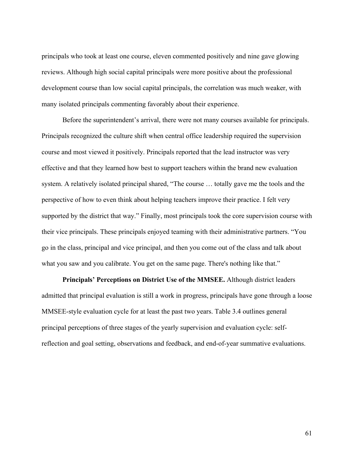principals who took at least one course, eleven commented positively and nine gave glowing reviews. Although high social capital principals were more positive about the professional development course than low social capital principals, the correlation was much weaker, with many isolated principals commenting favorably about their experience.

Before the superintendent's arrival, there were not many courses available for principals. Principals recognized the culture shift when central office leadership required the supervision course and most viewed it positively. Principals reported that the lead instructor was very effective and that they learned how best to support teachers within the brand new evaluation system. A relatively isolated principal shared, "The course … totally gave me the tools and the perspective of how to even think about helping teachers improve their practice. I felt very supported by the district that way." Finally, most principals took the core supervision course with their vice principals. These principals enjoyed teaming with their administrative partners. "You go in the class, principal and vice principal, and then you come out of the class and talk about what you saw and you calibrate. You get on the same page. There's nothing like that."

**Principals' Perceptions on District Use of the MMSEE.** Although district leaders admitted that principal evaluation is still a work in progress, principals have gone through a loose MMSEE-style evaluation cycle for at least the past two years. Table 3.4 outlines general principal perceptions of three stages of the yearly supervision and evaluation cycle: selfreflection and goal setting, observations and feedback, and end-of-year summative evaluations.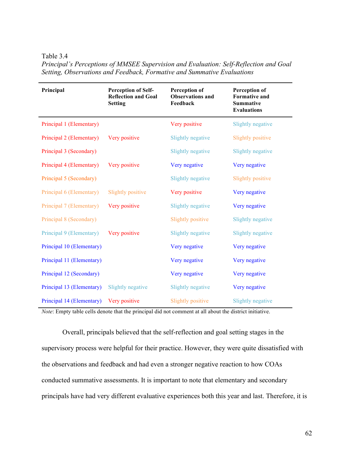Table 3.4

| Principal                 | <b>Perception of Self-</b><br><b>Reflection and Goal</b><br><b>Setting</b> | Perception of<br><b>Observations and</b><br>Feedback | Perception of<br><b>Formative and</b><br><b>Summative</b><br><b>Evaluations</b> |
|---------------------------|----------------------------------------------------------------------------|------------------------------------------------------|---------------------------------------------------------------------------------|
| Principal 1 (Elementary)  |                                                                            | Very positive                                        | Slightly negative                                                               |
| Principal 2 (Elementary)  | Very positive                                                              | <b>Slightly negative</b>                             | <b>Slightly positive</b>                                                        |
| Principal 3 (Secondary)   |                                                                            | <b>Slightly negative</b>                             | <b>Slightly negative</b>                                                        |
| Principal 4 (Elementary)  | Very positive                                                              | Very negative                                        | Very negative                                                                   |
| Principal 5 (Secondary)   |                                                                            | Slightly negative                                    | <b>Slightly positive</b>                                                        |
| Principal 6 (Elementary)  | <b>Slightly positive</b>                                                   | Very positive                                        | Very negative                                                                   |
| Principal 7 (Elementary)  | Very positive                                                              | <b>Slightly negative</b>                             | Very negative                                                                   |
| Principal 8 (Secondary)   |                                                                            | Slightly positive                                    | <b>Slightly negative</b>                                                        |
| Principal 9 (Elementary)  | Very positive                                                              | Slightly negative                                    | <b>Slightly negative</b>                                                        |
| Principal 10 (Elementary) |                                                                            | Very negative                                        | Very negative                                                                   |
| Principal 11 (Elementary) |                                                                            | Very negative                                        | Very negative                                                                   |
| Principal 12 (Secondary)  |                                                                            | Very negative                                        | Very negative                                                                   |
| Principal 13 (Elementary) | Slightly negative                                                          | <b>Slightly negative</b>                             | Very negative                                                                   |
| Principal 14 (Elementary) | Very positive                                                              | Slightly positive                                    | <b>Slightly negative</b>                                                        |

*Principal's Perceptions of MMSEE Supervision and Evaluation: Self-Reflection and Goal Setting, Observations and Feedback, Formative and Summative Evaluations*

*Note*: Empty table cells denote that the principal did not comment at all about the district initiative.

Overall, principals believed that the self-reflection and goal setting stages in the supervisory process were helpful for their practice. However, they were quite dissatisfied with the observations and feedback and had even a stronger negative reaction to how COAs conducted summative assessments. It is important to note that elementary and secondary principals have had very different evaluative experiences both this year and last. Therefore, it is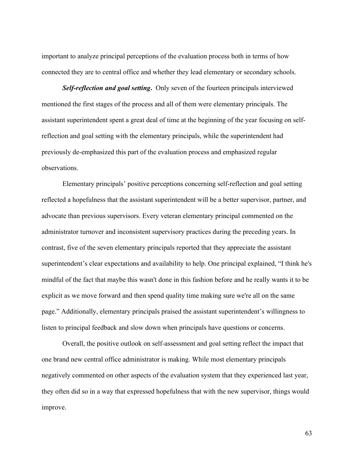important to analyze principal perceptions of the evaluation process both in terms of how connected they are to central office and whether they lead elementary or secondary schools.

*Self-reflection and goal setting***.** Only seven of the fourteen principals interviewed mentioned the first stages of the process and all of them were elementary principals. The assistant superintendent spent a great deal of time at the beginning of the year focusing on selfreflection and goal setting with the elementary principals, while the superintendent had previously de-emphasized this part of the evaluation process and emphasized regular observations.

Elementary principals' positive perceptions concerning self-reflection and goal setting reflected a hopefulness that the assistant superintendent will be a better supervisor, partner, and advocate than previous supervisors. Every veteran elementary principal commented on the administrator turnover and inconsistent supervisory practices during the preceding years. In contrast, five of the seven elementary principals reported that they appreciate the assistant superintendent's clear expectations and availability to help. One principal explained, "I think he's mindful of the fact that maybe this wasn't done in this fashion before and he really wants it to be explicit as we move forward and then spend quality time making sure we're all on the same page." Additionally, elementary principals praised the assistant superintendent's willingness to listen to principal feedback and slow down when principals have questions or concerns.

Overall, the positive outlook on self-assessment and goal setting reflect the impact that one brand new central office administrator is making. While most elementary principals negatively commented on other aspects of the evaluation system that they experienced last year, they often did so in a way that expressed hopefulness that with the new supervisor, things would improve.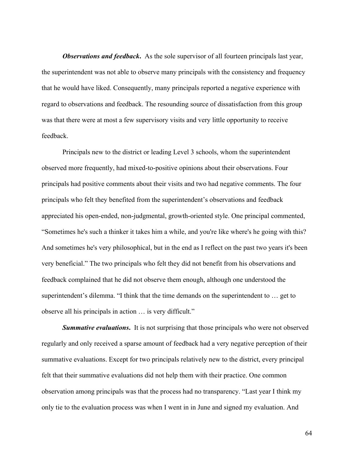*Observations and feedback***.** As the sole supervisor of all fourteen principals last year, the superintendent was not able to observe many principals with the consistency and frequency that he would have liked. Consequently, many principals reported a negative experience with regard to observations and feedback. The resounding source of dissatisfaction from this group was that there were at most a few supervisory visits and very little opportunity to receive feedback.

Principals new to the district or leading Level 3 schools, whom the superintendent observed more frequently, had mixed-to-positive opinions about their observations. Four principals had positive comments about their visits and two had negative comments. The four principals who felt they benefited from the superintendent's observations and feedback appreciated his open-ended, non-judgmental, growth-oriented style. One principal commented, "Sometimes he's such a thinker it takes him a while, and you're like where's he going with this? And sometimes he's very philosophical, but in the end as I reflect on the past two years it's been very beneficial." The two principals who felt they did not benefit from his observations and feedback complained that he did not observe them enough, although one understood the superintendent's dilemma. "I think that the time demands on the superintendent to … get to observe all his principals in action … is very difficult."

*Summative evaluations***.** It is not surprising that those principals who were not observed regularly and only received a sparse amount of feedback had a very negative perception of their summative evaluations. Except for two principals relatively new to the district, every principal felt that their summative evaluations did not help them with their practice. One common observation among principals was that the process had no transparency. "Last year I think my only tie to the evaluation process was when I went in in June and signed my evaluation. And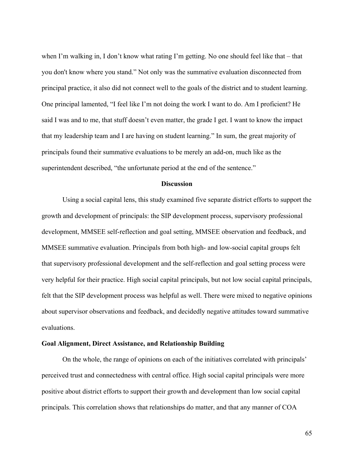when I'm walking in, I don't know what rating I'm getting. No one should feel like that – that you don't know where you stand." Not only was the summative evaluation disconnected from principal practice, it also did not connect well to the goals of the district and to student learning. One principal lamented, "I feel like I'm not doing the work I want to do. Am I proficient? He said I was and to me, that stuff doesn't even matter, the grade I get. I want to know the impact that my leadership team and I are having on student learning." In sum, the great majority of principals found their summative evaluations to be merely an add-on, much like as the superintendent described, "the unfortunate period at the end of the sentence."

## **Discussion**

Using a social capital lens, this study examined five separate district efforts to support the growth and development of principals: the SIP development process, supervisory professional development, MMSEE self-reflection and goal setting, MMSEE observation and feedback, and MMSEE summative evaluation. Principals from both high- and low-social capital groups felt that supervisory professional development and the self-reflection and goal setting process were very helpful for their practice. High social capital principals, but not low social capital principals, felt that the SIP development process was helpful as well. There were mixed to negative opinions about supervisor observations and feedback, and decidedly negative attitudes toward summative evaluations.

# **Goal Alignment, Direct Assistance, and Relationship Building**

On the whole, the range of opinions on each of the initiatives correlated with principals' perceived trust and connectedness with central office. High social capital principals were more positive about district efforts to support their growth and development than low social capital principals. This correlation shows that relationships do matter, and that any manner of COA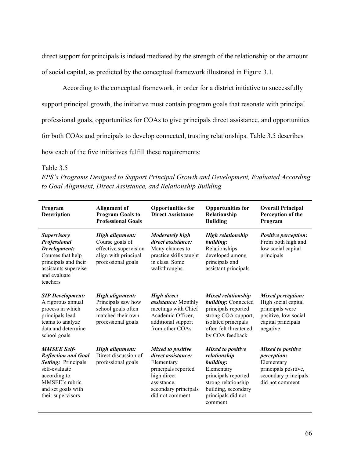direct support for principals is indeed mediated by the strength of the relationship or the amount of social capital, as predicted by the conceptual framework illustrated in Figure 3.1.

According to the conceptual framework, in order for a district initiative to successfully support principal growth, the initiative must contain program goals that resonate with principal professional goals, opportunities for COAs to give principals direct assistance, and opportunities for both COAs and principals to develop connected, trusting relationships. Table 3.5 describes how each of the five initiatives fulfill these requirements:

Table 3.5

*EPS's Programs Designed to Support Principal Growth and Development, Evaluated According to Goal Alignment, Direct Assistance, and Relationship Building*

| Program<br><b>Description</b>                                                                                                                                         | <b>Alignment</b> of<br><b>Program Goals to</b><br><b>Professional Goals</b>                               | <b>Opportunities for</b><br><b>Direct Assistance</b>                                                                                                         | <b>Opportunities for</b><br>Relationship<br><b>Building</b>                                                                                                               | <b>Overall Principal</b><br>Perception of the<br>Program                                                                     |
|-----------------------------------------------------------------------------------------------------------------------------------------------------------------------|-----------------------------------------------------------------------------------------------------------|--------------------------------------------------------------------------------------------------------------------------------------------------------------|---------------------------------------------------------------------------------------------------------------------------------------------------------------------------|------------------------------------------------------------------------------------------------------------------------------|
| <b>Supervisory</b><br>Professional<br>Development:<br>Courses that help<br>principals and their<br>assistants supervise<br>and evaluate<br>teachers                   | High alignment:<br>Course goals of<br>effective supervision<br>align with principal<br>professional goals | <b>Moderately high</b><br>direct assistance:<br>Many chances to<br>practice skills taught<br>in class. Some<br>walkthroughs.                                 | <b>High relationship</b><br>building:<br>Relationships<br>developed among<br>principals and<br>assistant principals                                                       | <b>Positive perception:</b><br>From both high and<br>low social capital<br>principals                                        |
| <b>SIP Development:</b><br>A rigorous annual<br>process in which<br>principals lead<br>teams to analyze<br>data and determine<br>school goals                         | High alignment:<br>Principals saw how<br>school goals often<br>matched their own<br>professional goals    | <b>High direct</b><br>assistance: Monthly<br>meetings with Chief<br>Academic Officer,<br>additional support<br>from other COAs                               | <b>Mixed relationship</b><br>building: Connected<br>principals reported<br>strong COA support,<br>isolated principals<br>often felt threatened<br>by COA feedback         | <b>Mixed perception:</b><br>High social capital<br>principals were<br>positive, low social<br>capital principals<br>negative |
| <b>MMSEE Self-</b><br><b>Reflection and Goal</b><br>Setting: Principals<br>self-evaluate<br>according to<br>MMSEE's rubric<br>and set goals with<br>their supervisors | High alignment:<br>Direct discussion of<br>professional goals                                             | <b>Mixed to positive</b><br>direct assistance:<br>Elementary<br>principals reported<br>high direct<br>assistance.<br>secondary principals<br>did not comment | <b>Mixed to positive</b><br>relationship<br>building:<br>Elementary<br>principals reported<br>strong relationship<br>building, secondary<br>principals did not<br>comment | <b>Mixed to positive</b><br>perception:<br>Elementary<br>principals positive,<br>secondary principals<br>did not comment     |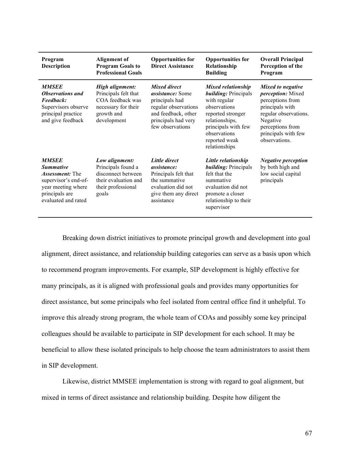| Program<br><b>Description</b>                                                                                                                     | <b>Alignment of</b><br><b>Program Goals to</b><br><b>Professional Goals</b>                                       | <b>Opportunities for</b><br><b>Direct Assistance</b>                                                                                                       | <b>Opportunities for</b><br>Relationship<br><b>Building</b>                                                                                                                                              | <b>Overall Principal</b><br>Perception of the<br>Program                                                                                                                              |
|---------------------------------------------------------------------------------------------------------------------------------------------------|-------------------------------------------------------------------------------------------------------------------|------------------------------------------------------------------------------------------------------------------------------------------------------------|----------------------------------------------------------------------------------------------------------------------------------------------------------------------------------------------------------|---------------------------------------------------------------------------------------------------------------------------------------------------------------------------------------|
| <b>MMSEE</b><br><b>Observations and</b><br>Feedback:<br>Supervisors observe<br>principal practice<br>and give feedback                            | High alignment:<br>Principals felt that<br>COA feedback was<br>necessary for their<br>growth and<br>development   | <b>Mixed direct</b><br><i>assistance:</i> Some<br>principals had<br>regular observations<br>and feedback, other<br>principals had very<br>few observations | <b>Mixed relationship</b><br><b>building:</b> Principals<br>with regular<br>observations<br>reported stronger<br>relationships,<br>principals with few<br>observations<br>reported weak<br>relationships | Mixed to negative<br><i>perception:</i> Mixed<br>perceptions from<br>principals with<br>regular observations.<br>Negative<br>perceptions from<br>principals with few<br>observations. |
| <b>MMSEE</b><br><b>Summative</b><br><i>Assessment:</i> The<br>supervisor's end-of-<br>year meeting where<br>principals are<br>evaluated and rated | Low alignment:<br>Principals found a<br>disconnect between<br>their evaluation and<br>their professional<br>goals | Little direct<br><i>assistance:</i><br>Principals felt that<br>the summative<br>evaluation did not<br>give them any direct<br>assistance                   | Little relationship<br><i>building:</i> Principals<br>felt that the<br>summative<br>evaluation did not<br>promote a closer<br>relationship to their<br>supervisor                                        | <i>Negative perception</i><br>by both high and<br>low social capital<br>principals                                                                                                    |

Breaking down district initiatives to promote principal growth and development into goal alignment, direct assistance, and relationship building categories can serve as a basis upon which to recommend program improvements. For example, SIP development is highly effective for many principals, as it is aligned with professional goals and provides many opportunities for direct assistance, but some principals who feel isolated from central office find it unhelpful. To improve this already strong program, the whole team of COAs and possibly some key principal colleagues should be available to participate in SIP development for each school. It may be beneficial to allow these isolated principals to help choose the team administrators to assist them in SIP development.

Likewise, district MMSEE implementation is strong with regard to goal alignment, but mixed in terms of direct assistance and relationship building. Despite how diligent the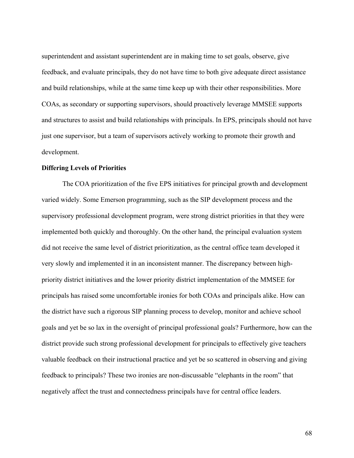superintendent and assistant superintendent are in making time to set goals, observe, give feedback, and evaluate principals, they do not have time to both give adequate direct assistance and build relationships, while at the same time keep up with their other responsibilities. More COAs, as secondary or supporting supervisors, should proactively leverage MMSEE supports and structures to assist and build relationships with principals. In EPS, principals should not have just one supervisor, but a team of supervisors actively working to promote their growth and development.

#### **Differing Levels of Priorities**

The COA prioritization of the five EPS initiatives for principal growth and development varied widely. Some Emerson programming, such as the SIP development process and the supervisory professional development program, were strong district priorities in that they were implemented both quickly and thoroughly. On the other hand, the principal evaluation system did not receive the same level of district prioritization, as the central office team developed it very slowly and implemented it in an inconsistent manner. The discrepancy between highpriority district initiatives and the lower priority district implementation of the MMSEE for principals has raised some uncomfortable ironies for both COAs and principals alike. How can the district have such a rigorous SIP planning process to develop, monitor and achieve school goals and yet be so lax in the oversight of principal professional goals? Furthermore, how can the district provide such strong professional development for principals to effectively give teachers valuable feedback on their instructional practice and yet be so scattered in observing and giving feedback to principals? These two ironies are non-discussable "elephants in the room" that negatively affect the trust and connectedness principals have for central office leaders.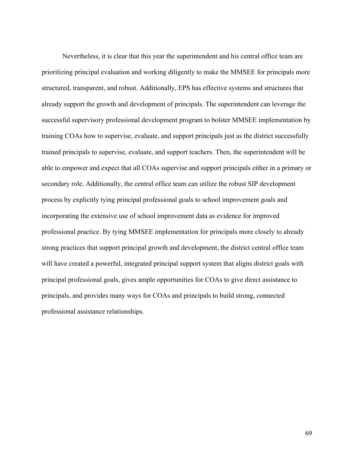Nevertheless, it is clear that this year the superintendent and his central office team are prioritizing principal evaluation and working diligently to make the MMSEE for principals more structured, transparent, and robust. Additionally, EPS has effective systems and structures that already support the growth and development of principals. The superintendent can leverage the successful supervisory professional development program to bolster MMSEE implementation by training COAs how to supervise, evaluate, and support principals just as the district successfully trained principals to supervise, evaluate, and support teachers. Then, the superintendent will be able to empower and expect that all COAs supervise and support principals either in a primary or secondary role. Additionally, the central office team can utilize the robust SIP development process by explicitly tying principal professional goals to school improvement goals and incorporating the extensive use of school improvement data as evidence for improved professional practice. By tying MMSEE implementation for principals more closely to already strong practices that support principal growth and development, the district central office team will have created a powerful, integrated principal support system that aligns district goals with principal professional goals, gives ample opportunities for COAs to give direct assistance to principals, and provides many ways for COAs and principals to build strong, connected professional assistance relationships.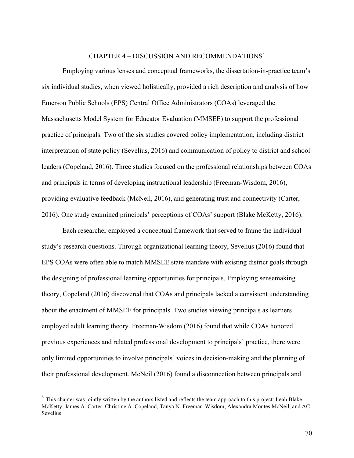# CHAPTER 4 – DISCUSSION AND RECOMMENDATIONS3

Employing various lenses and conceptual frameworks, the dissertation-in-practice team's six individual studies, when viewed holistically, provided a rich description and analysis of how Emerson Public Schools (EPS) Central Office Administrators (COAs) leveraged the Massachusetts Model System for Educator Evaluation (MMSEE) to support the professional practice of principals. Two of the six studies covered policy implementation, including district interpretation of state policy (Sevelius, 2016) and communication of policy to district and school leaders (Copeland, 2016). Three studies focused on the professional relationships between COAs and principals in terms of developing instructional leadership (Freeman-Wisdom, 2016), providing evaluative feedback (McNeil, 2016), and generating trust and connectivity (Carter, 2016). One study examined principals' perceptions of COAs' support (Blake McKetty, 2016).

Each researcher employed a conceptual framework that served to frame the individual study's research questions. Through organizational learning theory, Sevelius (2016) found that EPS COAs were often able to match MMSEE state mandate with existing district goals through the designing of professional learning opportunities for principals. Employing sensemaking theory, Copeland (2016) discovered that COAs and principals lacked a consistent understanding about the enactment of MMSEE for principals. Two studies viewing principals as learners employed adult learning theory. Freeman-Wisdom (2016) found that while COAs honored previous experiences and related professional development to principals' practice, there were only limited opportunities to involve principals' voices in decision-making and the planning of their professional development. McNeil (2016) found a disconnection between principals and

<sup>&</sup>lt;sup>3</sup> This chapter was jointly written by the authors listed and reflects the team approach to this project: Leah Blake McKetty, James A. Carter, Christine A. Copeland, Tanya N. Freeman-Wisdom, Alexandra Montes McNeil, and AC Sevelius.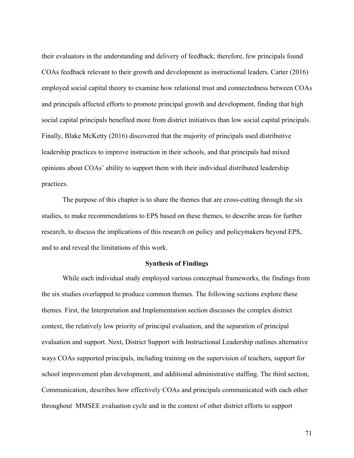their evaluators in the understanding and delivery of feedback; therefore, few principals found COAs feedback relevant to their growth and development as instructional leaders. Carter (2016) employed social capital theory to examine how relational trust and connectedness between COAs and principals affected efforts to promote principal growth and development, finding that high social capital principals benefited more from district initiatives than low social capital principals. Finally, Blake McKetty (2016) discovered that the majority of principals used distributive leadership practices to improve instruction in their schools, and that principals had mixed opinions about COAs' ability to support them with their individual distributed leadership practices.

The purpose of this chapter is to share the themes that are cross-cutting through the six studies, to make recommendations to EPS based on these themes, to describe areas for further research, to discuss the implications of this research on policy and policymakers beyond EPS, and to and reveal the limitations of this work.

## **Synthesis of Findings**

While each individual study employed various conceptual frameworks, the findings from the six studies overlapped to produce common themes. The following sections explore these themes. First, the Interpretation and Implementation section discusses the complex district context, the relatively low priority of principal evaluation, and the separation of principal evaluation and support. Next, District Support with Instructional Leadership outlines alternative ways COAs supported principals, including training on the supervision of teachers, support for school improvement plan development, and additional administrative staffing. The third section, Communication, describes how effectively COAs and principals communicated with each other throughout MMSEE evaluation cycle and in the context of other district efforts to support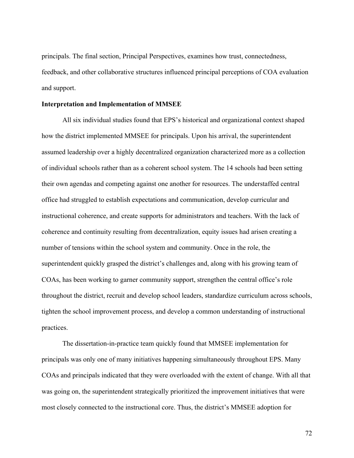principals. The final section, Principal Perspectives, examines how trust, connectedness, feedback, and other collaborative structures influenced principal perceptions of COA evaluation and support.

#### **Interpretation and Implementation of MMSEE**

All six individual studies found that EPS's historical and organizational context shaped how the district implemented MMSEE for principals. Upon his arrival, the superintendent assumed leadership over a highly decentralized organization characterized more as a collection of individual schools rather than as a coherent school system. The 14 schools had been setting their own agendas and competing against one another for resources. The understaffed central office had struggled to establish expectations and communication, develop curricular and instructional coherence, and create supports for administrators and teachers. With the lack of coherence and continuity resulting from decentralization, equity issues had arisen creating a number of tensions within the school system and community. Once in the role, the superintendent quickly grasped the district's challenges and, along with his growing team of COAs, has been working to garner community support, strengthen the central office's role throughout the district, recruit and develop school leaders, standardize curriculum across schools, tighten the school improvement process, and develop a common understanding of instructional practices.

The dissertation-in-practice team quickly found that MMSEE implementation for principals was only one of many initiatives happening simultaneously throughout EPS. Many COAs and principals indicated that they were overloaded with the extent of change. With all that was going on, the superintendent strategically prioritized the improvement initiatives that were most closely connected to the instructional core. Thus, the district's MMSEE adoption for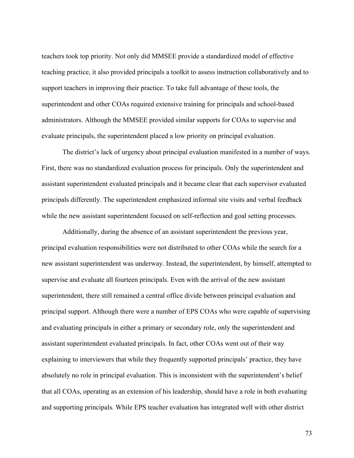teachers took top priority. Not only did MMSEE provide a standardized model of effective teaching practice, it also provided principals a toolkit to assess instruction collaboratively and to support teachers in improving their practice. To take full advantage of these tools, the superintendent and other COAs required extensive training for principals and school-based administrators. Although the MMSEE provided similar supports for COAs to supervise and evaluate principals, the superintendent placed a low priority on principal evaluation.

The district's lack of urgency about principal evaluation manifested in a number of ways. First, there was no standardized evaluation process for principals. Only the superintendent and assistant superintendent evaluated principals and it became clear that each supervisor evaluated principals differently. The superintendent emphasized informal site visits and verbal feedback while the new assistant superintendent focused on self-reflection and goal setting processes.

Additionally, during the absence of an assistant superintendent the previous year, principal evaluation responsibilities were not distributed to other COAs while the search for a new assistant superintendent was underway. Instead, the superintendent, by himself, attempted to supervise and evaluate all fourteen principals. Even with the arrival of the new assistant superintendent, there still remained a central office divide between principal evaluation and principal support. Although there were a number of EPS COAs who were capable of supervising and evaluating principals in either a primary or secondary role, only the superintendent and assistant superintendent evaluated principals. In fact, other COAs went out of their way explaining to interviewers that while they frequently supported principals' practice, they have absolutely no role in principal evaluation. This is inconsistent with the superintendent's belief that all COAs, operating as an extension of his leadership, should have a role in both evaluating and supporting principals. While EPS teacher evaluation has integrated well with other district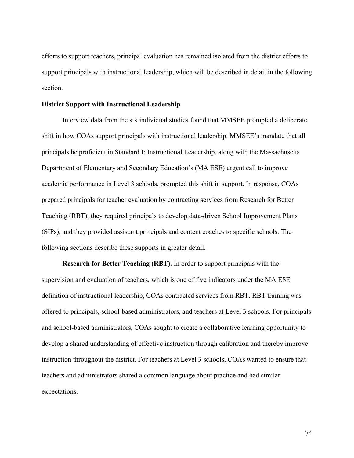efforts to support teachers, principal evaluation has remained isolated from the district efforts to support principals with instructional leadership, which will be described in detail in the following section.

#### **District Support with Instructional Leadership**

Interview data from the six individual studies found that MMSEE prompted a deliberate shift in how COAs support principals with instructional leadership. MMSEE's mandate that all principals be proficient in Standard I: Instructional Leadership, along with the Massachusetts Department of Elementary and Secondary Education's (MA ESE) urgent call to improve academic performance in Level 3 schools, prompted this shift in support. In response, COAs prepared principals for teacher evaluation by contracting services from Research for Better Teaching (RBT), they required principals to develop data-driven School Improvement Plans (SIPs), and they provided assistant principals and content coaches to specific schools. The following sections describe these supports in greater detail.

**Research for Better Teaching (RBT).** In order to support principals with the supervision and evaluation of teachers, which is one of five indicators under the MA ESE definition of instructional leadership, COAs contracted services from RBT. RBT training was offered to principals, school-based administrators, and teachers at Level 3 schools. For principals and school-based administrators, COAs sought to create a collaborative learning opportunity to develop a shared understanding of effective instruction through calibration and thereby improve instruction throughout the district. For teachers at Level 3 schools, COAs wanted to ensure that teachers and administrators shared a common language about practice and had similar expectations.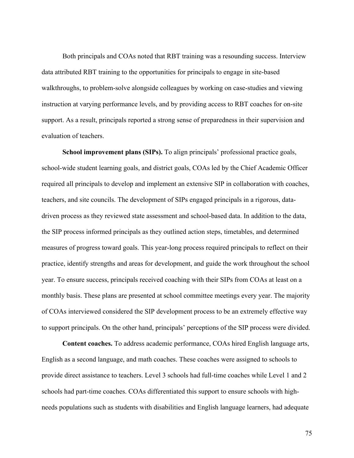Both principals and COAs noted that RBT training was a resounding success. Interview data attributed RBT training to the opportunities for principals to engage in site-based walkthroughs, to problem-solve alongside colleagues by working on case-studies and viewing instruction at varying performance levels, and by providing access to RBT coaches for on-site support. As a result, principals reported a strong sense of preparedness in their supervision and evaluation of teachers.

**School improvement plans (SIPs).** To align principals' professional practice goals, school-wide student learning goals, and district goals, COAs led by the Chief Academic Officer required all principals to develop and implement an extensive SIP in collaboration with coaches, teachers, and site councils. The development of SIPs engaged principals in a rigorous, datadriven process as they reviewed state assessment and school-based data. In addition to the data, the SIP process informed principals as they outlined action steps, timetables, and determined measures of progress toward goals. This year-long process required principals to reflect on their practice, identify strengths and areas for development, and guide the work throughout the school year. To ensure success, principals received coaching with their SIPs from COAs at least on a monthly basis. These plans are presented at school committee meetings every year. The majority of COAs interviewed considered the SIP development process to be an extremely effective way to support principals. On the other hand, principals' perceptions of the SIP process were divided.

**Content coaches.** To address academic performance, COAs hired English language arts, English as a second language, and math coaches. These coaches were assigned to schools to provide direct assistance to teachers. Level 3 schools had full-time coaches while Level 1 and 2 schools had part-time coaches. COAs differentiated this support to ensure schools with highneeds populations such as students with disabilities and English language learners, had adequate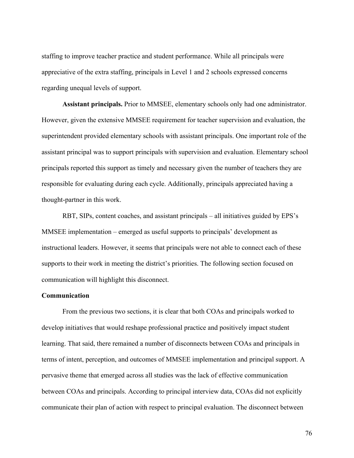staffing to improve teacher practice and student performance. While all principals were appreciative of the extra staffing, principals in Level 1 and 2 schools expressed concerns regarding unequal levels of support.

**Assistant principals.** Prior to MMSEE, elementary schools only had one administrator. However, given the extensive MMSEE requirement for teacher supervision and evaluation, the superintendent provided elementary schools with assistant principals. One important role of the assistant principal was to support principals with supervision and evaluation. Elementary school principals reported this support as timely and necessary given the number of teachers they are responsible for evaluating during each cycle. Additionally, principals appreciated having a thought-partner in this work.

RBT, SIPs, content coaches, and assistant principals – all initiatives guided by EPS's MMSEE implementation – emerged as useful supports to principals' development as instructional leaders. However, it seems that principals were not able to connect each of these supports to their work in meeting the district's priorities. The following section focused on communication will highlight this disconnect.

## **Communication**

From the previous two sections, it is clear that both COAs and principals worked to develop initiatives that would reshape professional practice and positively impact student learning. That said, there remained a number of disconnects between COAs and principals in terms of intent, perception, and outcomes of MMSEE implementation and principal support. A pervasive theme that emerged across all studies was the lack of effective communication between COAs and principals. According to principal interview data, COAs did not explicitly communicate their plan of action with respect to principal evaluation. The disconnect between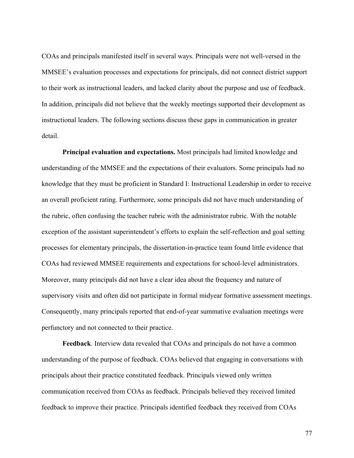COAs and principals manifested itself in several ways. Principals were not well-versed in the MMSEE's evaluation processes and expectations for principals, did not connect district support to their work as instructional leaders, and lacked clarity about the purpose and use of feedback. In addition, principals did not believe that the weekly meetings supported their development as instructional leaders. The following sections discuss these gaps in communication in greater detail.

**Principal evaluation and expectations.** Most principals had limited knowledge and understanding of the MMSEE and the expectations of their evaluators. Some principals had no knowledge that they must be proficient in Standard I: Instructional Leadership in order to receive an overall proficient rating. Furthermore, some principals did not have much understanding of the rubric, often confusing the teacher rubric with the administrator rubric. With the notable exception of the assistant superintendent's efforts to explain the self-reflection and goal setting processes for elementary principals, the dissertation-in-practice team found little evidence that COAs had reviewed MMSEE requirements and expectations for school-level administrators. Moreover, many principals did not have a clear idea about the frequency and nature of supervisory visits and often did not participate in formal midyear formative assessment meetings. Consequently, many principals reported that end-of-year summative evaluation meetings were perfunctory and not connected to their practice.

**Feedback**. Interview data revealed that COAs and principals do not have a common understanding of the purpose of feedback. COAs believed that engaging in conversations with principals about their practice constituted feedback. Principals viewed only written communication received from COAs as feedback. Principals believed they received limited feedback to improve their practice. Principals identified feedback they received from COAs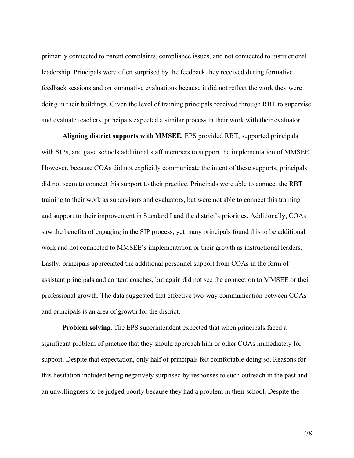primarily connected to parent complaints, compliance issues, and not connected to instructional leadership. Principals were often surprised by the feedback they received during formative feedback sessions and on summative evaluations because it did not reflect the work they were doing in their buildings. Given the level of training principals received through RBT to supervise and evaluate teachers, principals expected a similar process in their work with their evaluator.

**Aligning district supports with MMSEE.** EPS provided RBT, supported principals with SIPs, and gave schools additional staff members to support the implementation of MMSEE. However, because COAs did not explicitly communicate the intent of these supports, principals did not seem to connect this support to their practice. Principals were able to connect the RBT training to their work as supervisors and evaluators, but were not able to connect this training and support to their improvement in Standard I and the district's priorities. Additionally, COAs saw the benefits of engaging in the SIP process, yet many principals found this to be additional work and not connected to MMSEE's implementation or their growth as instructional leaders. Lastly, principals appreciated the additional personnel support from COAs in the form of assistant principals and content coaches, but again did not see the connection to MMSEE or their professional growth. The data suggested that effective two-way communication between COAs and principals is an area of growth for the district.

**Problem solving.** The EPS superintendent expected that when principals faced a significant problem of practice that they should approach him or other COAs immediately for support. Despite that expectation, only half of principals felt comfortable doing so. Reasons for this hesitation included being negatively surprised by responses to such outreach in the past and an unwillingness to be judged poorly because they had a problem in their school. Despite the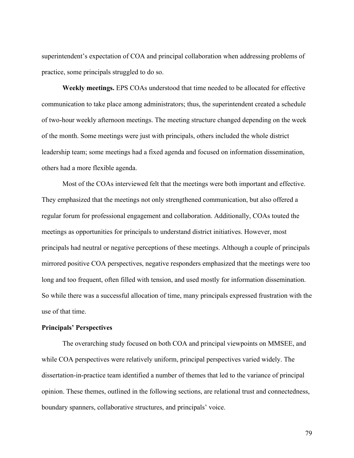superintendent's expectation of COA and principal collaboration when addressing problems of practice, some principals struggled to do so.

**Weekly meetings.** EPS COAs understood that time needed to be allocated for effective communication to take place among administrators; thus, the superintendent created a schedule of two-hour weekly afternoon meetings. The meeting structure changed depending on the week of the month. Some meetings were just with principals, others included the whole district leadership team; some meetings had a fixed agenda and focused on information dissemination, others had a more flexible agenda.

Most of the COAs interviewed felt that the meetings were both important and effective. They emphasized that the meetings not only strengthened communication, but also offered a regular forum for professional engagement and collaboration. Additionally, COAs touted the meetings as opportunities for principals to understand district initiatives. However, most principals had neutral or negative perceptions of these meetings. Although a couple of principals mirrored positive COA perspectives, negative responders emphasized that the meetings were too long and too frequent, often filled with tension, and used mostly for information dissemination. So while there was a successful allocation of time, many principals expressed frustration with the use of that time.

# **Principals' Perspectives**

The overarching study focused on both COA and principal viewpoints on MMSEE, and while COA perspectives were relatively uniform, principal perspectives varied widely. The dissertation-in-practice team identified a number of themes that led to the variance of principal opinion. These themes, outlined in the following sections, are relational trust and connectedness, boundary spanners, collaborative structures, and principals' voice.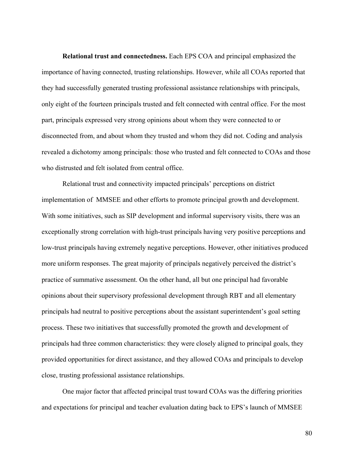**Relational trust and connectedness.** Each EPS COA and principal emphasized the importance of having connected, trusting relationships. However, while all COAs reported that they had successfully generated trusting professional assistance relationships with principals, only eight of the fourteen principals trusted and felt connected with central office. For the most part, principals expressed very strong opinions about whom they were connected to or disconnected from, and about whom they trusted and whom they did not. Coding and analysis revealed a dichotomy among principals: those who trusted and felt connected to COAs and those who distrusted and felt isolated from central office.

Relational trust and connectivity impacted principals' perceptions on district implementation of MMSEE and other efforts to promote principal growth and development. With some initiatives, such as SIP development and informal supervisory visits, there was an exceptionally strong correlation with high-trust principals having very positive perceptions and low-trust principals having extremely negative perceptions. However, other initiatives produced more uniform responses. The great majority of principals negatively perceived the district's practice of summative assessment. On the other hand, all but one principal had favorable opinions about their supervisory professional development through RBT and all elementary principals had neutral to positive perceptions about the assistant superintendent's goal setting process. These two initiatives that successfully promoted the growth and development of principals had three common characteristics: they were closely aligned to principal goals, they provided opportunities for direct assistance, and they allowed COAs and principals to develop close, trusting professional assistance relationships.

One major factor that affected principal trust toward COAs was the differing priorities and expectations for principal and teacher evaluation dating back to EPS's launch of MMSEE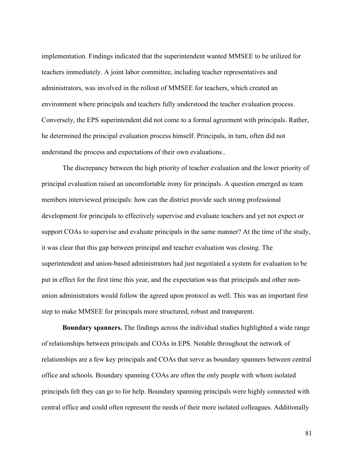implementation. Findings indicated that the superintendent wanted MMSEE to be utilized for teachers immediately. A joint labor committee, including teacher representatives and administrators, was involved in the rollout of MMSEE for teachers, which created an environment where principals and teachers fully understood the teacher evaluation process. Conversely, the EPS superintendent did not come to a formal agreement with principals. Rather, he determined the principal evaluation process himself. Principals, in turn, often did not understand the process and expectations of their own evaluations..

The discrepancy between the high priority of teacher evaluation and the lower priority of principal evaluation raised an uncomfortable irony for principals. A question emerged as team members interviewed principals: how can the district provide such strong professional development for principals to effectively supervise and evaluate teachers and yet not expect or support COAs to supervise and evaluate principals in the same manner? At the time of the study, it was clear that this gap between principal and teacher evaluation was closing. The superintendent and union-based administrators had just negotiated a system for evaluation to be put in effect for the first time this year, and the expectation was that principals and other nonunion administrators would follow the agreed upon protocol as well. This was an important first step to make MMSEE for principals more structured, robust and transparent.

**Boundary spanners.** The findings across the individual studies highlighted a wide range of relationships between principals and COAs in EPS. Notable throughout the network of relationships are a few key principals and COAs that serve as boundary spanners between central office and schools. Boundary spanning COAs are often the only people with whom isolated principals felt they can go to for help. Boundary spanning principals were highly connected with central office and could often represent the needs of their more isolated colleagues. Additionally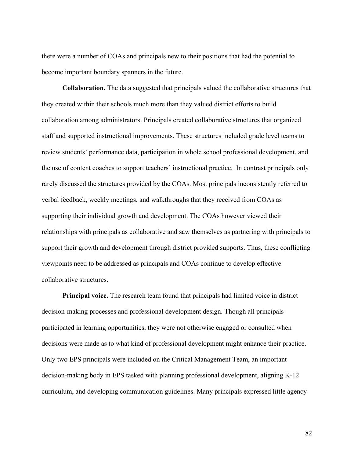there were a number of COAs and principals new to their positions that had the potential to become important boundary spanners in the future.

**Collaboration.** The data suggested that principals valued the collaborative structures that they created within their schools much more than they valued district efforts to build collaboration among administrators. Principals created collaborative structures that organized staff and supported instructional improvements. These structures included grade level teams to review students' performance data, participation in whole school professional development, and the use of content coaches to support teachers' instructional practice. In contrast principals only rarely discussed the structures provided by the COAs. Most principals inconsistently referred to verbal feedback, weekly meetings, and walkthroughs that they received from COAs as supporting their individual growth and development. The COAs however viewed their relationships with principals as collaborative and saw themselves as partnering with principals to support their growth and development through district provided supports. Thus, these conflicting viewpoints need to be addressed as principals and COAs continue to develop effective collaborative structures.

**Principal voice.** The research team found that principals had limited voice in district decision-making processes and professional development design. Though all principals participated in learning opportunities, they were not otherwise engaged or consulted when decisions were made as to what kind of professional development might enhance their practice. Only two EPS principals were included on the Critical Management Team, an important decision-making body in EPS tasked with planning professional development, aligning K-12 curriculum, and developing communication guidelines. Many principals expressed little agency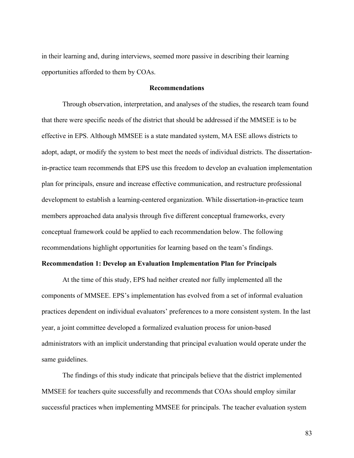in their learning and, during interviews, seemed more passive in describing their learning opportunities afforded to them by COAs.

## **Recommendations**

Through observation, interpretation, and analyses of the studies, the research team found that there were specific needs of the district that should be addressed if the MMSEE is to be effective in EPS. Although MMSEE is a state mandated system, MA ESE allows districts to adopt, adapt, or modify the system to best meet the needs of individual districts. The dissertationin-practice team recommends that EPS use this freedom to develop an evaluation implementation plan for principals, ensure and increase effective communication, and restructure professional development to establish a learning-centered organization. While dissertation-in-practice team members approached data analysis through five different conceptual frameworks, every conceptual framework could be applied to each recommendation below. The following recommendations highlight opportunities for learning based on the team's findings.

# **Recommendation 1: Develop an Evaluation Implementation Plan for Principals**

At the time of this study, EPS had neither created nor fully implemented all the components of MMSEE. EPS's implementation has evolved from a set of informal evaluation practices dependent on individual evaluators' preferences to a more consistent system. In the last year, a joint committee developed a formalized evaluation process for union-based administrators with an implicit understanding that principal evaluation would operate under the same guidelines.

The findings of this study indicate that principals believe that the district implemented MMSEE for teachers quite successfully and recommends that COAs should employ similar successful practices when implementing MMSEE for principals. The teacher evaluation system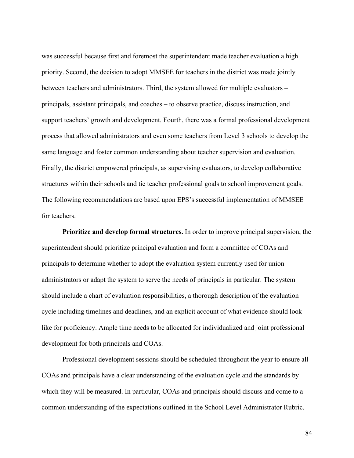was successful because first and foremost the superintendent made teacher evaluation a high priority. Second, the decision to adopt MMSEE for teachers in the district was made jointly between teachers and administrators. Third, the system allowed for multiple evaluators – principals, assistant principals, and coaches – to observe practice, discuss instruction, and support teachers' growth and development. Fourth, there was a formal professional development process that allowed administrators and even some teachers from Level 3 schools to develop the same language and foster common understanding about teacher supervision and evaluation. Finally, the district empowered principals, as supervising evaluators, to develop collaborative structures within their schools and tie teacher professional goals to school improvement goals. The following recommendations are based upon EPS's successful implementation of MMSEE for teachers.

**Prioritize and develop formal structures.** In order to improve principal supervision, the superintendent should prioritize principal evaluation and form a committee of COAs and principals to determine whether to adopt the evaluation system currently used for union administrators or adapt the system to serve the needs of principals in particular. The system should include a chart of evaluation responsibilities, a thorough description of the evaluation cycle including timelines and deadlines, and an explicit account of what evidence should look like for proficiency. Ample time needs to be allocated for individualized and joint professional development for both principals and COAs.

Professional development sessions should be scheduled throughout the year to ensure all COAs and principals have a clear understanding of the evaluation cycle and the standards by which they will be measured. In particular, COAs and principals should discuss and come to a common understanding of the expectations outlined in the School Level Administrator Rubric.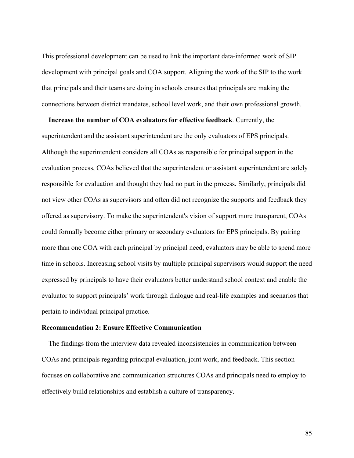This professional development can be used to link the important data-informed work of SIP development with principal goals and COA support. Aligning the work of the SIP to the work that principals and their teams are doing in schools ensures that principals are making the connections between district mandates, school level work, and their own professional growth.

 **Increase the number of COA evaluators for effective feedback**. Currently, the superintendent and the assistant superintendent are the only evaluators of EPS principals. Although the superintendent considers all COAs as responsible for principal support in the evaluation process, COAs believed that the superintendent or assistant superintendent are solely responsible for evaluation and thought they had no part in the process. Similarly, principals did not view other COAs as supervisors and often did not recognize the supports and feedback they offered as supervisory. To make the superintendent's vision of support more transparent, COAs could formally become either primary or secondary evaluators for EPS principals. By pairing more than one COA with each principal by principal need, evaluators may be able to spend more time in schools. Increasing school visits by multiple principal supervisors would support the need expressed by principals to have their evaluators better understand school context and enable the evaluator to support principals' work through dialogue and real-life examples and scenarios that pertain to individual principal practice.

# **Recommendation 2: Ensure Effective Communication**

The findings from the interview data revealed inconsistencies in communication between COAs and principals regarding principal evaluation, joint work, and feedback. This section focuses on collaborative and communication structures COAs and principals need to employ to effectively build relationships and establish a culture of transparency.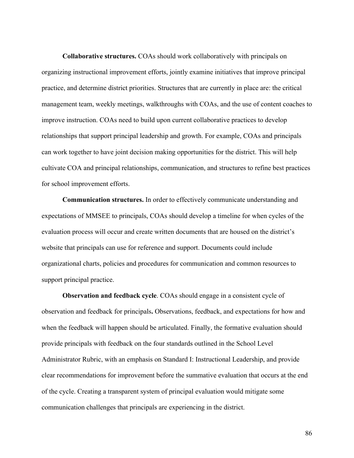**Collaborative structures.** COAs should work collaboratively with principals on organizing instructional improvement efforts, jointly examine initiatives that improve principal practice, and determine district priorities. Structures that are currently in place are: the critical management team, weekly meetings, walkthroughs with COAs, and the use of content coaches to improve instruction. COAs need to build upon current collaborative practices to develop relationships that support principal leadership and growth. For example, COAs and principals can work together to have joint decision making opportunities for the district. This will help cultivate COA and principal relationships, communication, and structures to refine best practices for school improvement efforts.

**Communication structures.** In order to effectively communicate understanding and expectations of MMSEE to principals, COAs should develop a timeline for when cycles of the evaluation process will occur and create written documents that are housed on the district's website that principals can use for reference and support. Documents could include organizational charts, policies and procedures for communication and common resources to support principal practice.

**Observation and feedback cycle**. COAs should engage in a consistent cycle of observation and feedback for principals**.** Observations, feedback, and expectations for how and when the feedback will happen should be articulated. Finally, the formative evaluation should provide principals with feedback on the four standards outlined in the School Level Administrator Rubric, with an emphasis on Standard I: Instructional Leadership, and provide clear recommendations for improvement before the summative evaluation that occurs at the end of the cycle. Creating a transparent system of principal evaluation would mitigate some communication challenges that principals are experiencing in the district.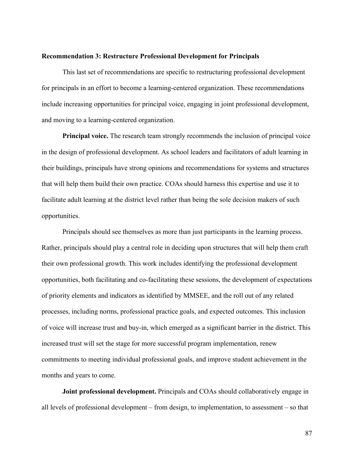## **Recommendation 3: Restructure Professional Development for Principals**

This last set of recommendations are specific to restructuring professional development for principals in an effort to become a learning-centered organization. These recommendations include increasing opportunities for principal voice, engaging in joint professional development, and moving to a learning-centered organization.

**Principal voice.** The research team strongly recommends the inclusion of principal voice in the design of professional development. As school leaders and facilitators of adult learning in their buildings, principals have strong opinions and recommendations for systems and structures that will help them build their own practice. COAs should harness this expertise and use it to facilitate adult learning at the district level rather than being the sole decision makers of such opportunities.

Principals should see themselves as more than just participants in the learning process. Rather, principals should play a central role in deciding upon structures that will help them craft their own professional growth. This work includes identifying the professional development opportunities, both facilitating and co-facilitating these sessions, the development of expectations of priority elements and indicators as identified by MMSEE, and the roll out of any related processes, including norms, professional practice goals, and expected outcomes. This inclusion of voice will increase trust and buy-in, which emerged as a significant barrier in the district. This increased trust will set the stage for more successful program implementation, renew commitments to meeting individual professional goals, and improve student achievement in the months and years to come.

**Joint professional development.** Principals and COAs should collaboratively engage in all levels of professional development – from design, to implementation, to assessment – so that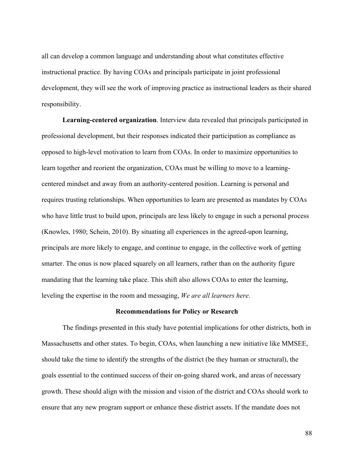all can develop a common language and understanding about what constitutes effective instructional practice. By having COAs and principals participate in joint professional development, they will see the work of improving practice as instructional leaders as their shared responsibility.

**Learning-centered organization**. Interview data revealed that principals participated in professional development, but their responses indicated their participation as compliance as opposed to high-level motivation to learn from COAs. In order to maximize opportunities to learn together and reorient the organization, COAs must be willing to move to a learningcentered mindset and away from an authority-centered position. Learning is personal and requires trusting relationships. When opportunities to learn are presented as mandates by COAs who have little trust to build upon, principals are less likely to engage in such a personal process (Knowles, 1980; Schein, 2010). By situating all experiences in the agreed-upon learning, principals are more likely to engage, and continue to engage, in the collective work of getting smarter. The onus is now placed squarely on all learners, rather than on the authority figure mandating that the learning take place. This shift also allows COAs to enter the learning, leveling the expertise in the room and messaging, *We are all learners here*.

# **Recommendations for Policy or Research**

The findings presented in this study have potential implications for other districts, both in Massachusetts and other states. To begin, COAs, when launching a new initiative like MMSEE, should take the time to identify the strengths of the district (be they human or structural), the goals essential to the continued success of their on-going shared work, and areas of necessary growth. These should align with the mission and vision of the district and COAs should work to ensure that any new program support or enhance these district assets. If the mandate does not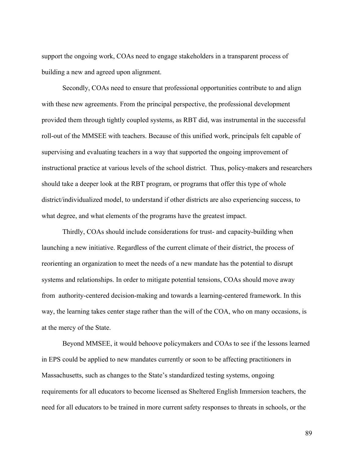support the ongoing work, COAs need to engage stakeholders in a transparent process of building a new and agreed upon alignment.

Secondly, COAs need to ensure that professional opportunities contribute to and align with these new agreements. From the principal perspective, the professional development provided them through tightly coupled systems, as RBT did, was instrumental in the successful roll-out of the MMSEE with teachers. Because of this unified work, principals felt capable of supervising and evaluating teachers in a way that supported the ongoing improvement of instructional practice at various levels of the school district. Thus, policy-makers and researchers should take a deeper look at the RBT program, or programs that offer this type of whole district/individualized model, to understand if other districts are also experiencing success, to what degree, and what elements of the programs have the greatest impact.

Thirdly, COAs should include considerations for trust- and capacity-building when launching a new initiative. Regardless of the current climate of their district, the process of reorienting an organization to meet the needs of a new mandate has the potential to disrupt systems and relationships. In order to mitigate potential tensions, COAs should move away from authority-centered decision-making and towards a learning-centered framework. In this way, the learning takes center stage rather than the will of the COA, who on many occasions, is at the mercy of the State.

Beyond MMSEE, it would behoove policymakers and COAs to see if the lessons learned in EPS could be applied to new mandates currently or soon to be affecting practitioners in Massachusetts, such as changes to the State's standardized testing systems, ongoing requirements for all educators to become licensed as Sheltered English Immersion teachers, the need for all educators to be trained in more current safety responses to threats in schools, or the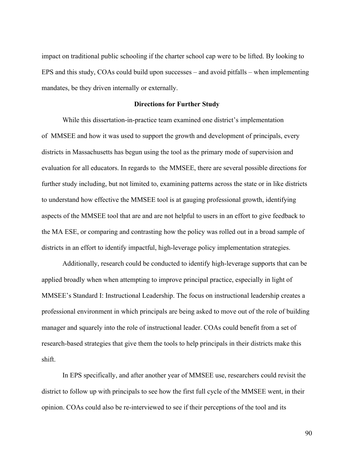impact on traditional public schooling if the charter school cap were to be lifted. By looking to EPS and this study, COAs could build upon successes – and avoid pitfalls – when implementing mandates, be they driven internally or externally.

#### **Directions for Further Study**

While this dissertation-in-practice team examined one district's implementation of MMSEE and how it was used to support the growth and development of principals, every districts in Massachusetts has begun using the tool as the primary mode of supervision and evaluation for all educators. In regards to the MMSEE, there are several possible directions for further study including, but not limited to, examining patterns across the state or in like districts to understand how effective the MMSEE tool is at gauging professional growth, identifying aspects of the MMSEE tool that are and are not helpful to users in an effort to give feedback to the MA ESE, or comparing and contrasting how the policy was rolled out in a broad sample of districts in an effort to identify impactful, high-leverage policy implementation strategies.

Additionally, research could be conducted to identify high-leverage supports that can be applied broadly when when attempting to improve principal practice, especially in light of MMSEE's Standard I: Instructional Leadership. The focus on instructional leadership creates a professional environment in which principals are being asked to move out of the role of building manager and squarely into the role of instructional leader. COAs could benefit from a set of research-based strategies that give them the tools to help principals in their districts make this shift.

In EPS specifically, and after another year of MMSEE use, researchers could revisit the district to follow up with principals to see how the first full cycle of the MMSEE went, in their opinion. COAs could also be re-interviewed to see if their perceptions of the tool and its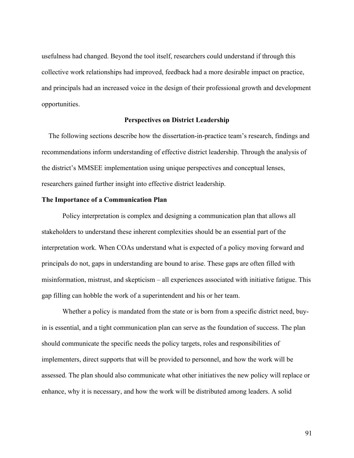usefulness had changed. Beyond the tool itself, researchers could understand if through this collective work relationships had improved, feedback had a more desirable impact on practice, and principals had an increased voice in the design of their professional growth and development opportunities.

#### **Perspectives on District Leadership**

 The following sections describe how the dissertation-in-practice team's research, findings and recommendations inform understanding of effective district leadership. Through the analysis of the district's MMSEE implementation using unique perspectives and conceptual lenses, researchers gained further insight into effective district leadership.

## **The Importance of a Communication Plan**

Policy interpretation is complex and designing a communication plan that allows all stakeholders to understand these inherent complexities should be an essential part of the interpretation work. When COAs understand what is expected of a policy moving forward and principals do not, gaps in understanding are bound to arise. These gaps are often filled with misinformation, mistrust, and skepticism – all experiences associated with initiative fatigue. This gap filling can hobble the work of a superintendent and his or her team.

Whether a policy is mandated from the state or is born from a specific district need, buyin is essential, and a tight communication plan can serve as the foundation of success. The plan should communicate the specific needs the policy targets, roles and responsibilities of implementers, direct supports that will be provided to personnel, and how the work will be assessed. The plan should also communicate what other initiatives the new policy will replace or enhance, why it is necessary, and how the work will be distributed among leaders. A solid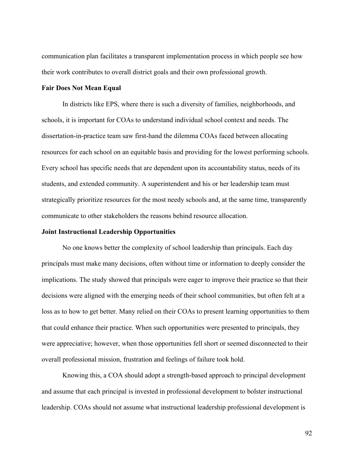communication plan facilitates a transparent implementation process in which people see how their work contributes to overall district goals and their own professional growth.

#### **Fair Does Not Mean Equal**

In districts like EPS, where there is such a diversity of families, neighborhoods, and schools, it is important for COAs to understand individual school context and needs. The dissertation-in-practice team saw first-hand the dilemma COAs faced between allocating resources for each school on an equitable basis and providing for the lowest performing schools. Every school has specific needs that are dependent upon its accountability status, needs of its students, and extended community. A superintendent and his or her leadership team must strategically prioritize resources for the most needy schools and, at the same time, transparently communicate to other stakeholders the reasons behind resource allocation.

## **Joint Instructional Leadership Opportunities**

No one knows better the complexity of school leadership than principals. Each day principals must make many decisions, often without time or information to deeply consider the implications. The study showed that principals were eager to improve their practice so that their decisions were aligned with the emerging needs of their school communities, but often felt at a loss as to how to get better. Many relied on their COAs to present learning opportunities to them that could enhance their practice. When such opportunities were presented to principals, they were appreciative; however, when those opportunities fell short or seemed disconnected to their overall professional mission, frustration and feelings of failure took hold.

Knowing this, a COA should adopt a strength-based approach to principal development and assume that each principal is invested in professional development to bolster instructional leadership. COAs should not assume what instructional leadership professional development is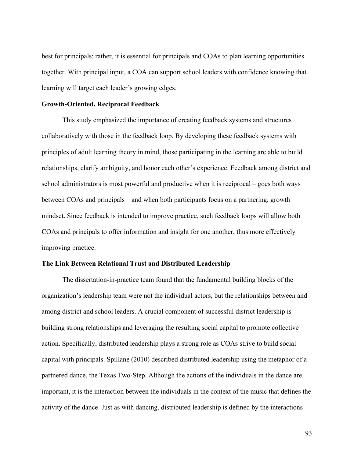best for principals; rather, it is essential for principals and COAs to plan learning opportunities together. With principal input, a COA can support school leaders with confidence knowing that learning will target each leader's growing edges.

## **Growth-Oriented, Reciprocal Feedback**

This study emphasized the importance of creating feedback systems and structures collaboratively with those in the feedback loop. By developing these feedback systems with principles of adult learning theory in mind, those participating in the learning are able to build relationships, clarify ambiguity, and honor each other's experience. Feedback among district and school administrators is most powerful and productive when it is reciprocal – goes both ways between COAs and principals – and when both participants focus on a partnering, growth mindset. Since feedback is intended to improve practice, such feedback loops will allow both COAs and principals to offer information and insight for one another, thus more effectively improving practice.

# **The Link Between Relational Trust and Distributed Leadership**

The dissertation-in-practice team found that the fundamental building blocks of the organization's leadership team were not the individual actors, but the relationships between and among district and school leaders. A crucial component of successful district leadership is building strong relationships and leveraging the resulting social capital to promote collective action. Specifically, distributed leadership plays a strong role as COAs strive to build social capital with principals. Spillane (2010) described distributed leadership using the metaphor of a partnered dance, the Texas Two-Step. Although the actions of the individuals in the dance are important, it is the interaction between the individuals in the context of the music that defines the activity of the dance. Just as with dancing, distributed leadership is defined by the interactions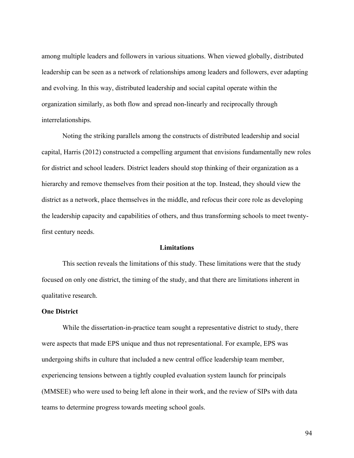among multiple leaders and followers in various situations. When viewed globally, distributed leadership can be seen as a network of relationships among leaders and followers, ever adapting and evolving. In this way, distributed leadership and social capital operate within the organization similarly, as both flow and spread non-linearly and reciprocally through interrelationships.

Noting the striking parallels among the constructs of distributed leadership and social capital, Harris (2012) constructed a compelling argument that envisions fundamentally new roles for district and school leaders. District leaders should stop thinking of their organization as a hierarchy and remove themselves from their position at the top. Instead, they should view the district as a network, place themselves in the middle, and refocus their core role as developing the leadership capacity and capabilities of others, and thus transforming schools to meet twentyfirst century needs.

## **Limitations**

This section reveals the limitations of this study. These limitations were that the study focused on only one district, the timing of the study, and that there are limitations inherent in qualitative research.

# **One District**

While the dissertation-in-practice team sought a representative district to study, there were aspects that made EPS unique and thus not representational. For example, EPS was undergoing shifts in culture that included a new central office leadership team member, experiencing tensions between a tightly coupled evaluation system launch for principals (MMSEE) who were used to being left alone in their work, and the review of SIPs with data teams to determine progress towards meeting school goals.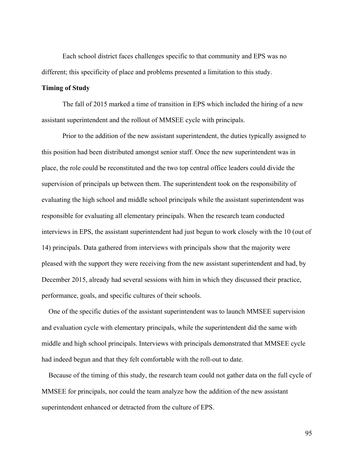Each school district faces challenges specific to that community and EPS was no different; this specificity of place and problems presented a limitation to this study.

#### **Timing of Study**

The fall of 2015 marked a time of transition in EPS which included the hiring of a new assistant superintendent and the rollout of MMSEE cycle with principals.

Prior to the addition of the new assistant superintendent, the duties typically assigned to this position had been distributed amongst senior staff. Once the new superintendent was in place, the role could be reconstituted and the two top central office leaders could divide the supervision of principals up between them. The superintendent took on the responsibility of evaluating the high school and middle school principals while the assistant superintendent was responsible for evaluating all elementary principals. When the research team conducted interviews in EPS, the assistant superintendent had just begun to work closely with the 10 (out of 14) principals. Data gathered from interviews with principals show that the majority were pleased with the support they were receiving from the new assistant superintendent and had, by December 2015, already had several sessions with him in which they discussed their practice, performance, goals, and specific cultures of their schools.

 One of the specific duties of the assistant superintendent was to launch MMSEE supervision and evaluation cycle with elementary principals, while the superintendent did the same with middle and high school principals. Interviews with principals demonstrated that MMSEE cycle had indeed begun and that they felt comfortable with the roll-out to date.

 Because of the timing of this study, the research team could not gather data on the full cycle of MMSEE for principals, nor could the team analyze how the addition of the new assistant superintendent enhanced or detracted from the culture of EPS.

95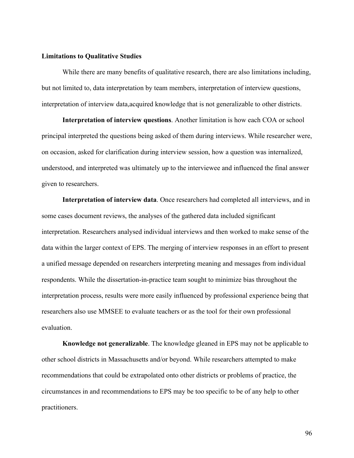#### **Limitations to Qualitative Studies**

While there are many benefits of qualitative research, there are also limitations including, but not limited to, data interpretation by team members, interpretation of interview questions, interpretation of interview data,acquired knowledge that is not generalizable to other districts.

**Interpretation of interview questions**. Another limitation is how each COA or school principal interpreted the questions being asked of them during interviews. While researcher were, on occasion, asked for clarification during interview session, how a question was internalized, understood, and interpreted was ultimately up to the interviewee and influenced the final answer given to researchers.

**Interpretation of interview data**. Once researchers had completed all interviews, and in some cases document reviews, the analyses of the gathered data included significant interpretation. Researchers analysed individual interviews and then worked to make sense of the data within the larger context of EPS. The merging of interview responses in an effort to present a unified message depended on researchers interpreting meaning and messages from individual respondents. While the dissertation-in-practice team sought to minimize bias throughout the interpretation process, results were more easily influenced by professional experience being that researchers also use MMSEE to evaluate teachers or as the tool for their own professional evaluation.

**Knowledge not generalizable**. The knowledge gleaned in EPS may not be applicable to other school districts in Massachusetts and/or beyond. While researchers attempted to make recommendations that could be extrapolated onto other districts or problems of practice, the circumstances in and recommendations to EPS may be too specific to be of any help to other practitioners.

96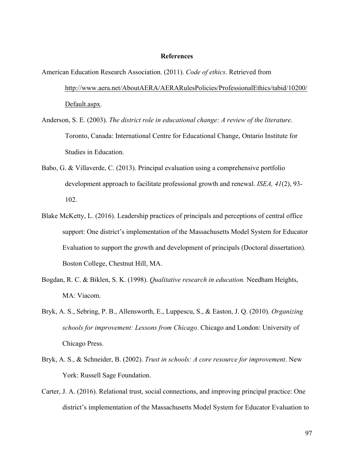#### **References**

American Education Research Association. (2011). *Code of ethics*. Retrieved from http://www.aera.net/AboutAERA/AERARulesPolicies/ProfessionalEthics/tabid/10200/ Default.aspx.

- Anderson, S. E. (2003). *The district role in educational change: A review of the literature*. Toronto, Canada: International Centre for Educational Change, Ontario Institute for Studies in Education.
- Babo, G. & Villaverde, C. (2013). Principal evaluation using a comprehensive portfolio development approach to facilitate professional growth and renewal. *ISEA, 41*(2), 93- 102.
- Blake McKetty, L. (2016). Leadership practices of principals and perceptions of central office support: One district's implementation of the Massachusetts Model System for Educator Evaluation to support the growth and development of principals (Doctoral dissertation)*.*  Boston College, Chestnut Hill, MA.
- Bogdan, R. C. & Biklen, S. K. (1998). *Qualitative research in education.* Needham Heights, MA: Viacom.
- Bryk, A. S., Sebring, P. B., Allensworth, E., Luppescu, S., & Easton, J. Q. (2010). *Organizing schools for improvement: Lessons from Chicago*. Chicago and London: University of Chicago Press.
- Bryk, A. S., & Schneider, B. (2002). *Trust in schools: A core resource for improvement*. New York: Russell Sage Foundation.
- Carter, J. A. (2016). Relational trust, social connections, and improving principal practice: One district's implementation of the Massachusetts Model System for Educator Evaluation to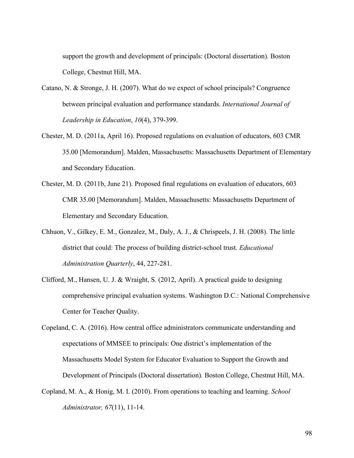support the growth and development of principals: (Doctoral dissertation)*.* Boston College, Chestnut Hill, MA.

- Catano, N. & Stronge, J. H. (2007). What do we expect of school principals? Congruence between principal evaluation and performance standards. *International Journal of Leadership in Education*, *10*(4), 379-399.
- Chester, M. D. (2011a, April 16). Proposed regulations on evaluation of educators, 603 CMR 35.00 [Memorandum]. Malden, Massachusetts: Massachusetts Department of Elementary and Secondary Education.
- Chester, M. D. (2011b, June 21). Proposed final regulations on evaluation of educators, 603 CMR 35.00 [Memorandum]. Malden, Massachusetts: Massachusetts Department of Elementary and Secondary Education.
- Chhuon, V., Gilkey, E. M., Gonzalez, M., Daly, A. J., & Chrispeels, J. H. (2008). The little district that could: The process of building district-school trust. *Educational Administration Quarterly*, 44, 227-281.
- Clifford, M., Hansen, U. J. & Wraight, S. (2012, April). A practical guide to designing comprehensive principal evaluation systems. Washington D.C.: National Comprehensive Center for Teacher Quality.
- Copeland, C. A. (2016). How central office administrators communicate understanding and expectations of MMSEE to principals: One district's implementation of the Massachusetts Model System for Educator Evaluation to Support the Growth and Development of Principals (Doctoral dissertation)*.* Boston College, Chestnut Hill, MA.
- Copland, M. A., & Honig, M. I. (2010). From operations to teaching and learning. *School Administrator, 67*(11), 11-14.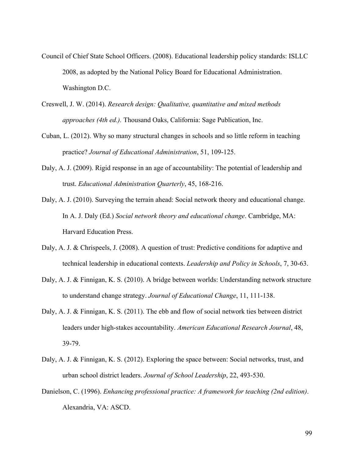- Council of Chief State School Officers. (2008). Educational leadership policy standards: ISLLC 2008, as adopted by the National Policy Board for Educational Administration. Washington D.C.
- Creswell, J. W. (2014). *Research design: Qualitative, quantitative and mixed methods approaches (4th ed.).* Thousand Oaks, California: Sage Publication, Inc.
- Cuban, L. (2012). Why so many structural changes in schools and so little reform in teaching practice? *Journal of Educational Administration*, 51, 109-125.
- Daly, A. J. (2009). Rigid response in an age of accountability: The potential of leadership and trust. *Educational Administration Quarterly*, 45, 168-216.
- Daly, A. J. (2010). Surveying the terrain ahead: Social network theory and educational change. In A. J. Daly (Ed.) *Social network theory and educational change*. Cambridge, MA: Harvard Education Press.
- Daly, A. J. & Chrispeels, J. (2008). A question of trust: Predictive conditions for adaptive and technical leadership in educational contexts. *Leadership and Policy in Schools*, 7, 30-63.
- Daly, A. J. & Finnigan, K. S. (2010). A bridge between worlds: Understanding network structure to understand change strategy. *Journal of Educational Change*, 11, 111-138.
- Daly, A. J. & Finnigan, K. S. (2011). The ebb and flow of social network ties between district leaders under high-stakes accountability. *American Educational Research Journal*, 48, 39-79.
- Daly, A. J. & Finnigan, K. S. (2012). Exploring the space between: Social networks, trust, and urban school district leaders. *Journal of School Leadership*, 22, 493-530.
- Danielson, C. (1996). *Enhancing professional practice: A framework for teaching (2nd edition)*. Alexandria, VA: ASCD.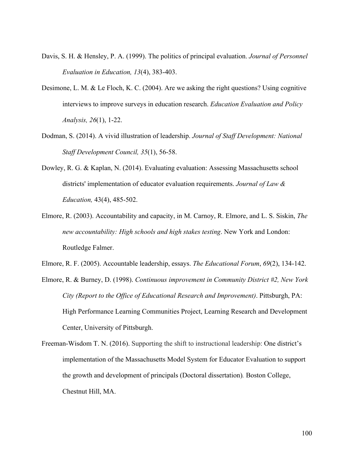- Davis, S. H. & Hensley, P. A. (1999). The politics of principal evaluation. *Journal of Personnel Evaluation in Education, 13*(4), 383-403.
- Desimone, L. M. & Le Floch, K. C. (2004). Are we asking the right questions? Using cognitive interviews to improve surveys in education research. *Education Evaluation and Policy Analysis, 26*(1), 1-22.
- Dodman, S. (2014). A vivid illustration of leadership. *Journal of Staff Development: National Staff Development Council, 35*(1), 56-58.
- Dowley, R. G. & Kaplan, N. (2014). Evaluating evaluation: Assessing Massachusetts school districts' implementation of educator evaluation requirements. *Journal of Law & Education,* 43(4), 485-502.
- Elmore, R. (2003). Accountability and capacity, in M. Carnoy, R. Elmore, and L. S. Siskin, *The new accountability: High schools and high stakes testing*. New York and London: Routledge Falmer.
- Elmore, R. F. (2005). Accountable leadership, essays. *The Educational Forum*, *69*(2), 134-142.
- Elmore, R. & Burney, D. (1998). *Continuous improvement in Community District #2, New York City (Report to the Office of Educational Research and Improvement)*. Pittsburgh, PA: High Performance Learning Communities Project, Learning Research and Development Center, University of Pittsburgh.
- Freeman-Wisdom T. N. (2016). Supporting the shift to instructional leadership: One district's implementation of the Massachusetts Model System for Educator Evaluation to support the growth and development of principals (Doctoral dissertation)*.* Boston College, Chestnut Hill, MA.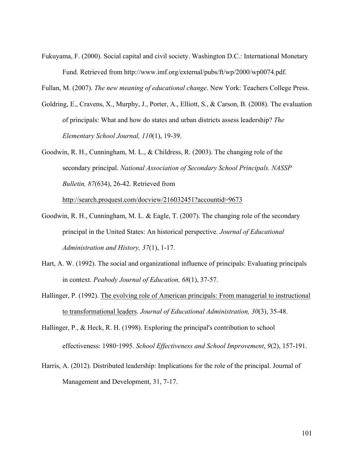Fukuyama, F. (2000). Social capital and civil society. Washington D.C.: International Monetary Fund. Retrieved from http://www.imf.org/external/pubs/ft/wp/2000/wp0074.pdf.

Fullan, M. (2007). *The new meaning of educational change*. New York: Teachers College Press.

- Goldring, E., Cravens, X., Murphy, J., Porter, A., Elliott, S., & Carson, B. (2008). The evaluation of principals: What and how do states and urban districts assess leadership? *The Elementary School Journal, 110*(1), 19-39.
- Goodwin, R. H., Cunningham, M. L., & Childress, R. (2003). The changing role of the secondary principal. *National Association of Secondary School Principals. NASSP Bulletin, 87*(634), 26-42. Retrieved from

http://search.proquest.com/docview/216032451?accountid=9673

- Goodwin, R. H., Cunningham, M. L. & Eagle, T. (2007). The changing role of the secondary principal in the United States: An historical perspective. *Journal of Educational Administration and History, 37*(1), 1-17.
- Hart, A. W. (1992). The social and organizational influence of principals: Evaluating principals in context. *Peabody Journal of Education, 68*(1), 37-57.
- Hallinger, P. (1992). The evolving role of American principals: From managerial to instructional to transformational leaders. *Journal of Educational Administration, 30*(3), 35-48.
- Hallinger, P., & Heck, R. H. (1998). Exploring the principal's contribution to school effectiveness: 1980-1995. *School Effectiveness and School Improvement*, *9*(2), 157-191.
- Harris, A. (2012). Distributed leadership: Implications for the role of the principal. Journal of Management and Development, 31, 7-17.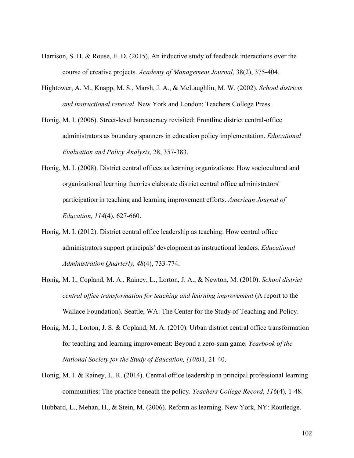- Harrison, S. H. & Rouse, E. D. (2015). An inductive study of feedback interactions over the course of creative projects. *Academy of Management Journal*, 38(2), 375-404.
- Hightower, A. M., Knapp, M. S., Marsh, J. A., & McLaughlin, M. W. (2002). *School districts and instructional renewal*. New York and London: Teachers College Press.
- Honig, M. I. (2006). Street-level bureaucracy revisited: Frontline district central-office administrators as boundary spanners in education policy implementation. *Educational Evaluation and Policy Analysis*, 28, 357-383.
- Honig, M. I. (2008). District central offices as learning organizations: How sociocultural and organizational learning theories elaborate district central office administrators' participation in teaching and learning improvement efforts. *American Journal of Education, 114*(4), 627-660.
- Honig, M. I. (2012). District central office leadership as teaching: How central office administrators support principals' development as instructional leaders. *Educational Administration Quarterly, 48*(4), 733-774.
- Honig, M. I., Copland, M. A., Rainey, L., Lorton, J. A., & Newton, M. (2010). *School district central office transformation for teaching and learning improvement* (A report to the Wallace Foundation). Seattle, WA: The Center for the Study of Teaching and Policy.
- Honig, M. I., Lorton, J. S. & Copland, M. A. (2010). Urban district central office transformation for teaching and learning improvement: Beyond a zero-sum game. *Yearbook of the National Society for the Study of Education, (108)*1, 21-40.
- Honig, M. I. & Rainey, L. R. (2014). Central office leadership in principal professional learning communities: The practice beneath the policy. *Teachers College Record*, *116*(4), 1-48.

Hubbard, L., Mehan, H., & Stein, M. (2006). Reform as learning. New York, NY: Routledge.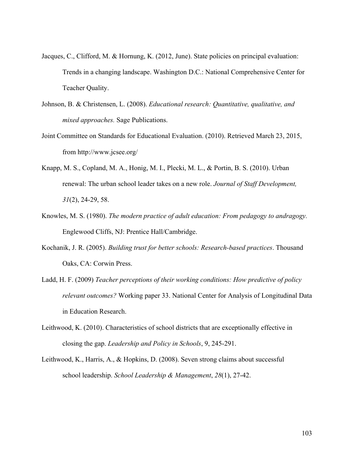- Jacques, C., Clifford, M. & Hornung, K. (2012, June). State policies on principal evaluation: Trends in a changing landscape. Washington D.C.: National Comprehensive Center for Teacher Quality.
- Johnson, B. & Christensen, L. (2008). *Educational research: Quantitative, qualitative, and mixed approaches.* Sage Publications.
- Joint Committee on Standards for Educational Evaluation. (2010). Retrieved March 23, 2015, from http://www.jcsee.org/
- Knapp, M. S., Copland, M. A., Honig, M. I., Plecki, M. L., & Portin, B. S. (2010). Urban renewal: The urban school leader takes on a new role. *Journal of Staff Development, 31*(2), 24-29, 58.
- Knowles, M. S. (1980). *The modern practice of adult education: From pedagogy to andragogy.* Englewood Cliffs, NJ: Prentice Hall/Cambridge.
- Kochanik, J. R. (2005). *Building trust for better schools: Research-based practices*. Thousand Oaks, CA: Corwin Press.
- Ladd, H. F. (2009) *Teacher perceptions of their working conditions: How predictive of policy relevant outcomes?* Working paper 33. National Center for Analysis of Longitudinal Data in Education Research.
- Leithwood, K. (2010). Characteristics of school districts that are exceptionally effective in closing the gap. *Leadership and Policy in Schools*, 9, 245-291.
- Leithwood, K., Harris, A., & Hopkins, D. (2008). Seven strong claims about successful school leadership. *School Leadership & Management*, *28*(1), 27-42.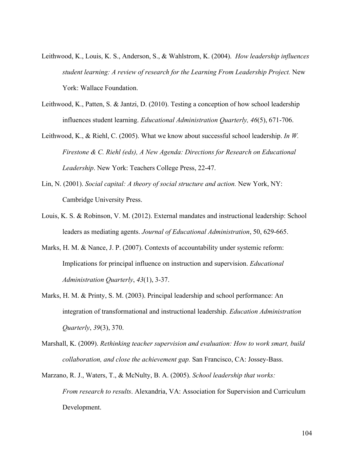- Leithwood, K., Louis, K. S., Anderson, S., & Wahlstrom, K. (2004). *How leadership influences student learning: A review of research for the Learning From Leadership Project.* New York: Wallace Foundation.
- Leithwood, K., Patten, S. & Jantzi, D. (2010). Testing a conception of how school leadership influences student learning. *Educational Administration Quarterly, 46*(5), 671-706.
- Leithwood, K., & Riehl, C. (2005). What we know about successful school leadership. *In W. Firestone & C. Riehl (eds), A New Agenda: Directions for Research on Educational Leadership*. New York: Teachers College Press, 22-47.
- Lin, N. (2001). *Social capital: A theory of social structure and action.* New York, NY: Cambridge University Press.
- Louis, K. S. & Robinson, V. M. (2012). External mandates and instructional leadership: School leaders as mediating agents. *Journal of Educational Administration*, 50, 629-665.
- Marks, H. M. & Nance, J. P. (2007). Contexts of accountability under systemic reform: Implications for principal influence on instruction and supervision. *Educational Administration Quarterly*, *43*(1), 3-37.
- Marks, H. M. & Printy, S. M. (2003). Principal leadership and school performance: An integration of transformational and instructional leadership. *Education Administration Quarterly*, *39*(3), 370.
- Marshall, K. (2009). *Rethinking teacher supervision and evaluation: How to work smart, build collaboration, and close the achievement gap.* San Francisco, CA: Jossey-Bass.
- Marzano, R. J., Waters, T., & McNulty, B. A. (2005). *School leadership that works: From research to results*. Alexandria, VA: Association for Supervision and Curriculum Development.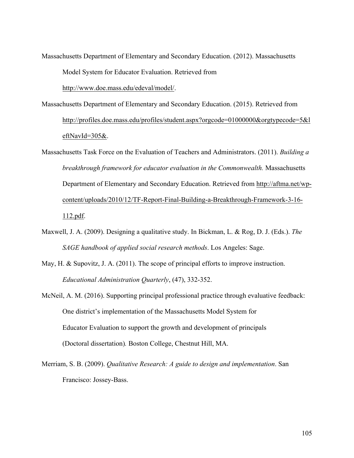Massachusetts Department of Elementary and Secondary Education. (2012). Massachusetts Model System for Educator Evaluation. Retrieved from

http://www.doe.mass.edu/edeval/model/.

- Massachusetts Department of Elementary and Secondary Education. (2015). Retrieved from http://profiles.doe.mass.edu/profiles/student.aspx?orgcode=01000000&orgtypecode=5&l eftNavId=305&.
- Massachusetts Task Force on the Evaluation of Teachers and Administrators. (2011). *Building a breakthrough framework for educator evaluation in the Commonwealth.* Massachusetts Department of Elementary and Secondary Education. Retrieved from http://aftma.net/wpcontent/uploads/2010/12/TF-Report-Final-Building-a-Breakthrough-Framework-3-16- 112.pdf.
- Maxwell, J. A. (2009). Designing a qualitative study. In Bickman, L. & Rog, D. J. (Eds.). *The SAGE handbook of applied social research methods*. Los Angeles: Sage.
- May, H. & Supovitz, J. A. (2011). The scope of principal efforts to improve instruction. *Educational Administration Quarterly*, (47), 332-352.
- McNeil, A. M. (2016). Supporting principal professional practice through evaluative feedback: One district's implementation of the Massachusetts Model System for Educator Evaluation to support the growth and development of principals (Doctoral dissertation)*.* Boston College, Chestnut Hill, MA.
- Merriam, S. B. (2009). *Qualitative Research: A guide to design and implementation*. San Francisco: Jossey-Bass.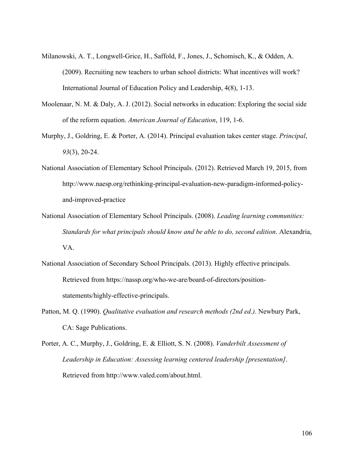- Milanowski, A. T., Longwell-Grice, H., Saffold, F., Jones, J., Schomisch, K., & Odden, A. (2009). Recruiting new teachers to urban school districts: What incentives will work? International Journal of Education Policy and Leadership, 4(8), 1-13.
- Moolenaar, N. M. & Daly, A. J. (2012). Social networks in education: Exploring the social side of the reform equation. *American Journal of Education*, 119, 1-6.
- Murphy, J., Goldring, E. & Porter, A. (2014). Principal evaluation takes center stage. *Principal*, *93*(3), 20-24.
- National Association of Elementary School Principals. (2012). Retrieved March 19, 2015, from http://www.naesp.org/rethinking-principal-evaluation-new-paradigm-informed-policyand-improved-practice
- National Association of Elementary School Principals. (2008). *Leading learning communities: Standards for what principals should know and be able to do, second edition*. Alexandria, VA.
- National Association of Secondary School Principals. (2013). Highly effective principals. Retrieved from https://nassp.org/who-we-are/board-of-directors/positionstatements/highly-effective-principals.
- Patton, M. Q. (1990). *Qualitative evaluation and research methods (2nd ed.)*. Newbury Park, CA: Sage Publications.
- Porter, A. C., Murphy, J., Goldring, E. & Elliott, S. N. (2008). *Vanderbilt Assessment of Leadership in Education: Assessing learning centered leadership [presentation]*. Retrieved from http://www.valed.com/about.html.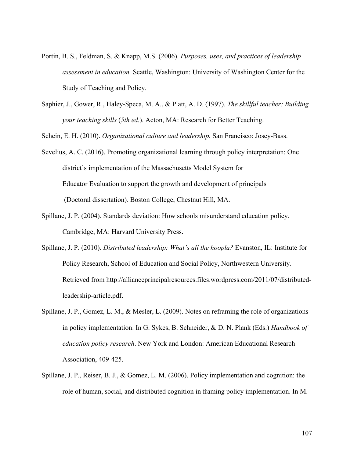- Portin, B. S., Feldman, S. & Knapp, M.S. (2006). *Purposes, uses, and practices of leadership assessment in education.* Seattle, Washington: University of Washington Center for the Study of Teaching and Policy.
- Saphier, J., Gower, R., Haley-Speca, M. A., & Platt, A. D. (1997). *The skillful teacher: Building your teaching skills* (*5th ed.*). Acton, MA: Research for Better Teaching.

Schein, E. H. (2010). *Organizational culture and leadership.* San Francisco: Josey-Bass.

Sevelius, A. C. (2016). Promoting organizational learning through policy interpretation: One district's implementation of the Massachusetts Model System for Educator Evaluation to support the growth and development of principals (Doctoral dissertation)*.* Boston College, Chestnut Hill, MA.

- Spillane, J. P. (2004). Standards deviation: How schools misunderstand education policy. Cambridge, MA: Harvard University Press.
- Spillane, J. P. (2010). *Distributed leadership: What's all the hoopla?* Evanston, IL: Institute for Policy Research, School of Education and Social Policy, Northwestern University. Retrieved from http://allianceprincipalresources.files.wordpress.com/2011/07/distributedleadership-article.pdf.
- Spillane, J. P., Gomez, L. M., & Mesler, L. (2009). Notes on reframing the role of organizations in policy implementation. In G. Sykes, B. Schneider, & D. N. Plank (Eds.) *Handbook of education policy research*. New York and London: American Educational Research Association, 409-425.
- Spillane, J. P., Reiser, B. J., & Gomez, L. M. (2006). Policy implementation and cognition: the role of human, social, and distributed cognition in framing policy implementation. In M.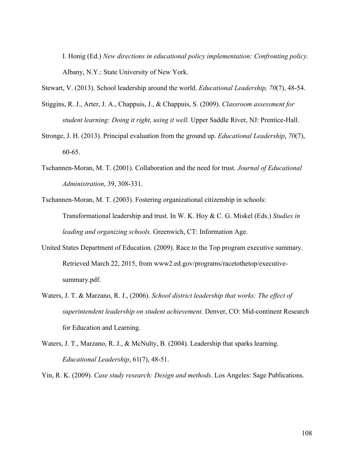I. Honig (Ed.) *New directions in educational policy implementation: Confronting policy.* Albany, N.Y.: State University of New York.

Stewart, V. (2013). School leadership around the world. *Educational Leadership, 70*(7), 48-54.

- Stiggins, R. J., Arter, J. A., Chappuis, J., & Chappuis, S. (2009). *Classroom assessment for student learning: Doing it right, using it well.* Upper Saddle River, NJ: Prentice-Hall.
- Stronge, J. H. (2013). Principal evaluation from the ground up. *Educational Leadership*, *70*(7), 60-65.
- Tschannen-Moran, M. T. (2001). Collaboration and the need for trust. *Journal of Educational Administration*, 39, 308-331.
- Tschannen-Moran, M. T. (2003). Fostering organizational citizenship in schools: Transformational leadership and trust. In W. K. Hoy & C. G. Miskel (Eds.) *Studies in leading and organizing schools.* Greenwich, CT: Information Age.
- United States Department of Education. (2009). Race to the Top program executive summary. Retrieved March 22, 2015, from www2.ed.gov/programs/racetothetop/executivesummary.pdf.
- Waters, J. T. & Marzano, R. J., (2006). *School district leadership that works: The effect of superintendent leadership on student achievement.* Denver, CO: Mid-continent Research for Education and Learning.
- Waters, J. T., Marzano, R. J., & McNulty, B. (2004). Leadership that sparks learning. *Educational Leadership*, 61(7), 48-51.

Yin, R. K. (2009). *Case study research: Design and methods*. Los Angeles: Sage Publications.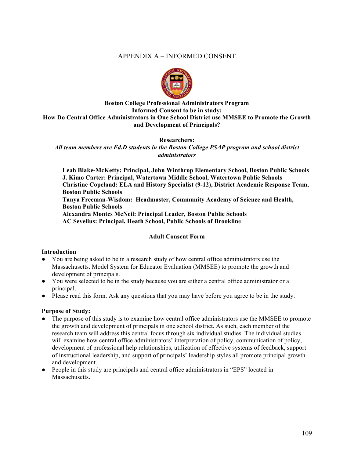# APPENDIX A – INFORMED CONSENT



# **Boston College Professional Administrators Program Informed Consent to be in study: How Do Central Office Administrators in One School District use MMSEE to Promote the Growth and Development of Principals?**

**Researchers:** 

*All team members are Ed.D students in the Boston College PSAP program and school district administrators*

**Leah Blake-McKetty: Principal, John Winthrop Elementary School, Boston Public Schools J. Kimo Carter: Principal, Watertown Middle School, Watertown Public Schools Christine Copeland: ELA and History Specialist (9-12), District Academic Response Team, Boston Public Schools Tanya Freeman-Wisdom: Headmaster, Community Academy of Science and Health, Boston Public Schools Alexandra Montes McNeil: Principal Leader, Boston Public Schools AC Sevelius: Principal, Heath School, Public Schools of Brooklin**e

#### **Adult Consent Form**

#### **Introduction**

- You are being asked to be in a research study of how central office administrators use the Massachusetts. Model System for Educator Evaluation (MMSEE) to promote the growth and development of principals.
- You were selected to be in the study because you are either a central office administrator or a principal.
- Please read this form. Ask any questions that you may have before you agree to be in the study.

#### **Purpose of Study:**

- The purpose of this study is to examine how central office administrators use the MMSEE to promote the growth and development of principals in one school district. As such, each member of the research team will address this central focus through six individual studies. The individual studies will examine how central office administrators' interpretation of policy, communication of policy, development of professional help relationships, utilization of effective systems of feedback, support of instructional leadership, and support of principals' leadership styles all promote principal growth and development.
- People in this study are principals and central office administrators in "EPS" located in **Massachusetts**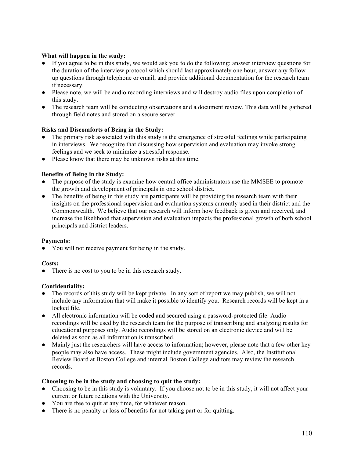## **What will happen in the study:**

- If you agree to be in this study, we would ask you to do the following: answer interview questions for the duration of the interview protocol which should last approximately one hour, answer any follow up questions through telephone or email, and provide additional documentation for the research team if necessary.
- Please note, we will be audio recording interviews and will destroy audio files upon completion of this study.
- The research team will be conducting observations and a document review. This data will be gathered through field notes and stored on a secure server.

#### **Risks and Discomforts of Being in the Study:**

- The primary risk associated with this study is the emergence of stressful feelings while participating in interviews. We recognize that discussing how supervision and evaluation may invoke strong feelings and we seek to minimize a stressful response.
- Please know that there may be unknown risks at this time.

### **Benefits of Being in the Study:**

- The purpose of the study is examine how central office administrators use the MMSEE to promote the growth and development of principals in one school district.
- The benefits of being in this study are participants will be providing the research team with their insights on the professional supervision and evaluation systems currently used in their district and the Commonwealth. We believe that our research will inform how feedback is given and received, and increase the likelihood that supervision and evaluation impacts the professional growth of both school principals and district leaders.

#### **Payments:**

● You will not receive payment for being in the study.

#### **Costs:**

• There is no cost to you to be in this research study.

#### **Confidentiality:**

- The records of this study will be kept private. In any sort of report we may publish, we will not include any information that will make it possible to identify you. Research records will be kept in a locked file.
- All electronic information will be coded and secured using a password-protected file. Audio recordings will be used by the research team for the purpose of transcribing and analyzing results for educational purposes only. Audio recordings will be stored on an electronic device and will be deleted as soon as all information is transcribed.
- Mainly just the researchers will have access to information; however, please note that a few other key people may also have access. These might include government agencies. Also, the Institutional Review Board at Boston College and internal Boston College auditors may review the research records.

#### **Choosing to be in the study and choosing to quit the study:**

- Choosing to be in this study is voluntary. If you choose not to be in this study, it will not affect your current or future relations with the University.
- You are free to quit at any time, for whatever reason.
- There is no penalty or loss of benefits for not taking part or for quitting.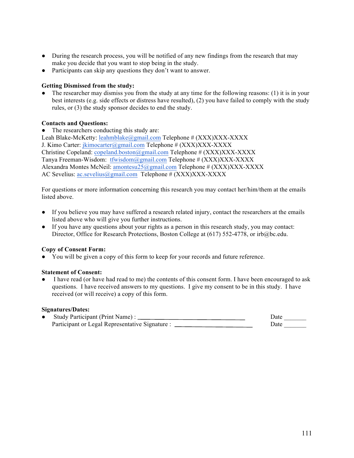- During the research process, you will be notified of any new findings from the research that may make you decide that you want to stop being in the study.
- Participants can skip any questions they don't want to answer.

#### **Getting Dismissed from the study:**

The researcher may dismiss you from the study at any time for the following reasons: (1) it is in your best interests (e.g. side effects or distress have resulted), (2) you have failed to comply with the study rules, or (3) the study sponsor decides to end the study.

### **Contacts and Questions:**

The researchers conducting this study are:

Leah Blake-McKetty: leahmblake@gmail.com Telephone # (XXX)XXX-XXXX J. Kimo Carter: jkimocarter@gmail.com Telephone # (XXX)XXX-XXXX Christine Copeland: copeland.boston@gmail.com Telephone # (XXX)XXX-XXXX Tanya Freeman-Wisdom: tfwisdom@gmail.com Telephone # (XXX)XXX-XXXX Alexandra Montes McNeil: amontesu25@gmail.com Telephone # (XXX)XXX-XXXX AC Sevelius: ac.sevelius@gmail.com Telephone # (XXX)XXX-XXXX

For questions or more information concerning this research you may contact her/him/them at the emails listed above.

- If you believe you may have suffered a research related injury, contact the researchers at the emails listed above who will give you further instructions.
- If you have any questions about your rights as a person in this research study, you may contact: Director, Office for Research Protections, Boston College at (617) 552-4778, or irb@bc.edu.

#### **Copy of Consent Form:**

● You will be given a copy of this form to keep for your records and future reference.

#### **Statement of Consent:**

I have read (or have had read to me) the contents of this consent form. I have been encouraged to ask questions. I have received answers to my questions. I give my consent to be in this study. I have received (or will receive) a copy of this form.

#### **Signatures/Dates:**

| Study Participant (Print Name):                 | Date |
|-------------------------------------------------|------|
| Participant or Legal Representative Signature : | Date |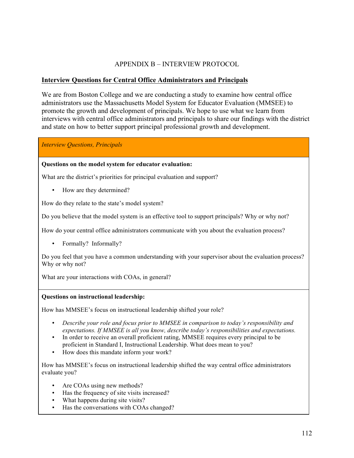# APPENDIX B – INTERVIEW PROTOCOL

# **Interview Questions for Central Office Administrators and Principals**

We are from Boston College and we are conducting a study to examine how central office administrators use the Massachusetts Model System for Educator Evaluation (MMSEE) to promote the growth and development of principals. We hope to use what we learn from interviews with central office administrators and principals to share our findings with the district and state on how to better support principal professional growth and development.

*Interview Questions, Principals*

#### **Questions on the model system for educator evaluation:**

What are the district's priorities for principal evaluation and support?

• How are they determined?

How do they relate to the state's model system?

Do you believe that the model system is an effective tool to support principals? Why or why not?

How do your central office administrators communicate with you about the evaluation process?

• Formally? Informally?

Do you feel that you have a common understanding with your supervisor about the evaluation process? Why or why not?

What are your interactions with COAs, in general?

#### **Questions on instructional leadership:**

How has MMSEE's focus on instructional leadership shifted your role?

- Describe your role and focus prior to MMSEE in comparison to today's responsibility and *expectations. If MMSEE is all you know, describe today's responsibilities and expectations.*
- In order to receive an overall proficient rating, MMSEE requires every principal to be proficient in Standard I, Instructional Leadership. What does mean to you?
- How does this mandate inform your work?

How has MMSEE's focus on instructional leadership shifted the way central office administrators evaluate you?

- Are COAs using new methods?
- Has the frequency of site visits increased?
- What happens during site visits?
- Has the conversations with COAs changed?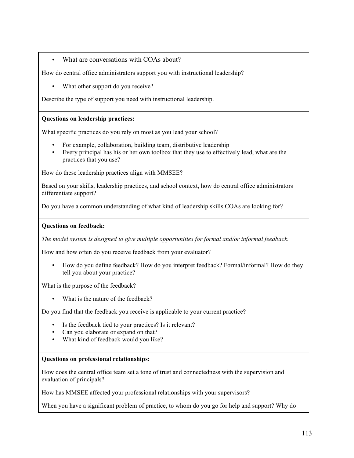# • What are conversations with COAs about?

How do central office administrators support you with instructional leadership?

• What other support do you receive?

Describe the type of support you need with instructional leadership.

### **Questions on leadership practices:**

What specific practices do you rely on most as you lead your school?

- For example, collaboration, building team, distributive leadership
- Every principal has his or her own toolbox that they use to effectively lead, what are the practices that you use?

How do these leadership practices align with MMSEE?

Based on your skills, leadership practices, and school context, how do central office administrators differentiate support?

Do you have a common understanding of what kind of leadership skills COAs are looking for?

#### **Questions on feedback:**

*The model system is designed to give multiple opportunities for formal and/or informal feedback.* 

How and how often do you receive feedback from your evaluator?

• How do you define feedback? How do you interpret feedback? Formal/informal? How do they tell you about your practice?

What is the purpose of the feedback?

• What is the nature of the feedback?

Do you find that the feedback you receive is applicable to your current practice?

- Is the feedback tied to your practices? Is it relevant?
- Can you elaborate or expand on that?
- What kind of feedback would you like?

#### **Questions on professional relationships:**

How does the central office team set a tone of trust and connectedness with the supervision and evaluation of principals?

How has MMSEE affected your professional relationships with your supervisors?

When you have a significant problem of practice, to whom do you go for help and support? Why do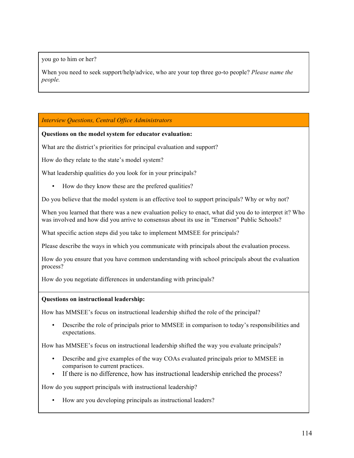you go to him or her?

When you need to seek support/help/advice, who are your top three go-to people? *Please name the people.*

*Interview Questions, Central Office Administrators*

#### **Questions on the model system for educator evaluation:**

What are the district's priorities for principal evaluation and support?

How do they relate to the state's model system?

What leadership qualities do you look for in your principals?

• How do they know these are the prefered qualities?

Do you believe that the model system is an effective tool to support principals? Why or why not?

When you learned that there was a new evaluation policy to enact, what did you do to interpret it? Who was involved and how did you arrive to consensus about its use in "Emerson" Public Schools?

What specific action steps did you take to implement MMSEE for principals?

Please describe the ways in which you communicate with principals about the evaluation process.

How do you ensure that you have common understanding with school principals about the evaluation process?

How do you negotiate differences in understanding with principals?

#### **Questions on instructional leadership:**

How has MMSEE's focus on instructional leadership shifted the role of the principal?

• Describe the role of principals prior to MMSEE in comparison to today's responsibilities and expectations.

How has MMSEE's focus on instructional leadership shifted the way you evaluate principals?

- Describe and give examples of the way COAs evaluated principals prior to MMSEE in comparison to current practices.
- If there is no difference, how has instructional leadership enriched the process?

How do you support principals with instructional leadership?

• How are you developing principals as instructional leaders?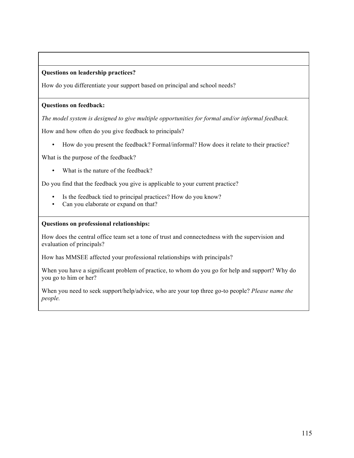### **Questions on leadership practices?**

How do you differentiate your support based on principal and school needs?

#### **Questions on feedback:**

*The model system is designed to give multiple opportunities for formal and/or informal feedback.* 

How and how often do you give feedback to principals?

• How do you present the feedback? Formal/informal? How does it relate to their practice?

What is the purpose of the feedback?

• What is the nature of the feedback?

Do you find that the feedback you give is applicable to your current practice?

- Is the feedback tied to principal practices? How do you know?
- Can you elaborate or expand on that?

#### **Questions on professional relationships:**

How does the central office team set a tone of trust and connectedness with the supervision and evaluation of principals?

How has MMSEE affected your professional relationships with principals?

When you have a significant problem of practice, to whom do you go for help and support? Why do you go to him or her?

When you need to seek support/help/advice, who are your top three go-to people? *Please name the people.*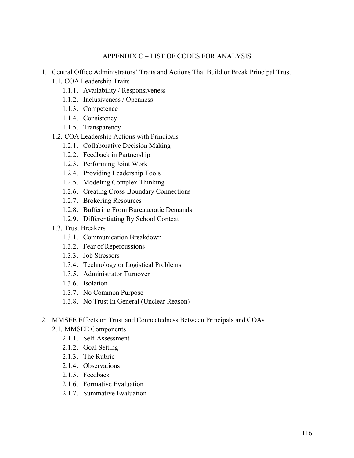# APPENDIX C – LIST OF CODES FOR ANALYSIS

- 1. Central Office Administrators' Traits and Actions That Build or Break Principal Trust
	- 1.1. COA Leadership Traits
		- 1.1.1. Availability / Responsiveness
		- 1.1.2. Inclusiveness / Openness
		- 1.1.3. Competence
		- 1.1.4. Consistency
		- 1.1.5. Transparency
	- 1.2. COA Leadership Actions with Principals
		- 1.2.1. Collaborative Decision Making
		- 1.2.2. Feedback in Partnership
		- 1.2.3. Performing Joint Work
		- 1.2.4. Providing Leadership Tools
		- 1.2.5. Modeling Complex Thinking
		- 1.2.6. Creating Cross-Boundary Connections
		- 1.2.7. Brokering Resources
		- 1.2.8. Buffering From Bureaucratic Demands
		- 1.2.9. Differentiating By School Context
	- 1.3. Trust Breakers
		- 1.3.1. Communication Breakdown
		- 1.3.2. Fear of Repercussions
		- 1.3.3. Job Stressors
		- 1.3.4. Technology or Logistical Problems
		- 1.3.5. Administrator Turnover
		- 1.3.6. Isolation
		- 1.3.7. No Common Purpose
		- 1.3.8. No Trust In General (Unclear Reason)
- 2. MMSEE Effects on Trust and Connectedness Between Principals and COAs
	- 2.1. MMSEE Components
		- 2.1.1. Self-Assessment
		- 2.1.2. Goal Setting
		- 2.1.3. The Rubric
		- 2.1.4. Observations
		- 2.1.5. Feedback
		- 2.1.6. Formative Evaluation
		- 2.1.7. Summative Evaluation